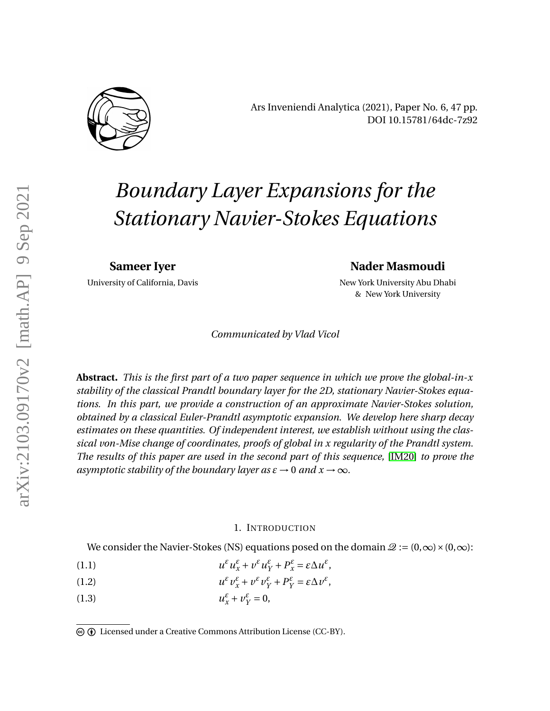

Ars Inveniendi Analytica (2021), Paper No. 6, 47 pp. DOI 10.15781/64dc-7z92

# *Boundary Layer Expansions for the Stationary Navier-Stokes Equations*

**Sameer Iyer**

University of California, Davis

## **Nader Masmoudi**

New York University Abu Dhabi & New York University

*Communicated by Vlad Vicol*

**Abstract.** *This is the first part of a two paper sequence in which we prove the global-in-x stability of the classical Prandtl boundary layer for the 2D, stationary Navier-Stokes equations. In this part, we provide a construction of an approximate Navier-Stokes solution, obtained by a classical Euler-Prandtl asymptotic expansion. We develop here sharp decay estimates on these quantities. Of independent interest, we establish without using the classical von-Mise change of coordinates, proofs of global in x regularity of the Prandtl system. The results of this paper are used in the second part of this sequence,* [\[IM20\]](#page-45-0) *to prove the asymptotic stability of the boundary layer as*  $\varepsilon \to 0$  *and*  $x \to \infty$ *.* 

#### 1. INTRODUCTION

We consider the Navier-Stokes (NS) equations posed on the domain  $\mathcal{Q} := (0,\infty) \times (0,\infty)$ :

- <span id="page-0-0"></span>(1.1)  $u^{\varepsilon} u_x^{\varepsilon} + v^{\varepsilon} u_y^{\varepsilon} + P_x^{\varepsilon} = \varepsilon \Delta u^{\varepsilon},$
- (1.2)  $u^{\varepsilon}v_{x}^{\varepsilon} + v^{\varepsilon}v_{Y}^{\varepsilon} + P_{Y}^{\varepsilon} = \varepsilon \Delta v^{\varepsilon},$
- <span id="page-0-1"></span>(1.3)  $u_x^{\varepsilon} + v_y^{\varepsilon} = 0$ ,

c b Licensed under a Creative Commons Attribution License (CC-BY).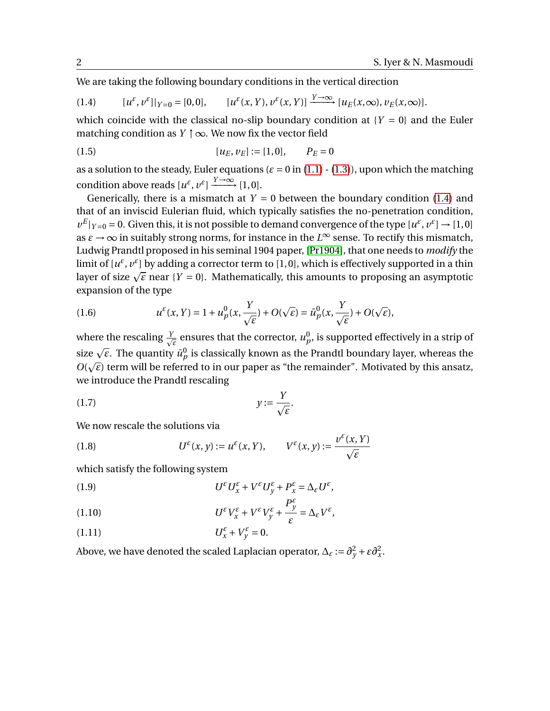We are taking the following boundary conditions in the vertical direction

<span id="page-1-0"></span>(1.4) 
$$
[u^{\varepsilon}, v^{\varepsilon}]|_{Y=0} = [0,0], \qquad [u^{\varepsilon}(x,Y), v^{\varepsilon}(x,Y)] \xrightarrow{Y \to \infty} [u_E(x,\infty), v_E(x,\infty)].
$$

which coincide with the classical no-slip boundary condition at  ${Y = 0}$  and the Euler matching condition as  $Y \uparrow \infty$ . We now fix the vector field

(1.5) 
$$
[u_E, v_E] := [1, 0], \qquad P_E = 0
$$

as a solution to the steady, Euler equations  $(\varepsilon = 0 \text{ in } (1.1) - (1.3))$  $(\varepsilon = 0 \text{ in } (1.1) - (1.3))$  $(\varepsilon = 0 \text{ in } (1.1) - (1.3))$  $(\varepsilon = 0 \text{ in } (1.1) - (1.3))$  $(\varepsilon = 0 \text{ in } (1.1) - (1.3))$ , upon which the matching condition above reads  $[u^{\varepsilon}, v^{\varepsilon}] \xrightarrow{Y \to \infty} [1, 0].$ 

Generically, there is a mismatch at  $Y = 0$  between the boundary condition [\(1.4\)](#page-1-0) and that of an inviscid Eulerian fluid, which typically satisfies the no-penetration condition,  $v^E|_{Y=0} = 0$ . Given this, it is not possible to demand convergence of the type  $[u^{\varepsilon}, v^{\varepsilon}] \to [1, 0]$ as  $\varepsilon \to \infty$  in suitably strong norms, for instance in the  $L^{\infty}$  sense. To rectify this mismatch, Ludwig Prandtl proposed in his seminal 1904 paper, [\[Pr1904\]](#page-45-1), that one needs to *modify* the limit of  $[u^{\varepsilon}, v^{\varepsilon}]$  by adding a corrector term to [1,0], which is effectively supported in a thin limit of  $[u^*, v^*]$  by adding a corrector term to  $[1, 0]$ , which is effectively supported in a thin<br>layer of size  $\sqrt{\varepsilon}$  near { $Y=0$ }. Mathematically, this amounts to proposing an asymptotic expansion of the type

<span id="page-1-1"></span>(1.6) 
$$
u^{\varepsilon}(x, Y) = 1 + u^0_p(x, \frac{Y}{\sqrt{\varepsilon}}) + O(\sqrt{\varepsilon}) = \bar{u}^0_p(x, \frac{Y}{\sqrt{\varepsilon}}) + O(\sqrt{\varepsilon}),
$$

where the rescaling  $\frac{Y}{Y}$ where the rescaling  $\frac{Y}{\sqrt{\varepsilon}}$  ensures that the corrector,  $u_p^0$ , is supported effectively in a strip of size  $\sqrt{\varepsilon}$ . The quantity  $\bar{u}_p^0$  is classically known as the Prandtl boundary layer, whereas the  $O(\sqrt{\varepsilon})$  term will be referred to in our paper as "the remainder". Motivated by this ansatz, we introduce the Prandtl rescaling

$$
(1.7) \t\t y := \frac{Y}{\sqrt{\varepsilon}}.
$$

We now rescale the solutions via

(1.8) 
$$
U^{\varepsilon}(x, y) := u^{\varepsilon}(x, Y), \qquad V^{\varepsilon}(x, y) := \frac{v^{\varepsilon}(x, Y)}{\sqrt{\varepsilon}}
$$

which satisfy the following system

<span id="page-1-2"></span>(1.9) 
$$
U^{\varepsilon}U_x^{\varepsilon}+V^{\varepsilon}U_y^{\varepsilon}+P_x^{\varepsilon}=\Delta_{\varepsilon}U^{\varepsilon},
$$

<span id="page-1-4"></span>(1.10) 
$$
U^{\varepsilon}V_{x}^{\varepsilon}+V^{\varepsilon}V_{y}^{\varepsilon}+\frac{P_{y}^{\varepsilon}}{\varepsilon}=\Delta_{\varepsilon}V^{\varepsilon},
$$

<span id="page-1-3"></span>
$$
(1.11)\t\t\t U_x^{\varepsilon} + V_y^{\varepsilon} = 0.
$$

Above, we have denoted the scaled Laplacian operator,  $\Delta_{\varepsilon} := \partial_{y}^{2} + \varepsilon \partial_{x}^{2}$ .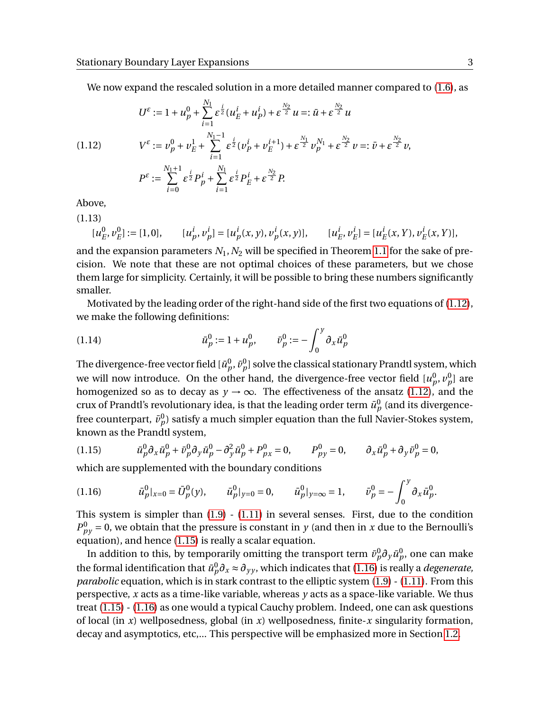We now expand the rescaled solution in a more detailed manner compared to [\(1.6\)](#page-1-1), as

<span id="page-2-0"></span>(1.12) 
$$
U^{\varepsilon} := 1 + u_p^0 + \sum_{i=1}^{N_1} \varepsilon^{\frac{i}{2}} (u_E^i + u_P^i) + \varepsilon^{\frac{N_2}{2}} u =: \bar{u} + \varepsilon^{\frac{N_2}{2}} u
$$

$$
V^{\varepsilon} := \nu_p^0 + \nu_E^1 + \sum_{i=1}^{N_1 - 1} \varepsilon^{\frac{i}{2}} (\nu_P^i + \nu_E^{i+1}) + \varepsilon^{\frac{N_1}{2}} \nu_p^{N_1} + \varepsilon^{\frac{N_2}{2}} \nu =: \bar{v} + \varepsilon^{\frac{N_2}{2}} \nu,
$$

$$
P^{\varepsilon} := \sum_{i=0}^{N_1 + 1} \varepsilon^{\frac{i}{2}} P_p^i + \sum_{i=1}^{N_1} \varepsilon^{\frac{i}{2}} P_E^i + \varepsilon^{\frac{N_2}{2}} P.
$$

Above,

(1.13)

$$
[u_E^0, v_E^0] := [1, 0], \qquad [u_p^i, v_p^i] = [u_p^i(x, y), v_p^i(x, y)], \qquad [u_E^i, v_E^i] = [u_E^i(x, Y), v_E^i(x, Y)],
$$

and the expansion parameters  $N_1$ ,  $N_2$  will be specified in Theorem [1.1](#page-7-0) for the sake of precision. We note that these are not optimal choices of these parameters, but we chose them large for simplicity. Certainly, it will be possible to bring these numbers significantly smaller.

Motivated by the leading order of the right-hand side of the first two equations of [\(1.12\)](#page-2-0), we make the following definitions:

(1.14) 
$$
\bar{u}_p^0 := 1 + u_p^0, \qquad \bar{v}_p^0 := -\int_0^y \partial_x \bar{u}_p^0
$$

The divergence-free vector field  $[\bar{u}^0_p,\bar{v}^0_p]$  solve the classical stationary Prandtl system, which we will now introduce. On the other hand, the divergence-free vector field  $[u^0_p,v^0_p]$  are homogenized so as to decay as  $y \rightarrow \infty$ . The effectiveness of the ansatz [\(1.12\)](#page-2-0), and the crux of Prandtl's revolutionary idea, is that the leading order term  $\bar{u}^0_p$  (and its divergencefree counterpart,  $\bar{v}_{p}^{0}$ ) satisfy a much simpler equation than the full Navier-Stokes system, known as the Prandtl system,

<span id="page-2-1"></span>(1.15) 
$$
\bar{u}_p^0 \partial_x \bar{u}_p^0 + \bar{v}_p^0 \partial_y \bar{u}_p^0 - \partial_y^2 \bar{u}_p^0 + P_{px}^0 = 0, \qquad P_{py}^0 = 0, \qquad \partial_x \bar{u}_p^0 + \partial_y \bar{v}_p^0 = 0,
$$

which are supplemented with the boundary conditions

<span id="page-2-2"></span>(1.16) 
$$
\bar{u}_p^0|_{x=0} = \bar{U}_p^0(y), \qquad \bar{u}_p^0|_{y=0} = 0, \qquad \bar{u}_p^0|_{y=\infty} = 1, \qquad \bar{v}_p^0 = -\int_0^y \partial_x \bar{u}_p^0.
$$

This system is simpler than  $(1.9)$  -  $(1.11)$  in several senses. First, due to the condition  $P_{py}^0$  = 0, we obtain that the pressure is constant in *y* (and then in *x* due to the Bernoulli's equation), and hence [\(1.15\)](#page-2-1) is really a scalar equation.

In addition to this, by temporarily omitting the transport term  $\bar{v}^0_p \partial_y \bar{u}^0_p$ , one can make the formal identification that  $\bar{u}^0_p \partial_x \approx \partial_{yy}$ , which indicates that [\(1.16\)](#page-2-2) is really a *degenerate*, *parabolic* equation, which is in stark contrast to the elliptic system [\(1.9\)](#page-1-2) - [\(1.11\)](#page-1-3). From this perspective, *x* acts as a time-like variable, whereas *y* acts as a space-like variable. We thus treat [\(1.15\)](#page-2-1) - [\(1.16\)](#page-2-2) as one would a typical Cauchy problem. Indeed, one can ask questions of local (in *x*) wellposedness, global (in *x*) wellposedness, finite-*x* singularity formation, decay and asymptotics, etc,... This perspective will be emphasized more in Section [1.2.](#page-5-0)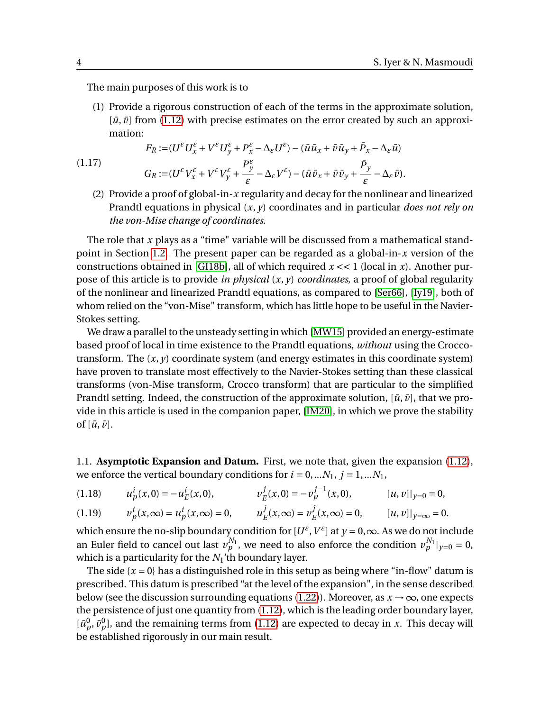The main purposes of this work is to

(1) Provide a rigorous construction of each of the terms in the approximate solution,  $[\bar{u}, \bar{v}]$  from [\(1.12\)](#page-2-0) with precise estimates on the error created by such an approximation:

$$
F_R := (U^{\varepsilon} U^{\varepsilon}_x + V^{\varepsilon} U^{\varepsilon}_y + P^{\varepsilon}_x - \Delta_{\varepsilon} U^{\varepsilon}) - (\bar{u} \bar{u}_x + \bar{v} \bar{u}_y + \bar{P}_x - \Delta_{\varepsilon} \bar{u})
$$
  

$$
G_R := (U^{\varepsilon} V^{\varepsilon}_x + V^{\varepsilon} V^{\varepsilon}_y + \frac{P^{\varepsilon}_y}{\varepsilon} - \Delta_{\varepsilon} V^{\varepsilon}) - (\bar{u} \bar{v}_x + \bar{v} \bar{v}_y + \frac{\bar{P}_y}{\varepsilon} - \Delta_{\varepsilon} \bar{v}).
$$

(2) Provide a proof of global-in-*x* regularity and decay for the nonlinear and linearized Prandtl equations in physical (*x*, *y*) coordinates and in particular *does not rely on the von-Mise change of coordinates*.

The role that *x* plays as a "time" variable will be discussed from a mathematical standpoint in Section [1.2.](#page-5-0) The present paper can be regarded as a global-in-*x* version of the constructions obtained in [\[GI18b\]](#page-44-0), all of which required  $x \ll 1$  (local in *x*). Another purpose of this article is to provide *in physical* (*x*, *y*) *coordinates*, a proof of global regularity of the nonlinear and linearized Prandtl equations, as compared to [\[Ser66\]](#page-46-0), [\[Iy19\]](#page-45-2), both of whom relied on the "von-Mise" transform, which has little hope to be useful in the Navier-Stokes setting.

We draw a parallel to the unsteady setting in which [\[MW15\]](#page-45-3) provided an energy-estimate based proof of local in time existence to the Prandtl equations, *without* using the Croccotransform. The  $(x, y)$  coordinate system (and energy estimates in this coordinate system) have proven to translate most effectively to the Navier-Stokes setting than these classical transforms (von-Mise transform, Crocco transform) that are particular to the simplified Prandtl setting. Indeed, the construction of the approximate solution,  $[\bar{u}, \bar{v}]$ , that we provide in this article is used in the companion paper, [\[IM20\]](#page-45-0), in which we prove the stability of  $[\bar{u}, \bar{v}]$ .

1.1. **Asymptotic Expansion and Datum.** First, we note that, given the expansion [\(1.12\)](#page-2-0), we enforce the vertical boundary conditions for  $i = 0,...N_1$ ,  $j = 1,...N_1$ ,

$$
(1.18) \t u_p^i(x,0) = -u_E^i(x,0), \t v_E^j(x,0) = -v_p^{j-1}(x,0), \t [u,v]|_{y=0} = 0,
$$

$$
(1.19) \t v_p^i(x,\infty) = u_p^i(x,\infty) = 0, \t u_E^j(x,\infty) = v_E^j(x,\infty) = 0, \t [u,v]|_{y=\infty} = 0.
$$

which ensure the no-slip boundary condition for  $[U^{\varepsilon}, V^{\varepsilon}]$  at  $y = 0, \infty$ . As we do not include an Euler field to cancel out last  $v_p^{N_1}$ , we need to also enforce the condition  $v_p^{N_1}|_{y=0} = 0$ , which is a particularity for the *N*1'th boundary layer.

The side  $\{x = 0\}$  has a distinguished role in this setup as being where "in-flow" datum is prescribed. This datum is prescribed "at the level of the expansion", in the sense described below (see the discussion surrounding equations [\(1.22\)](#page-4-0)). Moreover, as  $x \to \infty$ , one expects the persistence of just one quantity from [\(1.12\)](#page-2-0), which is the leading order boundary layer,  $[\bar{u}_p^0, \bar{v}_p^0]$ , and the remaining terms from [\(1.12\)](#page-2-0) are expected to decay in *x*. This decay will be established rigorously in our main result.

<span id="page-3-0"></span>(1.17)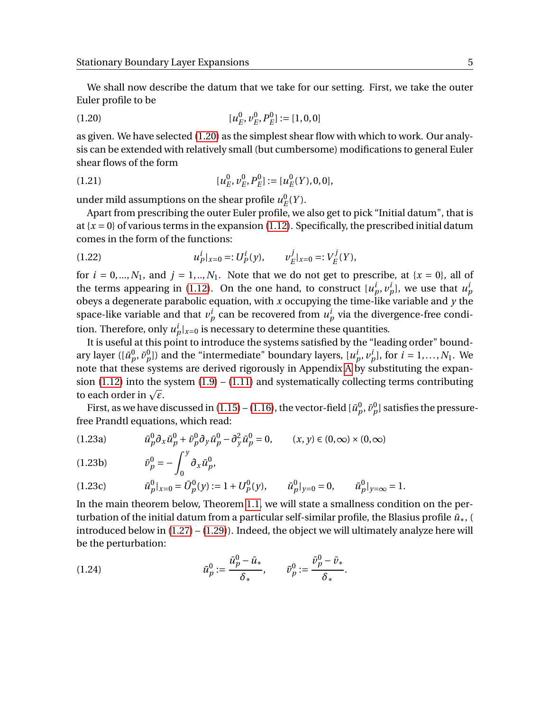We shall now describe the datum that we take for our setting. First, we take the outer Euler profile to be

<span id="page-4-1"></span>
$$
(1.20) \t\t [u_E^0, v_E^0, P_E^0] := [1, 0, 0]
$$

as given. We have selected [\(1.20\)](#page-4-1) as the simplest shear flow with which to work. Our analysis can be extended with relatively small (but cumbersome) modifications to general Euler shear flows of the form

(1.21) 
$$
[u_E^0, v_E^0, P_E^0] := [u_E^0(Y), 0, 0],
$$

under mild assumptions on the shear profile  $u^0_\mu$  $_{E}^{0}(Y).$ 

Apart from prescribing the outer Euler profile, we also get to pick "Initial datum", that is at  $\{x = 0\}$  of various terms in the expansion [\(1.12\)](#page-2-0). Specifically, the prescribed initial datum comes in the form of the functions:

<span id="page-4-0"></span>(1.22) 
$$
u_P^i|_{x=0} =: U_P^i(y), \qquad v_E^j|_{x=0} =: V_E^j(Y),
$$

for  $i = 0, \ldots, N_1$ , and  $j = 1, \ldots, N_1$ . Note that we do not get to prescribe, at  $\{x = 0\}$ , all of the terms appearing in [\(1.12\)](#page-2-0). On the one hand, to construct  $[u_p^i, v_p^i]$ , we use that  $u_p^i$ obeys a degenerate parabolic equation, with *x* occupying the time-like variable and *y* the space-like variable and that  $v_p^i$  can be recovered from  $u_p^i$  via the divergence-free condition. Therefore, only  $u_p^i|_{x=0}$  is necessary to determine these quantities.

It is useful at this point to introduce the systems satisfied by the "leading order" boundary layer ( $[\bar{u}_p^0, \bar{v}_p^0]$ ) and the "intermediate" boundary layers,  $[u_p^i, v_p^i]$ , for  $i = 1,..., N_1$ . We note that these systems are derived rigorously in [A](#page-36-0)ppendix A by substituting the expansion  $(1.12)$  into the system  $(1.9) - (1.11)$  $(1.9) - (1.11)$  $(1.9) - (1.11)$  and systematically collecting terms contributing sion (1.1*2)* into the<br>to each order in  $\sqrt{\varepsilon}$ .

First, as we have discussed in [\(1.15\)](#page-2-1) – [\(1.16\)](#page-2-2), the vector-field [ $\bar{u}^0_p$ ,  $\bar{v}^0_p$ ] satisfies the pressurefree Prandtl equations, which read:

(1.23a) 
$$
\bar{u}_p^0 \partial_x \bar{u}_p^0 + \bar{v}_p^0 \partial_y \bar{u}_p^0 - \partial_y^2 \bar{u}_p^0 = 0, \qquad (x, y) \in (0, \infty) \times (0, \infty)
$$

(1.23b) 
$$
\bar{\nu}_p^0 = -\int_0^y \partial_x \bar{u}_p^0,
$$

$$
(1.23c) \t\t \tilde{u}_p^0|_{x=0} = \bar{U}_p^0(y) := 1 + U_p^0(y), \t\t \tilde{u}_p^0|_{y=0} = 0, \t\t \tilde{u}_p^0|_{y=\infty} = 1.
$$

In the main theorem below, Theorem [1.1,](#page-7-0) we will state a smallness condition on the perturbation of the initial datum from a particular self-similar profile, the Blasius profile *u*¯∗, ( introduced below in  $(1.27) - (1.29)$  $(1.27) - (1.29)$  $(1.27) - (1.29)$ . Indeed, the object we will ultimately analyze here will be the perturbation:

(1.24) 
$$
\tilde{u}_p^0 := \frac{\bar{u}_p^0 - \bar{u}_*}{\delta_*}, \qquad \tilde{v}_p^0 := \frac{\bar{v}_p^0 - \bar{v}_*}{\delta_*}.
$$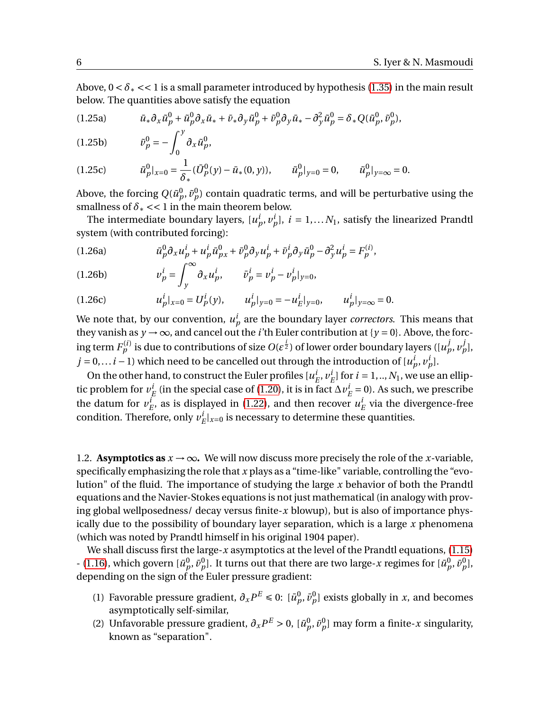Above,  $0 < \delta_* < 1$  is a small parameter introduced by hypothesis [\(1.35\)](#page-7-1) in the main result below. The quantities above satisfy the equation

$$
(1.25a) \t\t \bar{u}_*\partial_x\tilde{u}_p^0 + \tilde{u}_p^0\partial_x\bar{u}_* + \bar{v}_*\partial_y\tilde{u}_p^0 + \tilde{v}_p^0\partial_y\bar{u}_* - \partial_y^2\tilde{u}_p^0 = \delta_*Q(\tilde{u}_p^0, \tilde{v}_p^0),
$$

$$
(1.25b) \t\t \tilde{\nu}_p^0 = -\int_0^y \partial_x \tilde{u}_p^0,
$$

$$
(1.25c) \t\t \tilde{u}_p^0|_{x=0} = \frac{1}{\delta_*} (\bar{U}_p^0(y) - \bar{u}_*(0, y)), \t \tilde{u}_p^0|_{y=0} = 0, \t \tilde{u}_p^0|_{y=\infty} = 0.
$$

Above, the forcing  $Q(\tilde{u}^0_p, \tilde{v}^0_p)$  contain quadratic terms, and will be perturbative using the smallness of  $\delta$ <sub>\*</sub> << 1 in the main theorem below.

The intermediate boundary layers,  $[u_p^i, v_p^i]$ ,  $i = 1,...N_1$ , satisfy the linearized Prandtl system (with contributed forcing):

(1.26a) 
$$
\bar{u}_p^0 \partial_x u_p^i + u_p^i \bar{u}_{px}^0 + \bar{v}_p^0 \partial_y u_p^i + \bar{v}_p^i \partial_y \bar{u}_p^0 - \partial_y^2 u_p^i = F_p^{(i)},
$$

(1.26b) 
$$
v_p^i = \int_y^\infty \partial_x u_p^i, \qquad \bar{v}_p^i = v_p^i - v_p^i|_{y=0},
$$

(1.26c) 
$$
u_p^i|_{x=0} = U_p^i(y), \qquad u_p^i|_{y=0} = -u_E^i|_{y=0}, \qquad u_p^i|_{y=\infty} = 0.
$$

We note that, by our convention,  $u_p^i$  are the boundary layer *correctors*. This means that they vanish as  $y \rightarrow \infty$ , and cancel out the *i*'th Euler contribution at { $y = 0$ }. Above, the forcing term  $F^{(i)}_p$  is due to contributions of size  $O(\epsilon^{\frac{i}{2}})$  of lower order boundary layers ([ $u^j_p, v^j_p$ ], *j* = 0,...*i* − 1) which need to be cancelled out through the introduction of  $[u_p^i, v_p^i]$ .

On the other hand, to construct the Euler profiles [ $u_i^i$  $^i_E, v^i_I$  $E^i_E$  for  $i = 1, ..., N_1$ , we use an elliptic problem for  $v_i^i$  $\frac{i}{E}$  (in the special case of [\(1.20\)](#page-4-1), it is in fact  $\Delta v^i_I$  $E = 0$ ). As such, we prescribe the datum for  $v_i^i$  $E$ <sup>*i*</sup>, as is displayed in [\(1.22\)](#page-4-0), and then recover  $u^i$  $E$ <sup> $l$ </sup> via the divergence-free condition. Therefore, only  $v_i^i$  $E^i|_{x=0}$  is necessary to determine these quantities.

<span id="page-5-0"></span>1.2. **Asymptotics as**  $x \to \infty$ . We will now discuss more precisely the role of the *x*-variable, specifically emphasizing the role that *x* plays as a "time-like" variable, controlling the "evolution" of the fluid. The importance of studying the large *x* behavior of both the Prandtl equations and the Navier-Stokes equations is not just mathematical (in analogy with proving global wellposedness/ decay versus finite-*x* blowup), but is also of importance physically due to the possibility of boundary layer separation, which is a large *x* phenomena (which was noted by Prandtl himself in his original 1904 paper).

We shall discuss first the large-*x* asymptotics at the level of the Prandtl equations, [\(1.15\)](#page-2-1) - [\(1.16\)](#page-2-2), which govern  $[\bar{u}_p^0, \bar{v}_p^0]$ . It turns out that there are two large-*x* regimes for  $[\bar{u}_p^0, \bar{v}_p^0]$ , depending on the sign of the Euler pressure gradient:

- (1) Favorable pressure gradient,  $\partial_x P^E \leq 0$ :  $[\bar{u}_p^0, \bar{v}_p^0]$  exists globally in *x*, and becomes asymptotically self-similar,
- (2) Unfavorable pressure gradient,  $\partial_x P^E > 0$ ,  $[\bar{u}_p^0, \bar{v}_p^0]$  may form a finite-*x* singularity, known as "separation".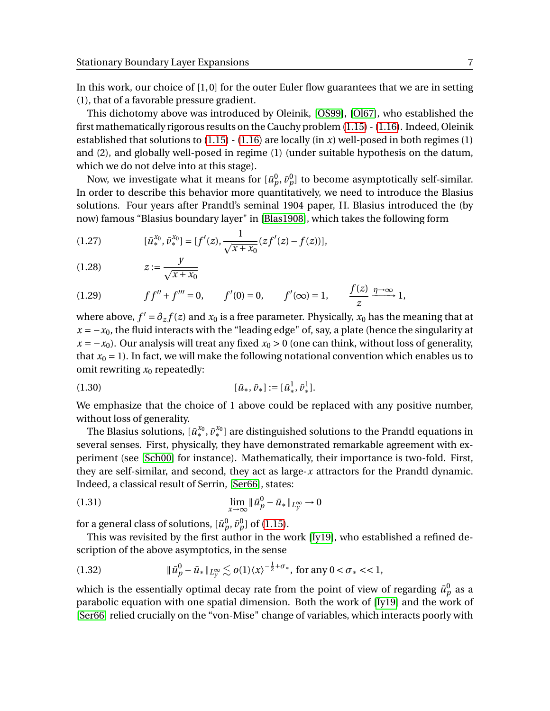In this work, our choice of [1, 0] for the outer Euler flow guarantees that we are in setting (1), that of a favorable pressure gradient.

This dichotomy above was introduced by Oleinik, [\[OS99\]](#page-45-4), [\[Ol67\]](#page-45-5), who established the first mathematically rigorous results on the Cauchy problem [\(1.15\)](#page-2-1) - [\(1.16\)](#page-2-2). Indeed, Oleinik established that solutions to  $(1.15)$  -  $(1.16)$  are locally  $(in x)$  well-posed in both regimes  $(1)$ and (2), and globally well-posed in regime (1) (under suitable hypothesis on the datum, which we do not delve into at this stage).

Now, we investigate what it means for  $[\bar{u}_p^0, \bar{v}_p^0]$  to become asymptotically self-similar. In order to describe this behavior more quantitatively, we need to introduce the Blasius solutions. Four years after Prandtl's seminal 1904 paper, H. Blasius introduced the (by now) famous "Blasius boundary layer" in [\[Blas1908\]](#page-43-0), which takes the following form

<span id="page-6-0"></span>(1.27) 
$$
[\bar{u}_*^{x_0}, \bar{v}_*^{x_0}] = [f'(z), \frac{1}{\sqrt{x+x_0}}(zf'(z) - f(z))],
$$

$$
(1.28)\qquad \qquad z := \frac{y}{\sqrt{x + x_0}}
$$

<span id="page-6-1"></span>(1.29) 
$$
f f'' + f''' = 0
$$
,  $f'(0) = 0$ ,  $f'(\infty) = 1$ ,  $\frac{f(z)}{z} \xrightarrow{\eta \to \infty} 1$ ,

where above,  $f' = \partial_z f(z)$  and  $x_0$  is a free parameter. Physically,  $x_0$  has the meaning that at  $x = -x_0$ , the fluid interacts with the "leading edge" of, say, a plate (hence the singularity at  $x = -x_0$ ). Our analysis will treat any fixed  $x_0 > 0$  (one can think, without loss of generality, that  $x_0 = 1$ ). In fact, we will make the following notational convention which enables us to omit rewriting  $x_0$  repeatedly:

$$
(1.30) \t\t\t [\bar{u}_*, \bar{v}_*] := [\bar{u}_*, \bar{v}_*^1].
$$

We emphasize that the choice of 1 above could be replaced with any positive number, without loss of generality.

The Blasius solutions,  $[\bar{u}_*^{x_0}, \bar{v}_*^{x_0}]$  are distinguished solutions to the Prandtl equations in several senses. First, physically, they have demonstrated remarkable agreement with experiment (see [\[Sch00\]](#page-46-1) for instance). Mathematically, their importance is two-fold. First, they are self-similar, and second, they act as large-*x* attractors for the Prandtl dynamic. Indeed, a classical result of Serrin, [\[Ser66\]](#page-46-0), states:

(1.31) 
$$
\lim_{x \to \infty} \|\bar{u}_p^0 - \bar{u}_*\|_{L_y^{\infty}} \to 0
$$

for a general class of solutions,  $[\bar{u}^0_p, \bar{v}^0_p]$  of [\(1.15\)](#page-2-1).

This was revisited by the first author in the work [\[Iy19\]](#page-45-2), who established a refined description of the above asymptotics, in the sense

(1.32) 
$$
\|\bar{u}_p^0 - \bar{u}_*\|_{L_y^{\infty}} \lesssim o(1) \langle x \rangle^{-\frac{1}{2} + \sigma_*}, \text{ for any } 0 < \sigma_* < < 1,
$$

which is the essentially optimal decay rate from the point of view of regarding  $\bar{u}^0_p$  as a parabolic equation with one spatial dimension. Both the work of [\[Iy19\]](#page-45-2) and the work of [\[Ser66\]](#page-46-0) relied crucially on the "von-Mise" change of variables, which interacts poorly with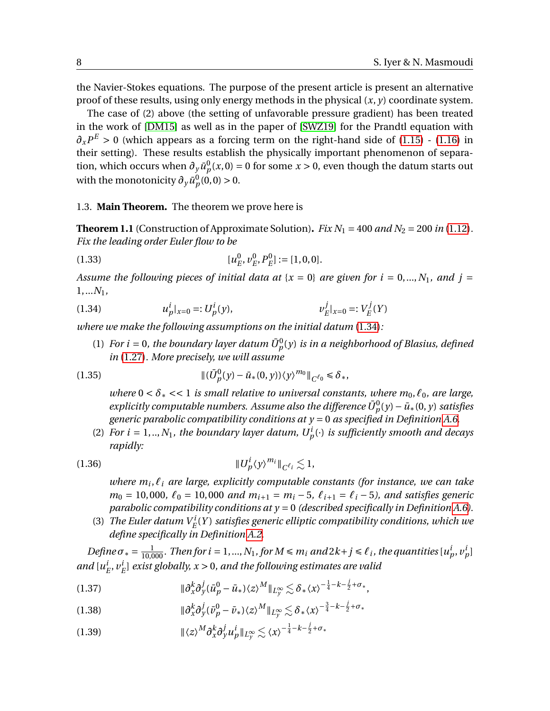the Navier-Stokes equations. The purpose of the present article is present an alternative proof of these results, using only energy methods in the physical (*x*, *y*) coordinate system.

The case of (2) above (the setting of unfavorable pressure gradient) has been treated in the work of [\[DM15\]](#page-43-1) as well as in the paper of [\[SWZ19\]](#page-46-2) for the Prandtl equation with  $\partial_x P^E > 0$  (which appears as a forcing term on the right-hand side of [\(1.15\)](#page-2-1) - [\(1.16\)](#page-2-2) in their setting). These results establish the physically important phenomenon of separation, which occurs when  $\partial_y \bar{u}_p^0(x,0) = 0$  for some  $x > 0$ , even though the datum starts out with the monotonicity  $\partial_y \bar{u}_p^0(0,0) > 0$ .

## 1.3. **Main Theorem.** The theorem we prove here is

<span id="page-7-0"></span>**Theorem 1.1** (Construction of Approximate Solution). *Fix*  $N_1 = 400$  *and*  $N_2 = 200$  *in* [\(1.12\)](#page-2-0). *Fix the leading order Euler flow to be*

(1.33) 
$$
[u_E^0, v_E^0, P_E^0] := [1, 0, 0].
$$

*Assume the following pieces of initial data at* { $x = 0$ } *are given for i* = 0,...,  $N_1$ *, and j* = 1,...*N*1*,*

<span id="page-7-2"></span>(1.34) 
$$
u_p^i|_{x=0} =: U_p^i(y), \qquad \qquad v_E^j|_{x=0} =: V_E^j(Y)
$$

*where we make the following assumptions on the initial datum* [\(1.34\)](#page-7-2)*:*

(1) For  $i = 0$ , the boundary layer datum  $\bar{U}_p^0(y)$  is in a neighborhood of Blasius, defined *in* [\(1.27\)](#page-6-0)*. More precisely, we will assume*

<span id="page-7-1"></span>(1.35) 
$$
\|(\bar{U}_p^0(y) - \bar{u}_*(0, y))\langle y \rangle^{m_0}\|_{C^{\ell_0}} \leq \delta_*,
$$

*where*  $0 < \delta_* << 1$  *is small relative to universal constants, where*  $m_0, \ell_0$ *, are large,*  $\bar{p}$  *explicitly computable numbers. Assume also the difference*  $\bar{U}^0_p(y) - \bar{u}_*(0,y)$  *satisfies generic parabolic compatibility conditions at y* = 0 *as specified in Definition [A.6.](#page-43-2)*

(2) *For i* = 1,..,  $N_1$ , the boundary layer datum,  $U_p^i(\cdot)$  is sufficiently smooth and decays *rapidly:*

<span id="page-7-6"></span>k*U i p* 〈*y*〉 *<sup>m</sup><sup>i</sup>* <sup>k</sup>*<sup>C</sup> `<sup>i</sup>* . 1,(1.36)

*where m<sup>i</sup>* ,*`<sup>i</sup> are large, explicitly computable constants (for instance, we can take*  $m_0 = 10,000, \, \ell_0 = 10,000 \, \text{and} \, m_{i+1} = m_i - 5, \, \ell_{i+1} = \ell_i - 5$ , and satisfies generic *parabolic compatibility conditions at y* = 0 *(described specifically in Definition [A.6\)](#page-43-2).*

(3) *The Euler datum*  $V_E^i(Y)$  *satisfies generic elliptic compatibility conditions, which we define specifically in Definition [A.2.](#page-40-0)*

Define  $\sigma_* = \frac{1}{10,000}$ . Then for  $i = 1,..., N_1$  , for  $M \le m_i$  and  $2k + j \le \ell_i$ , the quantities  $[u_p^i, v_p^i]$ and  $[u]$  $_{E}^{i},\nu_{I}^{i}$ *E* ] *exist globally, x* > 0*, and the following estimates are valid*

<span id="page-7-3"></span>k*∂ k x∂ j y* (*u*¯ 0 *<sup>p</sup>* <sup>−</sup>*u*¯∗)〈*z*〉 *<sup>M</sup>* k*L*<sup>∞</sup> *<sup>y</sup>* . *<sup>δ</sup>*∗〈*x*〉 − 1 4 −*k*− *j* 2 +*σ*<sup>∗</sup> ,(1.37)

<span id="page-7-4"></span>k*∂ k x∂ j y* (*v*¯ 0 *<sup>p</sup>* <sup>−</sup> *<sup>v</sup>*¯∗)〈*z*〉 *<sup>M</sup>* k*L*<sup>∞</sup> *<sup>y</sup>* . *<sup>δ</sup>*∗〈*x*〉 − 3 4 −*k*− *j* 2 +*σ*<sup>∗</sup> (1.38)

<span id="page-7-5"></span>
$$
(1.39) \t\t\t\t\t\|\langle z \rangle^M \partial_x^k \partial_y^j u_p^i\|_{L_y^{\infty}} \lesssim \langle x \rangle^{-\frac{1}{4} - k - \frac{j}{2} + \sigma_*}
$$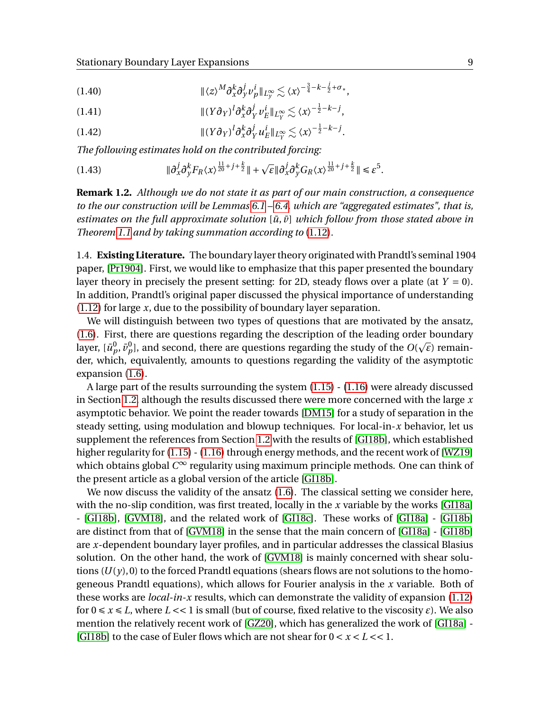<span id="page-8-2"></span>
$$
||\langle z \rangle^M \partial_x^k \partial_y^j \nu_p^j||_{L_y^\infty} \lesssim \langle x \rangle^{-\frac{3}{4} - k - \frac{j}{2} + \sigma_*},
$$

<span id="page-8-1"></span>(1.41) 
$$
\| (Y \partial_Y)^l \partial_x^k \partial_Y^j \nu_E^i \|_{L_Y^{\infty}} \lesssim \langle x \rangle^{-\frac{1}{2} - k - j},
$$

<span id="page-8-0"></span>(1.42) 
$$
\| (Y \partial_Y)^l \partial_x^k \partial_Y^j u_E^l \|_{L_Y^{\infty}} \lesssim \langle x \rangle^{-\frac{1}{2} - k - j}.
$$

*The following estimates hold on the contributed forcing:*

(1.43) 
$$
\|\partial_x^j \partial_y^k F_R \langle x \rangle^{\frac{11}{20}+j+\frac{k}{2}} \| + \sqrt{\varepsilon} \|\partial_x^j \partial_y^k G_R \langle x \rangle^{\frac{11}{20}+j+\frac{k}{2}} \| \leq \varepsilon^5.
$$

**Remark 1.2.** *Although we do not state it as part of our main construction, a consequence to the our construction will be Lemmas [6.1](#page-34-0) – [6.4,](#page-36-1) which are "aggregated estimates", that is, estimates on the full approximate solution*  $[\bar{u}, \bar{v}]$  *which follow from those stated above in Theorem [1.1](#page-7-0) and by taking summation according to* [\(1.12\)](#page-2-0)*.*

1.4. **Existing Literature.** The boundary layer theory originated with Prandtl's seminal 1904 paper, [\[Pr1904\]](#page-45-1). First, we would like to emphasize that this paper presented the boundary layer theory in precisely the present setting: for 2D, steady flows over a plate (at  $Y = 0$ ). In addition, Prandtl's original paper discussed the physical importance of understanding [\(1.12\)](#page-2-0) for large *x*, due to the possibility of boundary layer separation.

We will distinguish between two types of questions that are motivated by the ansatz, [\(1.6\)](#page-1-1). First, there are questions regarding the description of the leading order boundary p layer,  $[\bar{u}^0_p, \bar{v}^0_p]$ , and second, there are questions regarding the study of the  $O(\sqrt{\varepsilon})$  remainder, which, equivalently, amounts to questions regarding the validity of the asymptotic expansion [\(1.6\)](#page-1-1).

A large part of the results surrounding the system [\(1.15\)](#page-2-1) - [\(1.16\)](#page-2-2) were already discussed in Section [1.2,](#page-5-0) although the results discussed there were more concerned with the large *x* asymptotic behavior. We point the reader towards [\[DM15\]](#page-43-1) for a study of separation in the steady setting, using modulation and blowup techniques. For local-in-*x* behavior, let us supplement the references from Section [1.2](#page-5-0) with the results of [\[GI18b\]](#page-44-0), which established higher regularity for [\(1.15\)](#page-2-1) - [\(1.16\)](#page-2-2) through energy methods, and the recent work of [\[WZ19\]](#page-46-3) which obtains global *C* <sup>∞</sup> regularity using maximum principle methods. One can think of the present article as a global version of the article [\[GI18b\]](#page-44-0).

We now discuss the validity of the ansatz  $(1.6)$ . The classical setting we consider here, with the no-slip condition, was first treated, locally in the *x* variable by the works [\[GI18a\]](#page-44-1) - [\[GI18b\]](#page-44-0), [\[GVM18\]](#page-44-2), and the related work of [\[GI18c\]](#page-44-3). These works of [\[GI18a\]](#page-44-1) - [\[GI18b\]](#page-44-0) are distinct from that of [\[GVM18\]](#page-44-2) in the sense that the main concern of [\[GI18a\]](#page-44-1) - [\[GI18b\]](#page-44-0) are *x*-dependent boundary layer profiles, and in particular addresses the classical Blasius solution. On the other hand, the work of [\[GVM18\]](#page-44-2) is mainly concerned with shear solutions  $(U(y), 0)$  to the forced Prandtl equations (shears flows are not solutions to the homogeneous Prandtl equations), which allows for Fourier analysis in the *x* variable. Both of these works are *local-in-x* results, which can demonstrate the validity of expansion [\(1.12\)](#page-2-0) for  $0 \le x \le L$ , where  $L \lt 1$  is small (but of course, fixed relative to the viscosity  $\varepsilon$ ). We also mention the relatively recent work of [\[GZ20\]](#page-44-4), which has generalized the work of [\[GI18a\]](#page-44-1) - [\[GI18b\]](#page-44-0) to the case of Euler flows which are not shear for 0 < *x* < *L* << 1.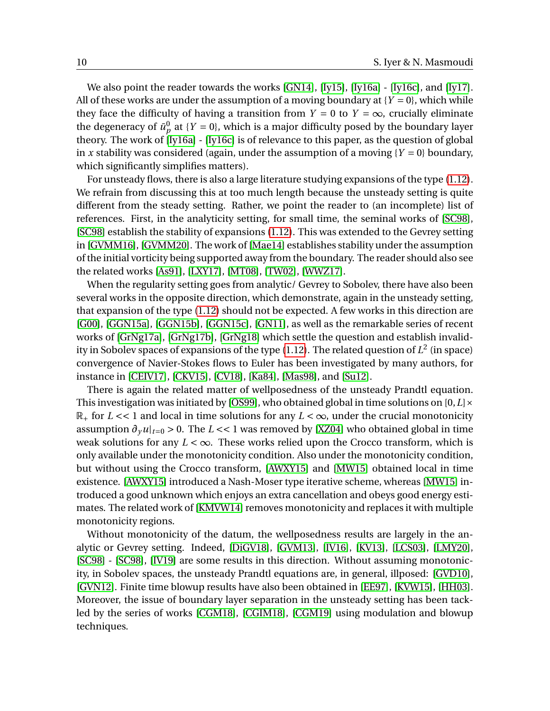We also point the reader towards the works  $[GN14]$ ,  $[IV15]$ ,  $[IV16a]$  -  $[IV16c]$ , and  $[IV17]$ . All of these works are under the assumption of a moving boundary at  ${Y = 0}$ , which while they face the difficulty of having a transition from  $Y = 0$  to  $Y = \infty$ , crucially eliminate the degeneracy of  $\bar{u}_p^0$  at  $\{Y = 0\}$ , which is a major difficulty posed by the boundary layer theory. The work of [\[Iy16a\]](#page-45-6) - [\[Iy16c\]](#page-45-7) is of relevance to this paper, as the question of global in *x* stability was considered (again, under the assumption of a moving  ${Y = 0}$  boundary, which significantly simplifies matters).

For unsteady flows, there is also a large literature studying expansions of the type [\(1.12\)](#page-2-0). We refrain from discussing this at too much length because the unsteady setting is quite different from the steady setting. Rather, we point the reader to (an incomplete) list of references. First, in the analyticity setting, for small time, the seminal works of [\[SC98\]](#page-46-4), [\[SC98\]](#page-46-5) establish the stability of expansions [\(1.12\)](#page-2-0). This was extended to the Gevrey setting in [\[GVMM16\]](#page-44-7), [\[GVMM20\]](#page-44-8). The work of [\[Mae14\]](#page-45-9) establishes stability under the assumption of the initial vorticity being supported away from the boundary. The reader should also see the related works [\[As91\]](#page-43-3), [\[LXY17\]](#page-45-10), [\[MT08\]](#page-45-11), [\[TW02\]](#page-46-6), [\[WWZ17\]](#page-46-7).

When the regularity setting goes from analytic/ Gevrey to Sobolev, there have also been several works in the opposite direction, which demonstrate, again in the unsteady setting, that expansion of the type [\(1.12\)](#page-2-0) should not be expected. A few works in this direction are [\[G00\]](#page-44-9), [\[GGN15a\]](#page-44-10), [\[GGN15b\]](#page-44-11), [\[GGN15c\]](#page-44-12), [\[GN11\]](#page-44-13), as well as the remarkable series of recent works of [\[GrNg17a\]](#page-44-14), [\[GrNg17b\]](#page-44-15), [\[GrNg18\]](#page-44-16) which settle the question and establish invalidity in Sobolev spaces of expansions of the type  $(1.12)$ . The related question of  $L^2$  (in space) convergence of Navier-Stokes flows to Euler has been investigated by many authors, for instance in [\[CEIV17\]](#page-43-4), [\[CKV15\]](#page-43-5), [\[CV18\]](#page-43-6), [\[Ka84\]](#page-45-12), [\[Mas98\]](#page-45-13), and [\[Su12\]](#page-46-8).

There is again the related matter of wellposedness of the unsteady Prandtl equation. This investigation was initiated by [\[OS99\]](#page-45-4), who obtained global in time solutions on [0,*L*]×  $\mathbb{R}_+$  for  $L \ll 1$  and local in time solutions for any  $L \ll \infty$ , under the crucial monotonicity assumption  $\partial_\gamma u|_{t=0} > 0$ . The *L* << 1 was removed by [\[XZ04\]](#page-46-9) who obtained global in time weak solutions for any  $L < \infty$ . These works relied upon the Crocco transform, which is only available under the monotonicity condition. Also under the monotonicity condition, but without using the Crocco transform, [\[AWXY15\]](#page-43-7) and [\[MW15\]](#page-45-3) obtained local in time existence. [\[AWXY15\]](#page-43-7) introduced a Nash-Moser type iterative scheme, whereas [\[MW15\]](#page-45-3) introduced a good unknown which enjoys an extra cancellation and obeys good energy estimates. The related work of [\[KMVW14\]](#page-45-14) removes monotonicity and replaces it with multiple monotonicity regions.

Without monotonicity of the datum, the wellposedness results are largely in the analytic or Gevrey setting. Indeed, [\[DiGV18\]](#page-44-17), [\[GVM13\]](#page-44-18), [\[IV16\]](#page-44-19), [\[KV13\]](#page-45-15), [\[LCS03\]](#page-45-16), [\[LMY20\]](#page-45-17), [\[SC98\]](#page-46-4) - [\[SC98\]](#page-46-5), [\[IV19\]](#page-45-18) are some results in this direction. Without assuming monotonicity, in Sobolev spaces, the unsteady Prandtl equations are, in general, illposed: [\[GVD10\]](#page-44-20), [\[GVN12\]](#page-44-21). Finite time blowup results have also been obtained in [\[EE97\]](#page-44-22), [\[KVW15\]](#page-45-19), [\[HH03\]](#page-44-23). Moreover, the issue of boundary layer separation in the unsteady setting has been tackled by the series of works [\[CGM18\]](#page-43-8), [\[CGIM18\]](#page-43-9), [\[CGM19\]](#page-43-10) using modulation and blowup techniques.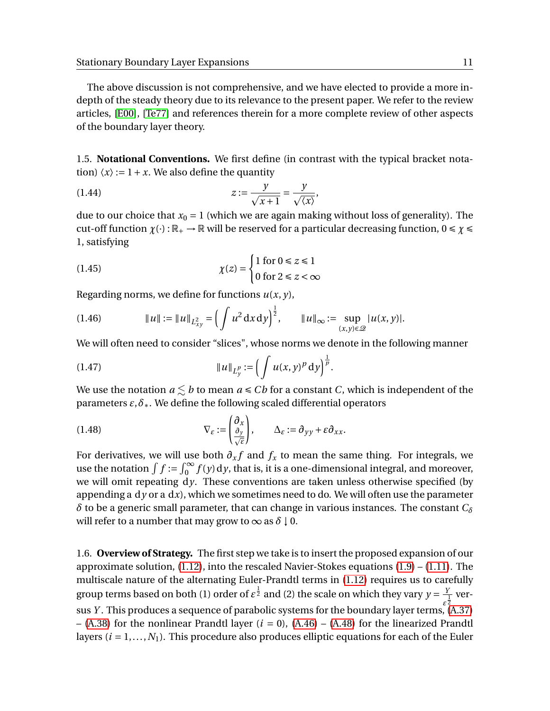The above discussion is not comprehensive, and we have elected to provide a more indepth of the steady theory due to its relevance to the present paper. We refer to the review articles, [\[E00\]](#page-44-24), [\[Te77\]](#page-44-25) and references therein for a more complete review of other aspects of the boundary layer theory.

1.5. **Notational Conventions.** We first define (in contrast with the typical bracket notation)  $\langle x \rangle := 1 + x$ . We also define the quantity

$$
(1.44) \t\t\t z := \frac{y}{\sqrt{x+1}} = \frac{y}{\sqrt{\langle x \rangle}},
$$

due to our choice that  $x_0 = 1$  (which we are again making without loss of generality). The cut-off function  $\chi(\cdot): \mathbb{R}_+ \to \mathbb{R}$  will be reserved for a particular decreasing function,  $0 \le \chi \le$ 1, satisfying

(1.45) 
$$
\chi(z) = \begin{cases} 1 \text{ for } 0 \le z \le 1 \\ 0 \text{ for } 2 \le z < \infty \end{cases}
$$

Regarding norms, we define for functions *u*(*x*, *y*),

$$
(1.46) \t\t\t\t\t||u|| := ||u||_{L_{xy}^2} = \left(\int u^2 dx dy\right)^{\frac{1}{2}}, \t\t\t\t\t||u||_{\infty} := \sup_{(x,y)\in\mathcal{Q}} |u(x,y)|.
$$

We will often need to consider "slices", whose norms we denote in the following manner

(1.47) 
$$
||u||_{L_y^p} := \left( \int u(x, y)^p dy \right)^{\frac{1}{p}}.
$$

We use the notation  $a \leq b$  to mean  $a \leq Cb$  for a constant *C*, which is independent of the parameters *ε*,*δ*∗. We define the following scaled differential operators

(1.48) 
$$
\nabla_{\varepsilon} := \begin{pmatrix} \partial_{x} \\ \frac{\partial_{y}}{\sqrt{\varepsilon}} \end{pmatrix}, \qquad \Delta_{\varepsilon} := \partial_{yy} + \varepsilon \partial_{xx}.
$$

For derivatives, we will use both  $\partial_x f$  and  $f_x$  to mean the same thing. For integrals, we use the notation  $\int f := \int_0^\infty f(y) dy$ , that is, it is a one-dimensional integral, and moreover, we will omit repeating d*y*. These conventions are taken unless otherwise specified (by appending a  $dy$  or a  $dx$ ), which we sometimes need to do. We will often use the parameter *δ* to be a generic small parameter, that can change in various instances. The constant *C<sup>δ</sup>* will refer to a number that may grow to  $\infty$  as  $\delta \downarrow 0$ .

1.6. **Overview of Strategy.** The first step we take is to insert the proposed expansion of our approximate solution,  $(1.12)$ , into the rescaled Navier-Stokes equations  $(1.9) - (1.11)$  $(1.9) - (1.11)$  $(1.9) - (1.11)$ . The multiscale nature of the alternating Euler-Prandtl terms in [\(1.12\)](#page-2-0) requires us to carefully group terms based on both (1) order of  $\varepsilon^{\frac{1}{2}}$  and (2) the scale on which they vary  $y=\frac{Y}{\bot}$  ver--<br>sus *Y* . This produces a sequence of parabolic systems for the boundary layer terms, [\(A.37\)](#page-41-0)  $-$  [\(A.38\)](#page-41-1) for the nonlinear Prandtl layer ( $i = 0$ ), [\(A.46\)](#page-42-0) – [\(A.48\)](#page-42-1) for the linearized Prandtl layers  $(i = 1, ..., N_1)$ . This procedure also produces elliptic equations for each of the Euler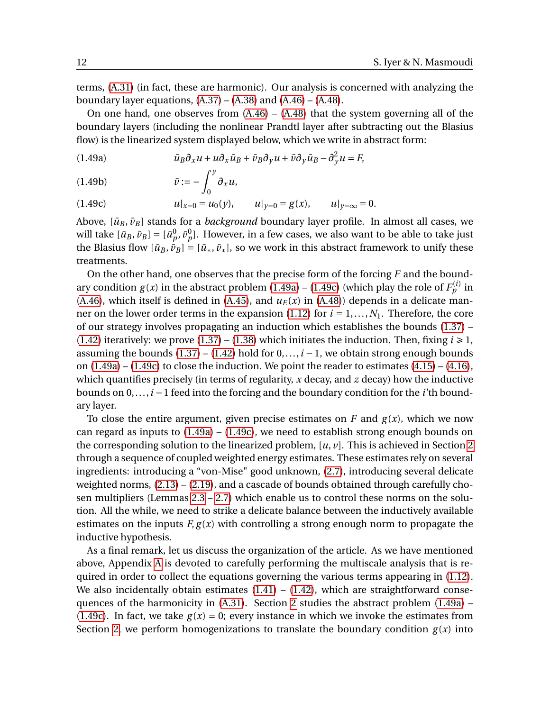terms, [\(A.31\)](#page-40-1) (in fact, these are harmonic). Our analysis is concerned with analyzing the boundary layer equations,  $(A.37) - (A.38)$  $(A.37) - (A.38)$  $(A.37) - (A.38)$  and  $(A.46) - (A.48)$  $(A.46) - (A.48)$  $(A.46) - (A.48)$ .

On one hand, one observes from [\(A.46\)](#page-42-0) – [\(A.48\)](#page-42-1) that the system governing all of the boundary layers (including the nonlinear Prandtl layer after subtracting out the Blasius flow) is the linearized system displayed below, which we write in abstract form:

<span id="page-11-0"></span> $\bar{u}_B \partial_x u + u \partial_x \bar{u}_B + \bar{v}_B \partial_y u + \bar{v} \partial_y \bar{u}_B - \partial_y^2 u = F,$ 

$$
(1.49b) \t\t \bar{v} := -\int_0^y \partial_x u,
$$

<span id="page-11-1"></span>(1.49c) 
$$
u|_{x=0} = u_0(y)
$$
,  $u|_{y=0} = g(x)$ ,  $u|_{y=\infty} = 0$ .

Above,  $[\bar{u}_B, \bar{v}_B]$  stands for a *background* boundary layer profile. In almost all cases, we will take  $[\bar{u}_B, \bar{v}_B] = [\bar{u}^0_p, \bar{v}^0_p].$  However, in a few cases, we also want to be able to take just the Blasius flow  $[\bar{u}_B, \bar{v}_B] = [\bar{u}_*, \bar{v}_*]$ , so we work in this abstract framework to unify these treatments.

On the other hand, one observes that the precise form of the forcing *F* and the boundary condition  $g(x)$  in the abstract problem [\(1.49a\)](#page-11-0) – [\(1.49c\)](#page-11-1) (which play the role of  $F_p^{(i)}$  in [\(A.46\)](#page-42-0), which itself is defined in [\(A.45\)](#page-42-2), and  $u_E(x)$  in [\(A.48\)](#page-42-1)) depends in a delicate manner on the lower order terms in the expansion  $(1.12)$  for  $i = 1, \ldots, N_1$ . Therefore, the core of our strategy involves propagating an induction which establishes the bounds [\(1.37\)](#page-7-3) – [\(1.42\)](#page-8-0) iteratively: we prove [\(1.37\)](#page-7-3) – [\(1.38\)](#page-7-4) which initiates the induction. Then, fixing  $i \ge 1$ , assuming the bounds  $(1.37) - (1.42)$  $(1.37) - (1.42)$  $(1.37) - (1.42)$  hold for  $0, \ldots, i-1$ , we obtain strong enough bounds on  $(1.49a) - (1.49c)$  $(1.49a) - (1.49c)$  $(1.49a) - (1.49c)$  to close the induction. We point the reader to estimates  $(4.15) - (4.16)$  $(4.15) - (4.16)$  $(4.15) - (4.16)$ , which quantifies precisely (in terms of regularity, *x* decay, and *z* decay) how the inductive bounds on 0,...,*i* −1 feed into the forcing and the boundary condition for the *i*'th boundary layer.

To close the entire argument, given precise estimates on  $F$  and  $g(x)$ , which we now can regard as inputs to  $(1.49a) - (1.49c)$  $(1.49a) - (1.49c)$  $(1.49a) - (1.49c)$ , we need to establish strong enough bounds on the corresponding solution to the linearized problem, [*u*, *v*]. This is achieved in Section [2](#page-12-0) through a sequence of coupled weighted energy estimates. These estimates rely on several ingredients: introducing a "von-Mise" good unknown, [\(2.7\)](#page-12-1), introducing several delicate weighted norms, [\(2.13\)](#page-13-0) – [\(2.19\)](#page-14-0), and a cascade of bounds obtained through carefully chosen multipliers (Lemmas  $2.3 - 2.7$ ) which enable us to control these norms on the solution. All the while, we need to strike a delicate balance between the inductively available estimates on the inputs  $F, g(x)$  with controlling a strong enough norm to propagate the inductive hypothesis.

As a final remark, let us discuss the organization of the article. As we have mentioned above, Appendix [A](#page-36-0) is devoted to carefully performing the multiscale analysis that is required in order to collect the equations governing the various terms appearing in [\(1.12\)](#page-2-0). We also incidentally obtain estimates  $(1.41) - (1.42)$  $(1.41) - (1.42)$  $(1.41) - (1.42)$ , which are straightforward consequences of the harmonicity in [\(A.31\)](#page-40-1). Section [2](#page-12-0) studies the abstract problem [\(1.49a\)](#page-11-0) – [\(1.49c\)](#page-11-1). In fact, we take  $g(x) = 0$ ; every instance in which we invoke the estimates from Section [2,](#page-12-0) we perform homogenizations to translate the boundary condition  $g(x)$  into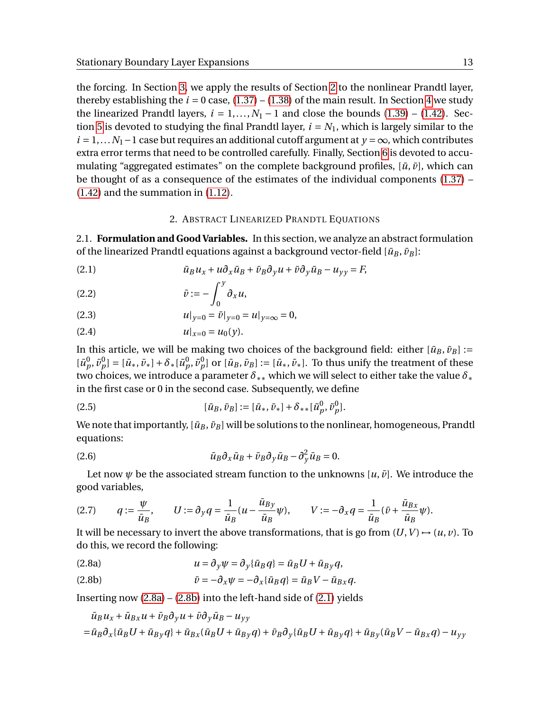the forcing. In Section [3,](#page-24-1) we apply the results of Section [2](#page-12-0) to the nonlinear Prandtl layer, thereby establishing the  $i = 0$  case,  $(1.37) - (1.38)$  $(1.37) - (1.38)$  $(1.37) - (1.38)$  of the main result. In Section [4](#page-27-0) we study the linearized Prandtl layers,  $i = 1,..., N_1 - 1$  and close the bounds [\(1.39\)](#page-7-5) – [\(1.42\)](#page-8-0). Sec-tion [5](#page-33-0) is devoted to studying the final Prandtl layer,  $i = N_1$ , which is largely similar to the  $i = 1,...N_1 - 1$  case but requires an additional cutoff argument at  $y = \infty$ , which contributes extra error terms that need to be controlled carefully. Finally, Section [6](#page-34-1) is devoted to accumulating "aggregated estimates" on the complete background profiles,  $[\bar{u}, \bar{v}]$ , which can be thought of as a consequence of the estimates of the individual components [\(1.37\)](#page-7-3) – [\(1.42\)](#page-8-0) and the summation in [\(1.12\)](#page-2-0).

## 2. ABSTRACT LINEARIZED PRANDTL EQUATIONS

<span id="page-12-0"></span>2.1. **Formulation and Good Variables.** In this section, we analyze an abstract formulation of the linearized Prandtl equations against a background vector-field  $[\bar{u}_B, \bar{v}_B]$ :

<span id="page-12-4"></span>(2.1) 
$$
\bar{u}_B u_x + u \partial_x \bar{u}_B + \bar{v}_B \partial_y u + \bar{v} \partial_y \bar{u}_B - u_{yy} = P
$$

$$
\bar{v} := -\int_0^y \partial_x u,
$$

(2.3) 
$$
u|_{y=0} = \bar{v}|_{y=0} = u|_{y=\infty} = 0,
$$

<span id="page-12-7"></span>(2.4) 
$$
u|_{x=0} = u_0(y).
$$

In this article, we will be making two choices of the background field: either  $[\bar{u}_B, \bar{v}_B] :=$  $[\bar{u}_p^0, \bar{v}_p^0] = [\bar{u}_*, \bar{v}_*] + \delta_*[\tilde{u}_p^0, \tilde{v}_p^0]$  or  $[\bar{u}_B, \bar{v}_B] := [\bar{u}_*, \bar{v}_*]$ . To thus unify the treatment of these two choices, we introduce a parameter *δ*∗∗ which we will select to either take the value *δ*∗ in the first case or 0 in the second case. Subsequently, we define

<span id="page-12-6"></span>(2.5) 
$$
[\bar{u}_B, \bar{v}_B] := [\bar{u}_*, \bar{v}_*] + \delta_{**} [\tilde{u}_p^0, \tilde{v}_p^0].
$$

We note that importantly,  $[\bar{u}_B, \bar{v}_B]$  will be solutions to the nonlinear, homogeneous, Prandtl equations:

<span id="page-12-5"></span>(2.6) 
$$
\bar{u}_B \partial_x \bar{u}_B + \bar{v}_B \partial_y \bar{u}_B - \partial_y^2 \bar{u}_B = 0.
$$

Let now  $\psi$  be the associated stream function to the unknowns  $[u, \bar{v}]$ . We introduce the good variables,

<span id="page-12-1"></span>
$$
(2.7) \qquad q := \frac{\psi}{\bar{u}_B}, \qquad U := \partial_y q = \frac{1}{\bar{u}_B} (u - \frac{\bar{u}_{By}}{\bar{u}_B} \psi), \qquad V := -\partial_x q = \frac{1}{\bar{u}_B} (\bar{v} + \frac{\bar{u}_{Bx}}{\bar{u}_B} \psi).
$$

It will be necessary to invert the above transformations, that is go from  $(U, V) \rightarrow (u, v)$ . To do this, we record the following:

<span id="page-12-2"></span>(2.8a) 
$$
u = \partial_y \psi = \partial_y \{\bar{u}_B q\} = \bar{u}_B U + \bar{u}_{By} q,
$$

<span id="page-12-3"></span>(2.8b) 
$$
\bar{v} = -\partial_x \psi = -\partial_x \{\bar{u}_B q\} = \bar{u}_B V - \bar{u}_{Bx} q.
$$

Inserting now  $(2.8a) - (2.8b)$  $(2.8a) - (2.8b)$  $(2.8a) - (2.8b)$  into the left-hand side of  $(2.1)$  yields

$$
\begin{aligned} \bar u_B u_x + \bar u_{Bx} u + \bar v_B \partial_y u + \bar v \partial_y \bar u_B - u_{yy} \\ = \bar u_B \partial_x \{ \bar u_B U + \bar u_{By} q \} + \bar u_{Bx} (\bar u_B U + \bar u_{By} q) + \bar v_B \partial_y \{ \bar u_B U + \bar u_{By} q \} + \bar u_{By} (\bar u_B V - \bar u_{Bx} q) - u_{yy} \end{aligned}
$$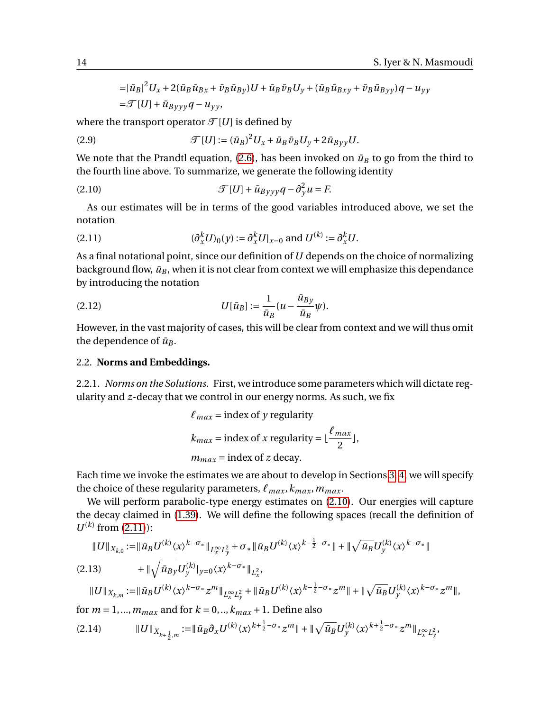$$
= |\bar{u}_B|^2 U_x + 2(\bar{u}_B \bar{u}_{Bx} + \bar{v}_B \bar{u}_{By})U + \bar{u}_B \bar{v}_B U_y + (\bar{u}_B \bar{u}_{Bxy} + \bar{v}_B \bar{u}_{Byy})q - u_{yy}
$$
  
=\mathcal{F}[U] + \bar{u}\_{Byyy}q - u\_{yy},

where the transport operator  $\mathcal{T}[U]$  is defined by

<span id="page-13-4"></span>(2.9) 
$$
\mathcal{T}[U] := (\bar{u}_B)^2 U_x + \bar{u}_B \bar{v}_B U_y + 2 \bar{u}_{Byy} U.
$$

We note that the Prandtl equation, [\(2.6\)](#page-12-5), has been invoked on  $\bar{u}_B$  to go from the third to the fourth line above. To summarize, we generate the following identity

<span id="page-13-1"></span>(2.10) 
$$
\mathcal{T}[U] + \bar{u}_{B\gamma\gamma\gamma}q - \partial_{\gamma}^{2}u = F.
$$

As our estimates will be in terms of the good variables introduced above, we set the notation

<span id="page-13-2"></span>(2.11) 
$$
(\partial_x^k U)_0(y) := \partial_x^k U|_{x=0} \text{ and } U^{(k)} := \partial_x^k U.
$$

As a final notational point, since our definition of*U* depends on the choice of normalizing background flow,  $\bar{u}_B$ , when it is not clear from context we will emphasize this dependance by introducing the notation

(2.12) 
$$
U[\bar{u}_B] := \frac{1}{\bar{u}_B} (u - \frac{\bar{u}_{By}}{\bar{u}_B} \psi).
$$

However, in the vast majority of cases, this will be clear from context and we will thus omit the dependence of  $\bar{u}_B$ .

## 2.2. **Norms and Embeddings.**

2.2.1. *Norms on the Solutions.* First, we introduce some parameters which will dictate regularity and *z*-decay that we control in our energy norms. As such, we fix

$$
\ell_{max} = \text{index of } y \text{ regularity}
$$

$$
k_{max} = \text{index of } x \text{ regularity} = \lfloor \frac{\ell_{max}}{2} \rfloor,
$$

$$
m_{max} = \text{index of } z \text{ decay.}
$$

Each time we invoke the estimates we are about to develop in Sections [3,](#page-24-1) [4,](#page-27-0) we will specify the choice of these regularity parameters,  $\ell_{max}$ ,  $k_{max}$ ,  $m_{max}$ .

We will perform parabolic-type energy estimates on [\(2.10\)](#page-13-1). Our energies will capture the decay claimed in [\(1.39\)](#page-7-5). We will define the following spaces (recall the definition of  $U^{(k)}$  from [\(2.11\)](#page-13-2)):

<span id="page-13-0"></span>
$$
\|U\|_{X_{k,0}} := \|\bar{u}_B U^{(k)} \langle x \rangle^{k-\sigma_*}\|_{L_x^{\infty} L_y^2} + \sigma_* \|\bar{u}_B U^{(k)} \langle x \rangle^{k-\frac{1}{2}-\sigma_*}\| + \|\sqrt{\bar{u}_B} U_y^{(k)} \langle x \rangle^{k-\sigma_*}\|
$$
\n
$$
\qquad + \|\sqrt{\bar{u}_B} y U_y^{(k)}|_{y=0} \langle x \rangle^{k-\sigma_*}\|_{L_x^2},
$$
\n(2.13)

$$
\|U\|_{X_{k,m}}:=\|\bar u_{B}U^{(k)}\langle x\rangle^{k-\sigma_*}z^{m}\|_{L^\infty_xL^2_y}+\|\bar u_{B}U^{(k)}\langle x\rangle^{k-\frac{1}{2}-\sigma_*}z^{m}\|+\|\sqrt{\bar u_{B}}U^{(k)}_y\langle x\rangle^{k-\sigma_*}z^{m}\|,
$$

for  $m = 1, \ldots, m_{max}$  and for  $k = 0, \ldots, k_{max} + 1$ . Define also

<span id="page-13-3"></span><sup>k</sup>*U*k*Xk*<sup>+</sup> 1 2 ,*m* :=k*u*¯*<sup>B</sup> ∂xU* (*k*) 〈*x*〉 *k*+ 1 2 <sup>−</sup>*σ*<sup>∗</sup> *<sup>z</sup> m*k + kp *u*¯*BU* (*k*) *y* 〈*x*〉 *k*+ 1 2 <sup>−</sup>*σ*<sup>∗</sup> *<sup>z</sup> <sup>m</sup>*k*L*<sup>∞</sup> *<sup>x</sup> L* 2 *y* (2.14) ,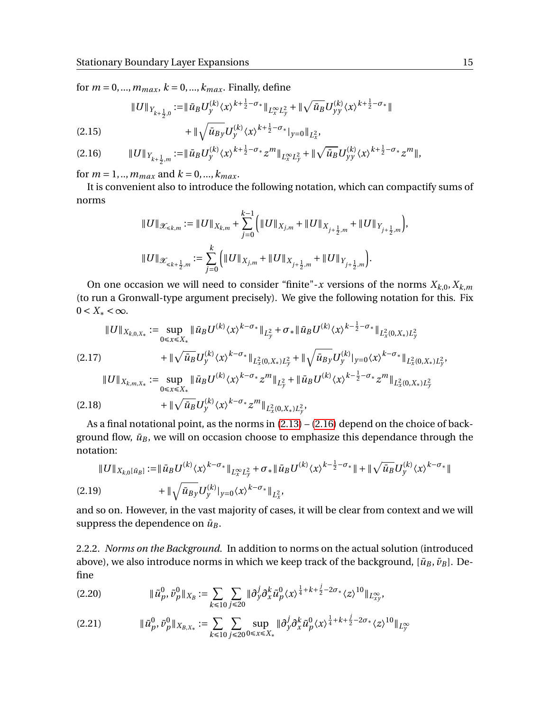for  $m = 0, ..., m_{max}$ ,  $k = 0, ..., k_{max}$ . Finally, define

$$
||U||_{Y_{k+\frac{1}{2},0}} := ||\bar{u}_B U_y^{(k)} \langle x \rangle^{k+\frac{1}{2}-\sigma_*}||_{L_x^{\infty} L_y^2} + ||\sqrt{\bar{u}_B} U_{yy}^{(k)} \langle x \rangle^{k+\frac{1}{2}-\sigma_*}||
$$

<span id="page-14-2"></span>(2.15) 
$$
+ \|\sqrt{\bar{u}_{By}} U_{y}^{(k)} \langle x \rangle^{k+\frac{1}{2}-\sigma_{*}}|_{y=0}\|_{L_{x}^{2}},
$$

<span id="page-14-1"></span>k*U*k*<sup>Y</sup> k*+ 1 2 ,*m* :=k*u*¯*BU* (*k*) *y* 〈*x*〉 *k*+ 1 2 <sup>−</sup>*σ*<sup>∗</sup> *<sup>z</sup> <sup>m</sup>*k*L*<sup>∞</sup> *<sup>x</sup> L* 2 *y* + kp *u*¯*BU* (*k*) *y y* 〈*x*〉 *k*+ 1 2 <sup>−</sup>*σ*<sup>∗</sup> *<sup>z</sup> <sup>m</sup>* (2.16) k,

for  $m = 1, ..., m_{max}$  and  $k = 0, ..., k_{max}$ .

It is convenient also to introduce the following notation, which can compactify sums of norms

$$
\label{eq:3.1} \begin{split} & \|U\|_{\mathcal{X}_{\leq k,m}} := \|U\|_{X_{k,m}} + \sum_{j=0}^{k-1} \Big( \|U\|_{X_{j,m}} + \|U\|_{X_{j+\frac{1}{2},m}} + \|U\|_{Y_{j+\frac{1}{2},m}} \Big),\\ & \|U\|_{\mathcal{X}_{\leq k+\frac{1}{2},m}} := \sum_{j=0}^{k} \Big( \|U\|_{X_{j,m}} + \|U\|_{X_{j+\frac{1}{2},m}} + \|U\|_{Y_{j+\frac{1}{2},m}} \Big). \end{split}
$$

On one occasion we will need to consider "finite"-*x* versions of the norms  $X_{k,0}, X_{k,m}$ (to run a Gronwall-type argument precisely). We give the following notation for this. Fix  $0 < X_* < \infty$ .

1

$$
\|U\|_{X_{k,0,X_*}} := \sup_{0 \le x \le X_*} \|\bar{u}_B U^{(k)} \langle x \rangle^{k-\sigma_*}\|_{L_y^2} + \sigma_* \|\bar{u}_B U^{(k)} \langle x \rangle^{k-\frac{1}{2}-\sigma_*}\|_{L_x^2(0,X_*)L_y^2}
$$
  
(2.17)  

$$
+ \|\sqrt{\bar{u}_B} U_y^{(k)} \langle x \rangle^{k-\sigma_*}\|_{L_x^2(0,X_*)L_y^2} + \|\sqrt{\bar{u}_B} y U_y^{(k)}|_{y=0} \langle x \rangle^{k-\sigma_*}\|_{L_x^2(0,X_*)L_y^2},
$$
  

$$
\|U\|_{X_{k,m,X_*}} := \sup_{0 \le x \le X_*} \|\bar{u}_B U^{(k)} \langle x \rangle^{k-\sigma_*} z^m\|_{L_y^2} + \|\bar{u}_B U^{(k)} \langle x \rangle^{k-\frac{1}{2}-\sigma_*} z^m\|_{L_x^2(0,X_*)L_y^2}
$$
  
(2.18)  

$$
+ \|\sqrt{\bar{u}_B} U_y^{(k)} \langle x \rangle^{k-\sigma_*} z^m\|_{L_x^2(0,X_*)L_y^2},
$$

As a final notational point, as the norms in [\(2.13\)](#page-13-0) – [\(2.16\)](#page-14-1) depend on the choice of background flow,  $\bar{u}_B$ , we will on occasion choose to emphasize this dependance through the notation:

<span id="page-14-0"></span>
$$
||U||_{X_{k,0}[\bar{u}_B]} := ||\bar{u}_B U^{(k)} \langle x \rangle^{k-\sigma_*} ||_{L_x^{\infty} L_y^2} + \sigma_* ||\bar{u}_B U^{(k)} \langle x \rangle^{k-\frac{1}{2}-\sigma_*} || + ||\sqrt{\bar{u}_B} U_y^{(k)} \langle x \rangle^{k-\sigma_*} ||
$$
  
(2.19) 
$$
+ ||\sqrt{\bar{u}_B} y U_y^{(k)}|_{y=0} \langle x \rangle^{k-\sigma_*} ||_{L_x^2},
$$

and so on. However, in the vast majority of cases, it will be clear from context and we will suppress the dependence on  $\bar{u}_B$ .

2.2.2. *Norms on the Background.* In addition to norms on the actual solution (introduced above), we also introduce norms in which we keep track of the background,  $[\bar{u}_B, \bar{v}_B]$ . Define

<span id="page-14-3"></span>
$$
(2.20) \t\t\t\t\t\t\|\tilde{u}_p^0, \tilde{v}_p^0\|_{X_B} := \sum_{k \leq 10} \sum_{j \leq 20} \|\partial_y^j \partial_x^k \tilde{u}_p^0 \langle x \rangle^{\frac{1}{4} + k + \frac{j}{2} - 2\sigma_*} \langle z \rangle^{10}\|_{L^{\infty}_{xy}},
$$

k*u*˜ 0 *p* , *v*˜ 0 *p* k*XB*,*X*<sup>∗</sup> := X *k*É10 X *j*É20 sup 0É*x*É*X*<sup>∗</sup> k*∂ j y∂ k xu*˜ 0 *p* 〈*x*〉 1 4 +*k*+ *j* 2 −2*σ*<sup>∗</sup> 〈*z*〉 <sup>10</sup>k*L*<sup>∞</sup> *y* (2.21)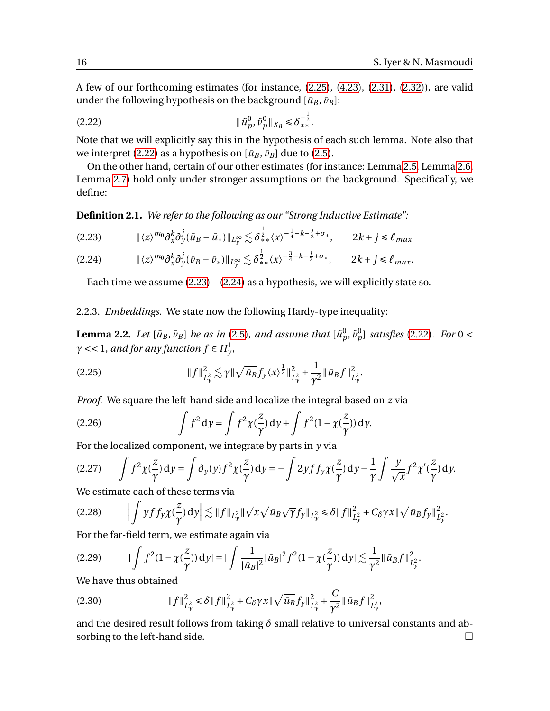A few of our forthcoming estimates (for instance, [\(2.25\)](#page-15-0), [\(4.23\)](#page-30-0), [\(2.31\)](#page-16-1), [\(2.32\)](#page-16-2)), are valid under the following hypothesis on the background  $[\bar{u}_B, \bar{v}_B]$ :

<span id="page-15-1"></span>k*u*˜ 0 *p* , *v*˜ 0 *p* k*X<sup>B</sup>* É *δ* − 1 2 ∗∗ .(2.22)

Note that we will explicitly say this in the hypothesis of each such lemma. Note also that we interpret [\(2.22\)](#page-15-1) as a hypothesis on  $[\bar{u}_B, \bar{v}_B]$  due to [\(2.5\)](#page-12-6).

On the other hand, certain of our other estimates (for instance: Lemma [2.5,](#page-19-0) Lemma [2.6,](#page-22-0) Lemma [2.7\)](#page-24-0) hold only under stronger assumptions on the background. Specifically, we define:

**Definition 2.1.** *We refer to the following as our "Strong Inductive Estimate":*

<span id="page-15-2"></span>
$$
(2.23) \t\t\t\t\t\| \langle z \rangle^{m_0} \partial_x^k \partial_y^j (\bar{u}_B - \bar{u}_*) \|_{L_y^{\infty}} \lesssim \delta_{**}^{\frac{1}{2}} \langle x \rangle^{-\frac{1}{4} - k - \frac{j}{2} + \sigma_*}, \t\t 2k + j \leq \ell_{max}
$$

<span id="page-15-3"></span>
$$
(2.24) \t\t\t\t\t\|\langle z \rangle^{m_0} \partial_x^k \partial_y^j (\bar{\nu}_B - \bar{\nu}_*)\|_{L_y^{\infty}} \lesssim \delta_{**}^{\frac{1}{2}} \langle x \rangle^{-\frac{3}{4} - k - \frac{j}{2} + \sigma_*}, \t\t 2k + j \leq \ell_{max}.
$$

Each time we assume  $(2.23) - (2.24)$  $(2.23) - (2.24)$  $(2.23) - (2.24)$  as a hypothesis, we will explicitly state so.

2.2.3. *Embeddings.* We state now the following Hardy-type inequality:

**Lemma 2.2.** Let  $[\bar{u}_B, \bar{v}_B]$  be as in [\(2.5\)](#page-12-6), and assume that  $[\tilde{u}_p^0, \tilde{v}_p^0]$  satisfies [\(2.22\)](#page-15-1). For 0 <  $\gamma$  << 1, and for any function  $f \in H^1_y$ ,

<span id="page-15-0"></span>(2.25) 
$$
\|f\|_{L_y^2}^2 \lesssim \gamma \|\sqrt{\bar{u}_B} f_y \langle x \rangle^{\frac{1}{2}} \|_{L_y^2}^2 + \frac{1}{\gamma^2} \|\bar{u}_B f\|_{L_y^2}^2.
$$

*Proof.* We square the left-hand side and localize the integral based on *z* via

(2.26) 
$$
\int f^2 dy = \int f^2 \chi(\frac{z}{\gamma}) dy + \int f^2 (1 - \chi(\frac{z}{\gamma})) dy.
$$

For the localized component, we integrate by parts in *y* via

(2.27) 
$$
\int f^2 \chi(\frac{z}{\gamma}) dy = \int \partial_y(y) f^2 \chi(\frac{z}{\gamma}) dy = -\int 2y f f_y \chi(\frac{z}{\gamma}) dy - \frac{1}{\gamma} \int \frac{y}{\sqrt{x}} f^2 \chi'(\frac{z}{\gamma}) dy.
$$

We estimate each of these terms via

$$
(2.28) \qquad \Big| \int y f f_y \chi(\frac{z}{\gamma}) dy \Big| \lesssim \|f\|_{L_y^2} \|\sqrt{x}\sqrt{\bar{u}_B}\sqrt{\gamma} f_y\|_{L_y^2} \le \delta \|f\|_{L_y^2}^2 + C_\delta \gamma x \|\sqrt{\bar{u}_B} f_y\|_{L_y^2}^2.
$$

For the far-field term, we estimate again via

$$
(2.29) \qquad |\int f^2 (1 - \chi(\frac{z}{\gamma})) \, \mathrm{d}y| = |\int \frac{1}{|\bar{u}_B|^2} |\bar{u}_B|^2 f^2 (1 - \chi(\frac{z}{\gamma})) \, \mathrm{d}y| \lesssim \frac{1}{\gamma^2} \|\bar{u}_B f\|_{L_y^2}^2.
$$

We have thus obtained

(2.30) 
$$
||f||_{L_y^2}^2 \le \delta ||f||_{L_y^2}^2 + C_\delta \gamma x ||\sqrt{\bar{u}_B} f_y||_{L_y^2}^2 + \frac{C}{\gamma^2} ||\bar{u}_B f||_{L_y^2}^2,
$$

and the desired result follows from taking  $\delta$  small relative to universal constants and absorbing to the left-hand side.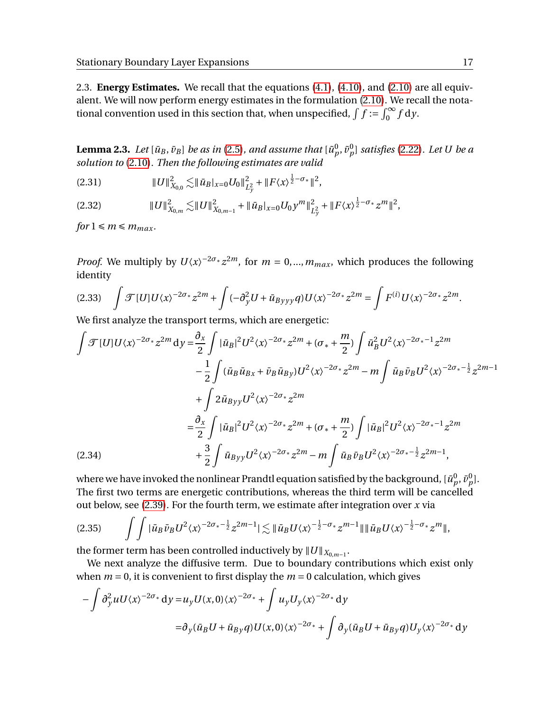2.3. **Energy Estimates.** We recall that the equations [\(4.1\)](#page-27-1), [\(4.10\)](#page-28-2), and [\(2.10\)](#page-13-1) are all equivalent. We will now perform energy estimates in the formulation [\(2.10\)](#page-13-1). We recall the notational convention used in this section that, when unspecified,  $\int f := \int_0^\infty f \, dy$ .

<span id="page-16-0"></span> ${\bf Lemma \ 2.3.}$   $Let \ [\bar{u}_B, \bar{v}_B]$  be as in [\(2.5\)](#page-12-6)*, and assume that*  $[\tilde{u}^0_p, \tilde{v}^0_p]$  satisfies [\(2.22\)](#page-15-1). Let  $U$  be a *solution to* [\(2.10\)](#page-13-1)*. Then the following estimates are valid*

<span id="page-16-1"></span>k*U*k 2 *X*0,0 .k*u*¯*<sup>B</sup>* <sup>|</sup>*x*=0*U*0<sup>k</sup> 2 *L* 2 *y* + k*F*〈*x*〉 1 2 <sup>−</sup>*σ*∗k 2 ,(2.31)

<span id="page-16-2"></span>k*U*k 2 *X*0,*<sup>m</sup>* .k*U*k 2 *X*0,*m*−<sup>1</sup> + k*u*¯*<sup>B</sup>* |*x*=0*U*<sup>0</sup> *y m*k 2 *L* 2 *y* + k*F*〈*x*〉 1 2 <sup>−</sup>*σ*<sup>∗</sup> *<sup>z</sup> m*k 2 (2.32) ,

*for*  $1 \le m \le m_{max}$ .

*Proof.* We multiply by  $U\langle x \rangle^{-2\sigma_*} z^{2m}$ , for  $m = 0, ..., m_{max}$ , which produces the following identity

<span id="page-16-4"></span>
$$
(2.33)\quad \int \mathcal{F}[U]U\langle x\rangle^{-2\sigma_*}z^{2m} + \int (-\partial_y^2 U + \bar{u}_{Byyy}q)U\langle x\rangle^{-2\sigma_*}z^{2m} = \int F^{(i)}U\langle x\rangle^{-2\sigma_*}z^{2m}.
$$

We first analyze the transport terms, which are energetic:

$$
\int \mathcal{F}[U]U\langle x\rangle^{-2\sigma_{*}}z^{2m} dy = \frac{\partial_{x}}{2}\int |\bar{u}_{B}|^{2}U^{2}\langle x\rangle^{-2\sigma_{*}}z^{2m} + (\sigma_{*} + \frac{m}{2})\int \bar{u}_{B}^{2}U^{2}\langle x\rangle^{-2\sigma_{*}-1}z^{2m} \n- \frac{1}{2}\int (\bar{u}_{B}\bar{u}_{Bx} + \bar{v}_{B}\bar{u}_{By})U^{2}\langle x\rangle^{-2\sigma_{*}}z^{2m} - m\int \bar{u}_{B}\bar{v}_{B}U^{2}\langle x\rangle^{-2\sigma_{*}-\frac{1}{2}}z^{2m-1} \n+ \int 2\bar{u}_{Byy}U^{2}\langle x\rangle^{-2\sigma_{*}}z^{2m} \n= \frac{\partial_{x}}{2}\int |\bar{u}_{B}|^{2}U^{2}\langle x\rangle^{-2\sigma_{*}}z^{2m} + (\sigma_{*} + \frac{m}{2})\int |\bar{u}_{B}|^{2}U^{2}\langle x\rangle^{-2\sigma_{*}-1}z^{2m} \n+ \frac{3}{2}\int \bar{u}_{Byy}U^{2}\langle x\rangle^{-2\sigma_{*}}z^{2m} - m\int \bar{u}_{B}\bar{v}_{B}U^{2}\langle x\rangle^{-2\sigma_{*}-\frac{1}{2}}z^{2m-1},
$$

<span id="page-16-3"></span>where we have invoked the nonlinear Prandtl equation satisfied by the background,  $[\bar{u}^0_p, \bar{v}^0_p].$ The first two terms are energetic contributions, whereas the third term will be cancelled out below, see [\(2.39\)](#page-17-0). For the fourth term, we estimate after integration over *x* via

$$
(2.35) \qquad \int \int |\bar{u}_B \bar{v}_B U^2 \langle x \rangle^{-2\sigma_*-\frac{1}{2}} z^{2m-1} |\lesssim \| \bar{u}_B U \langle x \rangle^{-\frac{1}{2}-\sigma_*} z^{m-1} \| \| \bar{u}_B U \langle x \rangle^{-\frac{1}{2}-\sigma_*} z^m \|,
$$

the former term has been controlled inductively by  $||U||_{X_{0,m-1}}$ .

We next analyze the diffusive term. Due to boundary contributions which exist only when  $m = 0$ , it is convenient to first display the  $m = 0$  calculation, which gives

$$
-\int \partial_y^2 u U \langle x \rangle^{-2\sigma_*} dy = u_y U(x,0) \langle x \rangle^{-2\sigma_*} + \int u_y U_y \langle x \rangle^{-2\sigma_*} dy
$$
  

$$
= \partial_y (\bar{u}_B U + \bar{u}_{By} q) U(x,0) \langle x \rangle^{-2\sigma_*} + \int \partial_y (\bar{u}_B U + \bar{u}_{By} q) U_y \langle x \rangle^{-2\sigma_*} dy
$$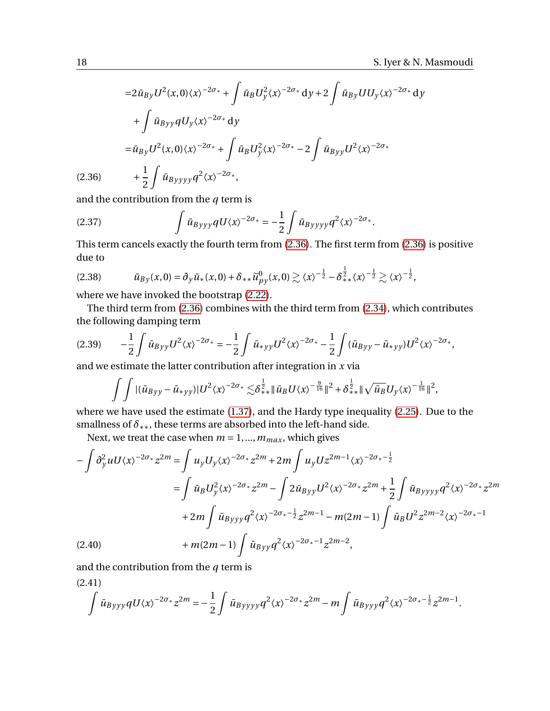$$
=2\bar{u}_{By}U^{2}(x,0)\langle x\rangle^{-2\sigma_{*}} + \int \bar{u}_{B}U_{y}^{2}\langle x\rangle^{-2\sigma_{*}} dy + 2\int \bar{u}_{By}UU_{y}\langle x\rangle^{-2\sigma_{*}} dy
$$
  
+ 
$$
\int \bar{u}_{Byy}qU_{y}\langle x\rangle^{-2\sigma_{*}} dy
$$
  
= 
$$
\bar{u}_{By}U^{2}(x,0)\langle x\rangle^{-2\sigma_{*}} + \int \bar{u}_{B}U_{y}^{2}\langle x\rangle^{-2\sigma_{*}} - 2\int \bar{u}_{Byy}U^{2}\langle x\rangle^{-2\sigma_{*}}
$$
  
(2.36) 
$$
+ \frac{1}{2}\int \bar{u}_{Byyyy}q^{2}\langle x\rangle^{-2\sigma_{*}},
$$

<span id="page-17-1"></span>and the contribution from the *q* term is

(2.37) 
$$
\int \bar{u}_{Byyy} qU \langle x \rangle^{-2\sigma_*} = -\frac{1}{2} \int \bar{u}_{Byyyy} q^2 \langle x \rangle^{-2\sigma_*}.
$$

This term cancels exactly the fourth term from [\(2.36\)](#page-17-1). The first term from [\(2.36\)](#page-17-1) is positive due to

$$
(2.38) \t\t \bar{u}_{By}(x,0) = \partial_y \bar{u}_*(x,0) + \delta_{**} \tilde{u}_{py}^0(x,0) \gtrsim \langle x \rangle^{-\frac{1}{2}} - \delta_{**}^{\frac{1}{2}} \langle x \rangle^{-\frac{1}{2}} \gtrsim \langle x \rangle^{-\frac{1}{2}},
$$

where we have invoked the bootstrap [\(2.22\)](#page-15-1).

The third term from [\(2.36\)](#page-17-1) combines with the third term from [\(2.34\)](#page-16-3), which contributes the following damping term

<span id="page-17-0"></span>
$$
(2.39) \qquad -\frac{1}{2}\int \bar{u}_{Byy}U^2 \langle x \rangle^{-2\sigma_*} = -\frac{1}{2}\int \bar{u}_{*yy}U^2 \langle x \rangle^{-2\sigma_*} - \frac{1}{2}\int (\bar{u}_{Byy} - \bar{u}_{*yy})U^2 \langle x \rangle^{-2\sigma_*},
$$

and we estimate the latter contribution after integration in *x* via

$$
\int \int |(\bar{u}_{Byy}-\bar{u}_{*yy})|U^2\langle x\rangle^{-2\sigma_*}\lesssim \delta_{**}^{\frac{1}{2}}\|\bar{u}_B U\langle x\rangle^{-\frac{9}{16}}\|^2+\delta_{**}^{\frac{1}{2}}\|\sqrt{\bar{u}_B}U_y\langle x\rangle^{-\frac{1}{16}}\|^2,
$$

where we have used the estimate [\(1.37\)](#page-7-3), and the Hardy type inequality [\(2.25\)](#page-15-0). Due to the smallness of  $\delta$ \*\*, these terms are absorbed into the left-hand side.

Next, we treat the case when  $m = 1, ..., m_{max}$ , which gives

$$
-\int \partial_y^2 u U \langle x \rangle^{-2\sigma_*} z^{2m} = \int u_y U_y \langle x \rangle^{-2\sigma_*} z^{2m} + 2m \int u_y U z^{2m-1} \langle x \rangle^{-2\sigma_* - \frac{1}{2}}
$$
  
\n
$$
= \int \bar{u}_B U_y^2 \langle x \rangle^{-2\sigma_*} z^{2m} - \int 2 \bar{u}_{Byy} U^2 \langle x \rangle^{-2\sigma_*} z^{2m} + \frac{1}{2} \int \bar{u}_{Byyy} \rho^2 \langle x \rangle^{-2\sigma_*} z^{2m}
$$
  
\n
$$
+ 2m \int \bar{u}_{Byyy} \rho^2 \langle x \rangle^{-2\sigma_* - \frac{1}{2}} z^{2m-1} - m(2m-1) \int \bar{u}_B U^2 z^{2m-2} \langle x \rangle^{-2\sigma_* - 1}
$$
  
\n(2.40) 
$$
+ m(2m-1) \int \bar{u}_{Byy} \rho^2 \langle x \rangle^{-2\sigma_* - 1} z^{2m-2},
$$

<span id="page-17-3"></span><span id="page-17-2"></span>and the contribution from the *q* term is

$$
(2.41)
$$
  

$$
\int \bar{u}_{Byyy} q U \langle x \rangle^{-2\sigma_*} z^{2m} = -\frac{1}{2} \int \bar{u}_{Byyyy} q^2 \langle x \rangle^{-2\sigma_*} z^{2m} - m \int \bar{u}_{Byyy} q^2 \langle x \rangle^{-2\sigma_* - \frac{1}{2}} z^{2m-1}.
$$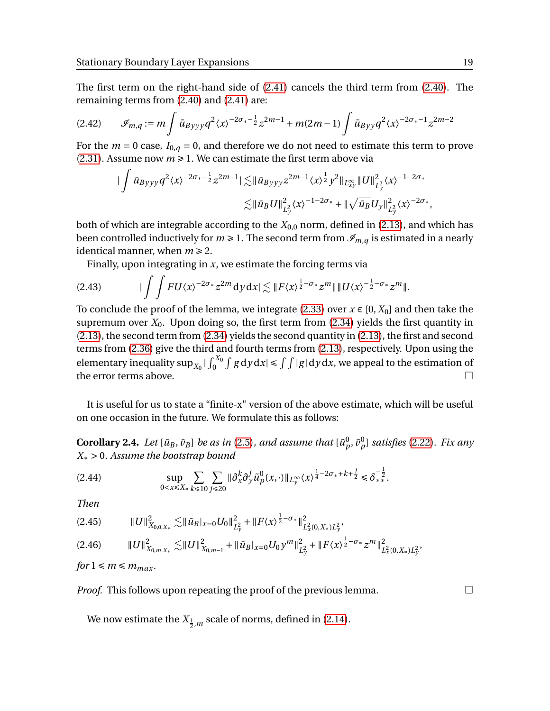The first term on the right-hand side of [\(2.41\)](#page-17-2) cancels the third term from [\(2.40\)](#page-17-3). The remaining terms from [\(2.40\)](#page-17-3) and [\(2.41\)](#page-17-2) are:

$$
(2.42) \qquad \mathcal{I}_{m,q} := m \int \bar{u}_{Byyy} q^2 \langle x \rangle^{-2\sigma_* - \frac{1}{2}} z^{2m-1} + m(2m-1) \int \bar{u}_{Byy} q^2 \langle x \rangle^{-2\sigma_* - 1} z^{2m-2}
$$

For the  $m = 0$  case,  $I_{0,q} = 0$ , and therefore we do not need to estimate this term to prove  $(2.31)$ . Assume now  $m \ge 1$ . We can estimate the first term above via

$$
\begin{split} \|\int \bar{u}_{Byyy} q^2 \langle x \rangle^{-2\sigma_*-\frac{1}{2}} z^{2m-1} |\lesssim & \|\bar{u}_{Byyy} z^{2m-1} \langle x \rangle^{\frac{1}{2}} y^2 \|_{L^{\infty}_{xy}} \|U\|_{L^2_y}^2 \langle x \rangle^{-1-2\sigma_*} \\ \lesssim & \|\bar{u}_B U\|_{L^2_y}^2 \langle x \rangle^{-1-2\sigma_*} + \|\sqrt{\bar{u}_B} U_y\|_{L^2_y}^2 \langle x \rangle^{-2\sigma_*}, \end{split}
$$

both of which are integrable according to the  $X_{0,0}$  norm, defined in [\(2.13\)](#page-13-0), and which has been controlled inductively for  $m \geq 1$ . The second term from  $\mathcal{I}_{m,q}$  is estimated in a nearly identical manner, when  $m \geq 2$ .

Finally, upon integrating in *x*, we estimate the forcing terms via

$$
(2.43) \qquad \qquad \int \int FU \langle x \rangle^{-2\sigma_*} z^{2m} dy \, dx \leq \|F \langle x \rangle^{\frac{1}{2}-\sigma_*} z^{m}\| \|U \langle x \rangle^{-\frac{1}{2}-\sigma_*} z^{m}\|.
$$

To conclude the proof of the lemma, we integrate [\(2.33\)](#page-16-4) over  $x \in [0, X_0]$  and then take the supremum over  $X_0$ . Upon doing so, the first term from [\(2.34\)](#page-16-3) yields the first quantity in [\(2.13\)](#page-13-0), the second term from [\(2.34\)](#page-16-3) yields the second quantity in [\(2.13\)](#page-13-0), the first and second terms from [\(2.36\)](#page-17-1) give the third and fourth terms from [\(2.13\)](#page-13-0), respectively. Upon using the elementary inequality  $\sup_{X_0} |\int_0^{X_0} \int g \, dy \, dx| \le \int \int |g| \, dy \, dx$ , we appeal to the estimation of the error terms above.  $\Box$ 

It is useful for us to state a "finite-x" version of the above estimate, which will be useful on one occasion in the future. We formulate this as follows:

**Corollary 2.4.** Let  $[\bar{u}_B, \bar{v}_B]$  be as in [\(2.5\)](#page-12-6), and assume that  $[\tilde{u}_p^0, \tilde{v}_p^0]$  satisfies [\(2.22\)](#page-15-1). Fix any *X*<sup>∗</sup> > 0*. Assume the bootstrap bound*

<span id="page-18-1"></span>
$$
\sup_{0 < x \leq X_*} \sum_{k \leq 10} \sum_{j \leq 20} \| \partial_x^k \partial_y^j \tilde{u}_p^0(x, \cdot) \|_{L_y^{\infty}} \langle x \rangle^{\frac{1}{4} - 2\sigma_* + k + \frac{j}{2}} \leq \delta_*^{-\frac{1}{2}}.
$$

*Then*

k*U*k 2 *X*0,0,*X*<sup>∗</sup> .k*u*¯*<sup>B</sup>* <sup>|</sup>*x*=0*U*0<sup>k</sup> 2 *L* 2 *y* + k*F*〈*x*〉 1 2 <sup>−</sup>*σ*∗k 2 *L* 2 *x* (0,*X*∗)*L* 2 *y* ,(2.45)

<span id="page-18-0"></span>
$$
(2.46) \t\t\t\t\t||U||_{X_{0,m,X_*}}^2 \lesssim ||U||_{X_{0,m-1}}^2 + ||\bar{u}_B|_{x=0} U_0 y^m||_{L_y^2}^2 + ||F\langle x\rangle^{\frac{1}{2}-\sigma_*} z^m||_{L_x^2(0,X_*)L_y^2}^2,
$$

$$
for 1 \le m \le m_{max}.
$$

*Proof.* This follows upon repeating the proof of the previous lemma.  $\Box$ 

We now estimate the  $X_{\frac{1}{2},m}$  scale of norms, defined in [\(2.14\)](#page-13-3).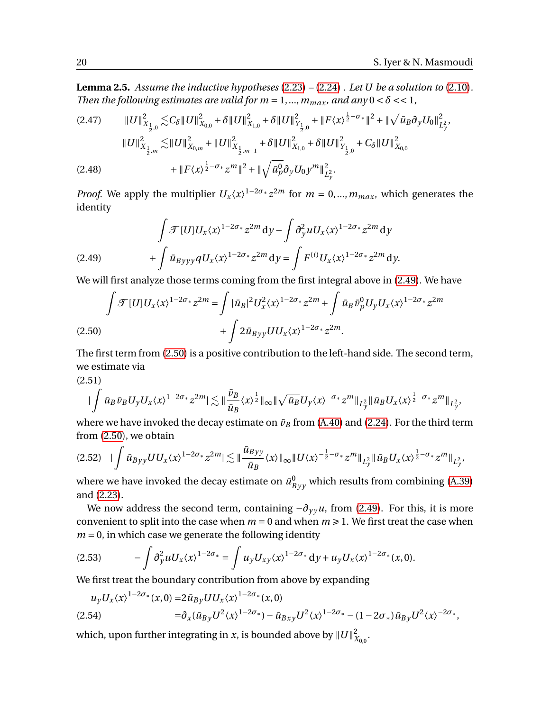<span id="page-19-0"></span>**Lemma 2.5.** *Assume the inductive hypotheses* [\(2.23\)](#page-15-2) *–* [\(2.24\)](#page-15-3) *. Let U be a solution to* [\(2.10\)](#page-13-1)*. Then the following estimates are valid for*  $m = 1, ..., m_{max}$ *, and any*  $0 < \delta << 1$ ,

$$
(2.47) \qquad \qquad \|U\|_{X_{\frac{1}{2},0}}^2 \lesssim C_\delta \|U\|_{X_{0,0}}^2 + \delta \|U\|_{X_{1,0}}^2 + \delta \|U\|_{Y_{\frac{1}{2},0}}^2 + \|F\langle x\rangle^{\frac{1}{2}-\sigma_*} \|^{2} + \|\sqrt{\bar{u}_B} \partial_y U_0\|_{L_y^2}^2,
$$
  

$$
\|U\|_{X_{\frac{1}{2},m}}^2 \lesssim \|U\|_{X_{0,m}}^2 + \|U\|_{X_{\frac{1}{2},m-1}}^2 + \delta \|U\|_{X_{1,0}}^2 + \delta \|U\|_{Y_{\frac{1}{2},0}}^2 + C_\delta \|U\|_{X_{0,0}}^2
$$
  

$$
(2.48) \qquad \qquad + \|F\langle x\rangle^{\frac{1}{2}-\sigma_*} z^m\|^2 + \|\sqrt{\bar{u}_p^0} \partial_y U_0 y^m\|_{L_y^2}^2.
$$

*Proof.* We apply the multiplier  $U_x \langle x \rangle^{1-2\sigma_x} z^{2m}$  for  $m = 0, ..., m_{max}$ , which generates the identity

<span id="page-19-1"></span>(2.49) 
$$
\int \mathcal{T}[U]U_x \langle x \rangle^{1-2\sigma_*} z^{2m} dy - \int \partial_y^2 u U_x \langle x \rangle^{1-2\sigma_*} z^{2m} dy + \int \bar{u}_{Byyy} q U_x \langle x \rangle^{1-2\sigma_*} z^{2m} dy = \int F^{(i)} U_x \langle x \rangle^{1-2\sigma_*} z^{2m} dy.
$$

We will first analyze those terms coming from the first integral above in [\(2.49\)](#page-19-1). We have

<span id="page-19-2"></span>
$$
\int \mathcal{F}[U]U_x \langle x \rangle^{1-2\sigma_*} z^{2m} = \int |\bar{u}_B|^2 U_x^2 \langle x \rangle^{1-2\sigma_*} z^{2m} + \int \bar{u}_B \bar{\nu}_p^0 U_y U_x \langle x \rangle^{1-2\sigma_*} z^{2m}
$$
\n
$$
+ \int 2 \bar{u}_{Byy} U U_x \langle x \rangle^{1-2\sigma_*} z^{2m}.
$$
\n(2.50)

The first term from [\(2.50\)](#page-19-2) is a positive contribution to the left-hand side. The second term, we estimate via

(2.51)

$$
|\int \bar{u}_B \bar{v}_B U_y U_x \langle x \rangle^{1-2\sigma_*} z^{2m} |\lesssim \| \frac{\bar{v}_B}{\bar{u}_B} \langle x \rangle^{\frac{1}{2}} \|_{\infty} \| \sqrt{\bar{u}_B} U_y \langle x \rangle^{-\sigma_*} z^{m} \|_{L^2_y} \| \bar{u}_B U_x \langle x \rangle^{\frac{1}{2}-\sigma_*} z^{m} \|_{L^2_y},
$$

where we have invoked the decay estimate on  $\bar{v}_B$  from [\(A.40\)](#page-41-2) and [\(2.24\)](#page-15-3). For the third term from [\(2.50\)](#page-19-2), we obtain

<span id="page-19-4"></span>
$$
(2.52)\quad|\int \bar{u}_{Byy}UU_x\langle x\rangle^{1-2\sigma_*}z^{2m}|\lesssim \|\frac{\bar{u}_{Byy}}{\bar{u}_B}\langle x\rangle\|_{\infty}\|U\langle x\rangle^{-\frac{1}{2}-\sigma_*}z^m\|_{L^2_y}\|\bar{u}_BU_x\langle x\rangle^{\frac{1}{2}-\sigma_*}z^m\|_{L^2_y},
$$

where we have invoked the decay estimate on  $\bar{u}^0_{Byy}$  which results from combining [\(A.39\)](#page-41-3) and [\(2.23\)](#page-15-2).

We now address the second term, containing  $-\partial_{\gamma} u$ , from [\(2.49\)](#page-19-1). For this, it is more convenient to split into the case when  $m = 0$  and when  $m \ge 1$ . We first treat the case when  $m = 0$ , in which case we generate the following identity

<span id="page-19-3"></span>
$$
(2.53) \qquad \qquad -\int \partial_y^2 u U_x \langle x \rangle^{1-2\sigma_*} = \int u_y U_{xy} \langle x \rangle^{1-2\sigma_*} dy + u_y U_x \langle x \rangle^{1-2\sigma_*} (x,0).
$$

We first treat the boundary contribution from above by expanding

<span id="page-19-5"></span>
$$
\begin{split} u_y U_x \langle x \rangle^{1-2\sigma_*}(x,0) = & 2\bar{u}_{By} U U_x \langle x \rangle^{1-2\sigma_*}(x,0) \\ & = & \partial_x (\bar{u}_{By} U^2 \langle x \rangle^{1-2\sigma_*}) - \bar{u}_{Bxy} U^2 \langle x \rangle^{1-2\sigma_*} - (1 - 2\sigma_*) \bar{u}_{By} U^2 \langle x \rangle^{-2\sigma_*}, \end{split}
$$

which, upon further integrating in *x*, is bounded above by  $\|U\|_\lambda^2$ 2<br>X<sub>0,0</sub> ·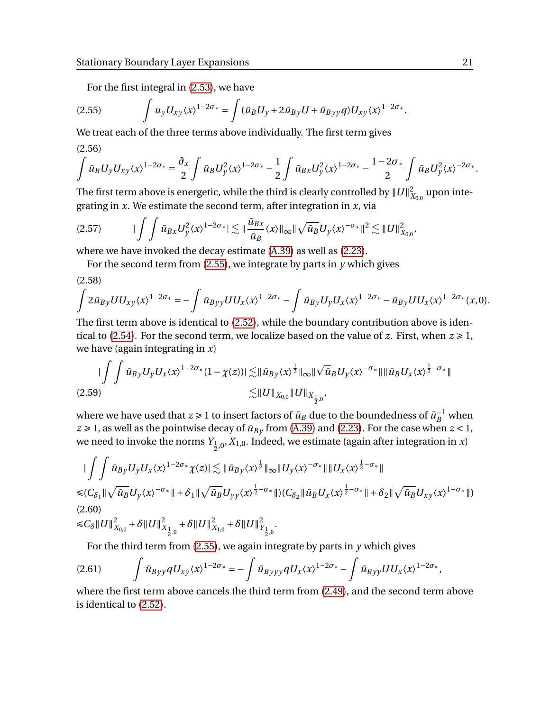For the first integral in [\(2.53\)](#page-19-3), we have

<span id="page-20-0"></span>
$$
(2.55) \qquad \int u_y U_{xy} \langle x \rangle^{1-2\sigma_*} = \int (\bar{u}_B U_y + 2 \bar{u}_{By} U + \bar{u}_{Byy} q) U_{xy} \langle x \rangle^{1-2\sigma_*}.
$$

<span id="page-20-3"></span>We treat each of the three terms above individually. The first term gives (2.56)

$$
\int \bar{u}_B U_y U_{xy} \langle x \rangle^{1-2\sigma_*} = \frac{\partial_x}{2} \int \bar{u}_B U_y^2 \langle x \rangle^{1-2\sigma_*} - \frac{1}{2} \int \bar{u}_{Bx} U_y^2 \langle x \rangle^{1-2\sigma_*} - \frac{1-2\sigma_*}{2} \int \bar{u}_B U_y^2 \langle x \rangle^{-2\sigma_*}.
$$

The first term above is energetic, while the third is clearly controlled by  $\|U\|_\lambda^2$  $\chi^2_{0,0}$  upon integrating in *x*. We estimate the second term, after integration in *x*, via

$$
(2.57) \t\t\t\t |\int \bar{u}_{Bx} U_y^2 \langle x \rangle^{1-2\sigma_*} |\lesssim \|\frac{\bar{u}_{Bx}}{\bar{u}_B} \langle x \rangle \|_{\infty} \|\sqrt{\bar{u}_B} U_y \langle x \rangle^{-\sigma_*}\|^2 \lesssim \|U\|_{X_{0,0}}^2,
$$

where we have invoked the decay estimate [\(A.39\)](#page-41-3) as well as [\(2.23\)](#page-15-2).

For the second term from  $(2.55)$ , we integrate by parts in  $\gamma$  which gives

(2.58)

$$
\int 2 \bar{u}_{By} U U_{xy} \langle x \rangle^{1-2\sigma_*} = - \int \bar{u}_{Byy} U U_x \langle x \rangle^{1-2\sigma_*} - \int \bar{u}_{By} U_y U_x \langle x \rangle^{1-2\sigma_*} - \bar{u}_{By} U U_x \langle x \rangle^{1-2\sigma_*} (x,0).
$$

The first term above is identical to [\(2.52\)](#page-19-4), while the boundary contribution above is iden-tical to [\(2.54\)](#page-19-5). For the second term, we localize based on the value of *z*. First, when  $z \ge 1$ , we have (again integrating in *x*)

<span id="page-20-1"></span>
$$
\begin{aligned}\n| \int \int \bar{u}_{By} U_{y} U_{x} \langle x \rangle^{1-2\sigma_{*}} (1 - \chi(z)) | \lesssim & \| \bar{u}_{By} \langle x \rangle^{\frac{1}{2}} \|_{\infty} \| \sqrt{\bar{u}}_{B} U_{y} \langle x \rangle^{-\sigma_{*}} \| \| \bar{u}_{B} U_{x} \langle x \rangle^{\frac{1}{2}-\sigma_{*}} \| \\
&\lesssim & \| U \|_{X_{0,0}} \| U \|_{X_{\frac{1}{2},0}},\n\end{aligned}
$$
\n(2.59)

where we have used that  $z \geq 1$  to insert factors of  $\bar{u}_B$  due to the boundedness of  $\bar{u}_B^{-1}$  when  $z \ge 1$ , as well as the pointwise decay of  $\bar{u}_{By}$  from [\(A.39\)](#page-41-3) and [\(2.23\)](#page-15-2). For the case when  $z < 1$ , we need to invoke the norms  $Y_{\frac{1}{2},0},X_{1,0}.$  Indeed, we estimate (again after integration in *x*)

<span id="page-20-2"></span>
$$
\begin{split}\n&\|\int\int \bar{u}_{By}U_{y}U_{x}\langle x\rangle^{1-2\sigma_{*}}\chi(z)|\lesssim \|\bar{u}_{By}\langle x\rangle^{\frac{1}{2}}\|_{\infty}\|U_{y}\langle x\rangle^{-\sigma_{*}}\|\|U_{x}\langle x\rangle^{\frac{1}{2}-\sigma_{*}}\| \\
&\leqslant & C_{\delta_{1}}\|\sqrt{\bar{u}_{B}}U_{y}\langle x\rangle^{-\sigma_{*}}\|+\delta_{1}\|\sqrt{\bar{u}_{B}}U_{yy}\langle x\rangle^{\frac{1}{2}-\sigma_{*}}\|)(C_{\delta_{2}}\|\bar{u}_{B}U_{x}\langle x\rangle^{\frac{1}{2}-\sigma_{*}}\|+\delta_{2}\|\sqrt{\bar{u}_{B}}U_{xy}\langle x\rangle^{1-\sigma_{*}}\|) \\
&\leqslant & C_{\delta}\|U\|_{X_{0,0}}^{2}+\delta\|U\|_{X_{\frac{1}{2},0}}^{2}+\delta\|U\|_{X_{1,0}}^{2}+\delta\|U\|_{Y_{\frac{1}{2},0}}^{2}.\n\end{split}
$$

For the third term from  $(2.55)$ , we again integrate by parts in  $\gamma$  which gives

$$
(2.61) \qquad \int \bar{u}_{Byy} q U_{xy} \langle x \rangle^{1-2\sigma_*} = -\int \bar{u}_{Byyy} q U_x \langle x \rangle^{1-2\sigma_*} - \int \bar{u}_{Byy} U U_x \langle x \rangle^{1-2\sigma_*},
$$

where the first term above cancels the third term from [\(2.49\)](#page-19-1), and the second term above is identical to [\(2.52\)](#page-19-4).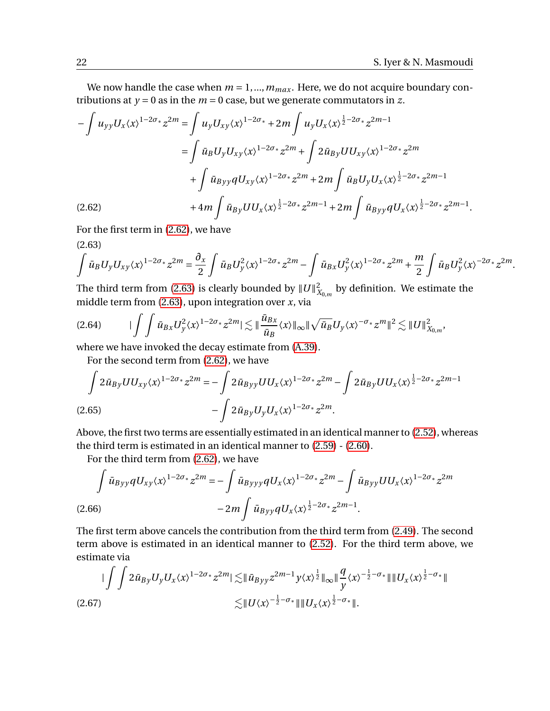We now handle the case when  $m = 1, ..., m_{max}$ . Here, we do not acquire boundary contributions at  $y = 0$  as in the  $m = 0$  case, but we generate commutators in z.

$$
-\int u_{yy}U_{x}\langle x\rangle^{1-2\sigma_{*}}z^{2m} = \int u_{y}U_{xy}\langle x\rangle^{1-2\sigma_{*}} + 2m\int u_{y}U_{x}\langle x\rangle^{\frac{1}{2}-2\sigma_{*}}z^{2m-1}
$$
  

$$
= \int \bar{u}_{B}U_{y}U_{xy}\langle x\rangle^{1-2\sigma_{*}}z^{2m} + \int 2\bar{u}_{By}UU_{xy}\langle x\rangle^{1-2\sigma_{*}}z^{2m}
$$
  

$$
+ \int \bar{u}_{Byy}qU_{xy}\langle x\rangle^{1-2\sigma_{*}}z^{2m} + 2m\int \bar{u}_{B}U_{y}U_{x}\langle x\rangle^{\frac{1}{2}-2\sigma_{*}}z^{2m-1}
$$
  
(2.62) 
$$
+ 4m\int \bar{u}_{By}UU_{x}\langle x\rangle^{\frac{1}{2}-2\sigma_{*}}z^{2m-1} + 2m\int \bar{u}_{Byy}qU_{x}\langle x\rangle^{\frac{1}{2}-2\sigma_{*}}z^{2m-1}.
$$

<span id="page-21-1"></span><span id="page-21-0"></span>For the first term in [\(2.62\)](#page-21-0), we have

$$
(2.63)
$$

$$
\int \bar{u}_B U_y U_{xy} \langle x \rangle^{1-2\sigma_*} z^{2m} = \frac{\partial_x}{2} \int \bar{u}_B U_y^2 \langle x \rangle^{1-2\sigma_*} z^{2m} - \int \bar{u}_{Bx} U_y^2 \langle x \rangle^{1-2\sigma_*} z^{2m} + \frac{m}{2} \int \bar{u}_B U_y^2 \langle x \rangle^{-2\sigma_*} z^{2m}.
$$

The third term from [\(2.63\)](#page-21-1) is clearly bounded by  $||U||_x^2$  $\mathcal{X}_{X_{0,m}}$  by definition. We estimate the middle term from [\(2.63\)](#page-21-1), upon integration over *x*, via

$$
(2.64) \qquad \qquad \vert \int \int \bar{u}_{Bx} U_y^2 \langle x \rangle^{1-2\sigma_*} z^{2m} \vert \lesssim \Vert \frac{\bar{u}_{Bx}}{\bar{u}_B} \langle x \rangle \Vert_{\infty} \Vert \sqrt{\bar{u}_B} U_y \langle x \rangle^{-\sigma_*} z^m \Vert^2 \lesssim \Vert U \Vert_{X_{0,m}}^2,
$$

where we have invoked the decay estimate from [\(A.39\)](#page-41-3).

For the second term from [\(2.62\)](#page-21-0), we have

$$
\int 2\bar{u}_{By}UU_{xy}\langle x\rangle^{1-2\sigma_*}z^{2m} = -\int 2\bar{u}_{Byy}UU_x\langle x\rangle^{1-2\sigma_*}z^{2m} - \int 2\bar{u}_{By}UU_x\langle x\rangle^{\frac{1}{2}-2\sigma_*}z^{2m-1}
$$
\n
$$
-\int 2\bar{u}_{By}U_yU_x\langle x\rangle^{1-2\sigma_*}z^{2m}.
$$
\n(2.65)

Above, the first two terms are essentially estimated in an identical manner to [\(2.52\)](#page-19-4), whereas the third term is estimated in an identical manner to [\(2.59\)](#page-20-1) - [\(2.60\)](#page-20-2).

For the third term from [\(2.62\)](#page-21-0), we have

$$
\int \bar{u}_{Byy} q U_{xy} \langle x \rangle^{1-2\sigma_*} z^{2m} = -\int \bar{u}_{Byyy} q U_x \langle x \rangle^{1-2\sigma_*} z^{2m} - \int \bar{u}_{Byy} U U_x \langle x \rangle^{1-2\sigma_*} z^{2m}
$$
\n
$$
(2.66)
$$
\n
$$
-2m \int \bar{u}_{Byy} q U_x \langle x \rangle^{\frac{1}{2}-2\sigma_*} z^{2m-1}.
$$

The first term above cancels the contribution from the third term from [\(2.49\)](#page-19-1). The second term above is estimated in an identical manner to [\(2.52\)](#page-19-4). For the third term above, we estimate via

$$
\begin{split} \|\int\int 2\bar{u}_{By}U_{y}U_{x}\langle x\rangle^{1-2\sigma_{*}}z^{2m}|\lesssim & \|\bar{u}_{Byy}z^{2m-1}y\langle x\rangle^{\frac{1}{2}}\|_{\infty}\|\frac{q}{y}\langle x\rangle^{-\frac{1}{2}-\sigma_{*}}\|\|U_{x}\langle x\rangle^{\frac{1}{2}-\sigma_{*}}\|\\ \lesssim & \|U\langle x\rangle^{-\frac{1}{2}-\sigma_{*}}\|\|U_{x}\langle x\rangle^{\frac{1}{2}-\sigma_{*}}\|. \end{split}
$$
\n(2.67)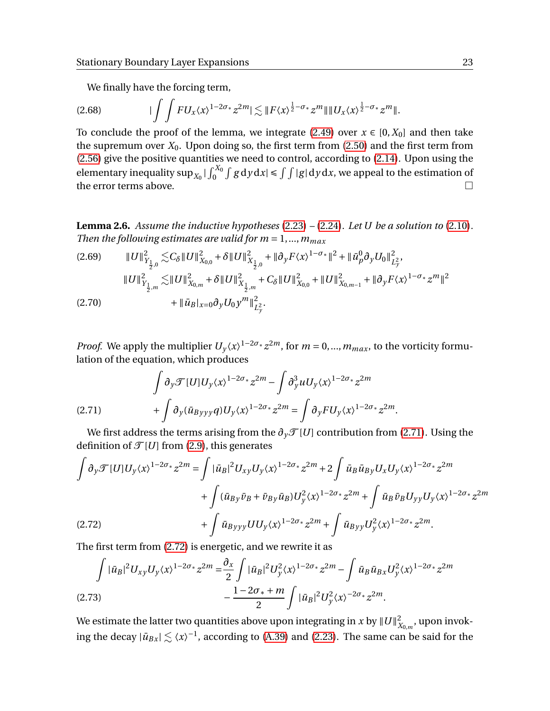We finally have the forcing term,

$$
(2.68)\qquad \qquad \vert \int \int FU_x \langle x \rangle^{1-2\sigma_*} z^{2m} \vert \lesssim \Vert F \langle x \rangle^{\frac{1}{2}-\sigma_*} z^{m} \Vert \Vert U_x \langle x \rangle^{\frac{1}{2}-\sigma_*} z^{m} \Vert.
$$

To conclude the proof of the lemma, we integrate [\(2.49\)](#page-19-1) over  $x \in [0, X_0]$  and then take the supremum over  $X_0$ . Upon doing so, the first term from [\(2.50\)](#page-19-2) and the first term from [\(2.56\)](#page-20-3) give the positive quantities we need to control, according to [\(2.14\)](#page-13-3). Upon using the elementary inequality  $\sup_{X_0} |\int_0^{X_0} \int g \, dy \, dx| \le \int \int |g| \, dy \, dx$ , we appeal to the estimation of the error terms above.

<span id="page-22-0"></span>**Lemma 2.6.** *Assume the inductive hypotheses* [\(2.23\)](#page-15-2) *–* [\(2.24\)](#page-15-3)*. Let U be a solution to* [\(2.10\)](#page-13-1)*. Then the following estimates are valid for*  $m = 1, ..., m_{max}$ 

$$
(2.69) \t\t\t||U||_{Y_{\frac{1}{2},0}}^2 \lesssim C_\delta ||U||_{X_{0,0}}^2 + \delta ||U||_{X_{\frac{1}{2},0}}^2 + ||\partial_y F \langle x \rangle^{1-\sigma_*}||^2 + ||\bar{u}_p^0 \partial_y U_0||_{L_y^2}^2,\t\t\t||U||_{Y_{\frac{1}{2},m}}^2 \lesssim ||U||_{X_{0,m}}^2 + \delta ||U||_{X_{\frac{1}{2},m}}^2 + C_\delta ||U||_{X_{0,0}}^2 + ||U||_{X_{0,m-1}}^2 + ||\partial_y F \langle x \rangle^{1-\sigma_*} z^m||^2(2.70) \t\t\t\t\t\t\t\t\t\t\t\t\t\t\t\t\t\t\t\t\t\t+ ||\bar{u}_B|_{x=0} \partial_y U_0 y^m||_{L_y^2}^2.
$$

*Proof.* We apply the multiplier  $U_y \langle x \rangle^{1-2\sigma_*} z^{2m}$ , for  $m = 0, ..., m_{max}$ , to the vorticity formulation of the equation, which produces

<span id="page-22-1"></span>
$$
\int \partial_y \mathcal{F}[U] U_y \langle x \rangle^{1-2\sigma_*} z^{2m} - \int \partial_y^3 u U_y \langle x \rangle^{1-2\sigma_*} z^{2m} + \int \partial_y (\bar{u}_{Byyy} q) U_y \langle x \rangle^{1-2\sigma_*} z^{2m} = \int \partial_y F U_y \langle x \rangle^{1-2\sigma_*} z^{2m}.
$$

We first address the terms arising from the  $\partial_{\gamma} \mathcal{T}[U]$  contribution from [\(2.71\)](#page-22-1). Using the definition of  $\mathcal{T}[U]$  from [\(2.9\)](#page-13-4), this generates

$$
\int \partial_y \mathcal{F}[U] U_y \langle x \rangle^{1-2\sigma_*} z^{2m} = \int |\bar{u}_B|^2 U_{xy} U_y \langle x \rangle^{1-2\sigma_*} z^{2m} + 2 \int \bar{u}_B \bar{u}_{By} U_x U_y \langle x \rangle^{1-2\sigma_*} z^{2m} \n+ \int (\bar{u}_{By} \bar{v}_B + \bar{v}_{By} \bar{u}_B) U_y^2 \langle x \rangle^{1-2\sigma_*} z^{2m} + \int \bar{u}_B \bar{v}_B U_{yy} U_y \langle x \rangle^{1-2\sigma_*} z^{2m} \n+ \int \bar{u}_{Byyy} U U_y \langle x \rangle^{1-2\sigma_*} z^{2m} + \int \bar{u}_{Byy} U_y^2 \langle x \rangle^{1-2\sigma_*} z^{2m}.
$$

<span id="page-22-2"></span>The first term from [\(2.72\)](#page-22-2) is energetic, and we rewrite it as

<span id="page-22-3"></span>
$$
\int |\bar{u}_B|^2 U_{xy} U_y \langle x \rangle^{1-2\sigma_*} z^{2m} = \frac{\partial_x}{2} \int |\bar{u}_B|^2 U_y^2 \langle x \rangle^{1-2\sigma_*} z^{2m} - \int \bar{u}_B \bar{u}_{Bx} U_y^2 \langle x \rangle^{1-2\sigma_*} z^{2m}
$$
\n
$$
- \frac{1-2\sigma_* + m}{2} \int |\bar{u}_B|^2 U_y^2 \langle x \rangle^{-2\sigma_*} z^{2m}.
$$
\n(2.73)

We estimate the latter two quantities above upon integrating in *x* by  $\|U\|_\lambda^2$  $\chi^2_{\chi_{0,m}}$ , upon invoking the decay  $|\bar{u}_{Bx}| \lesssim \langle x \rangle^{-1}$ , according to [\(A.39\)](#page-41-3) and [\(2.23\)](#page-15-2). The same can be said for the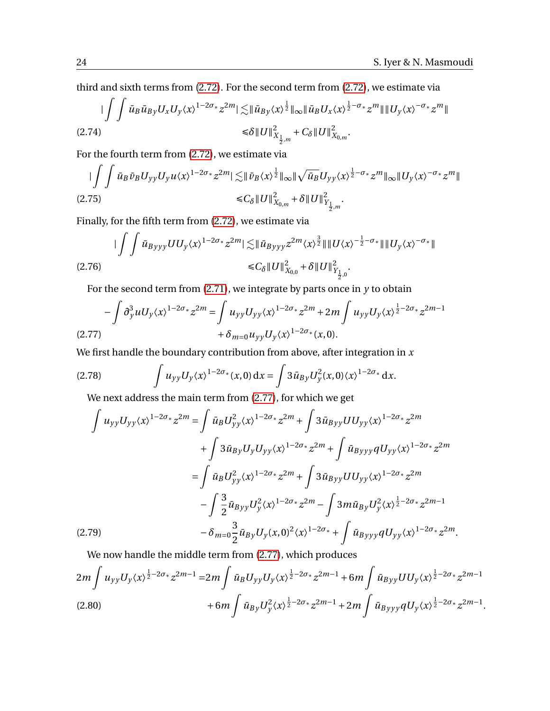third and sixth terms from [\(2.72\)](#page-22-2). For the second term from [\(2.72\)](#page-22-2), we estimate via

$$
\begin{split} \|\int\int \bar{u}_B \bar{u}_{By} U_x U_y \langle x \rangle^{1-2\sigma_*} z^{2m} |\lesssim & \|\bar{u}_{By} \langle x \rangle^{\frac{1}{2}} \|\infty \|\bar{u}_B U_x \langle x \rangle^{\frac{1}{2}-\sigma_*} z^m \| \|U_y \langle x \rangle^{-\sigma_*} z^m \| \\ \leq & \delta \|U\|_{X_{\frac{1}{2},m}}^2 + C_{\delta} \|U\|_{X_{0,m}}^2. \end{split}
$$

For the fourth term from [\(2.72\)](#page-22-2), we estimate via

$$
\begin{split} \|\int\int \bar{u}_B \bar{v}_B U_{yy} U_y u \langle x \rangle^{1-2\sigma_*} z^{2m} |\lesssim & \|\bar{v}_B \langle x \rangle^{\frac{1}{2}} \|\infty \|\sqrt{\bar{u}_B} U_{yy} \langle x \rangle^{\frac{1}{2}-\sigma_*} z^m \|\infty \| U_y \langle x \rangle^{-\sigma_*} z^m \| \\ \leq & C_\delta \| U \|_{X_{0,m}}^2 + \delta \| U \|_{Y_{\frac{1}{2},m}}^2. \end{split}
$$

Finally, for the fifth term from [\(2.72\)](#page-22-2), we estimate via

$$
\begin{aligned} \|\int \int \bar{u}_{Byyy} U U_y \langle x \rangle^{1-2\sigma_*} z^{2m} |\lesssim & \|\bar{u}_{Byyy} z^{2m} \langle x \rangle^{\frac{3}{2}} \|\|U \langle x \rangle^{-\frac{1}{2}-\sigma_*} \|\|U_y \langle x \rangle^{-\sigma_*}\| \\ \leq & C_\delta \|U\|_{X_{0,0}}^2 + \delta \|U\|_{Y_{\frac{1}{2},0}}^2. \end{aligned}
$$

For the second term from  $(2.71)$ , we integrate by parts once in  $y$  to obtain

<span id="page-23-0"></span>
$$
-\int \partial_y^3 u U_y \langle x \rangle^{1-2\sigma_*} z^{2m} = \int u_{yy} U_{yy} \langle x \rangle^{1-2\sigma_*} z^{2m} + 2m \int u_{yy} U_y \langle x \rangle^{\frac{1}{2}-2\sigma_*} z^{2m-1} + \delta_{m=0} u_{yy} U_y \langle x \rangle^{1-2\sigma_*} (x, 0).
$$

We first handle the boundary contribution from above, after integration in *x*

<span id="page-23-3"></span>(2.78) 
$$
\int u_{yy} U_{y} \langle x \rangle^{1-2\sigma_{*}}(x,0) dx = \int 3 \bar{u}_{By} U_{y}^{2}(x,0) \langle x \rangle^{1-2\sigma_{*}} dx.
$$

We next address the main term from [\(2.77\)](#page-23-0), for which we get

$$
\int u_{yy}U_{yy}\langle x\rangle^{1-2\sigma_{*}}z^{2m} = \int \bar{u}_{B}U_{yy}^{2}\langle x\rangle^{1-2\sigma_{*}}z^{2m} + \int 3\bar{u}_{Byy}UU_{yy}\langle x\rangle^{1-2\sigma_{*}}z^{2m} \n+ \int 3\bar{u}_{By}U_{y}U_{yy}\langle x\rangle^{1-2\sigma_{*}}z^{2m} + \int \bar{u}_{Byyy}qU_{yy}\langle x\rangle^{1-2\sigma_{*}}z^{2m} \n= \int \bar{u}_{B}U_{yy}^{2}\langle x\rangle^{1-2\sigma_{*}}z^{2m} + \int 3\bar{u}_{Byy}UU_{yy}\langle x\rangle^{1-2\sigma_{*}}z^{2m} \n- \int \frac{3}{2}\bar{u}_{Byy}U_{y}^{2}\langle x\rangle^{1-2\sigma_{*}}z^{2m} - \int 3m\bar{u}_{By}U_{y}^{2}\langle x\rangle^{\frac{1}{2}-2\sigma_{*}}z^{2m-1} \n- \delta_{m=0} \frac{3}{2}\bar{u}_{By}U_{y}(x,0)^{2}\langle x\rangle^{1-2\sigma_{*}} + \int \bar{u}_{Byyy}qU_{yy}\langle x\rangle^{1-2\sigma_{*}}z^{2m}.
$$
\n(2.79)

<span id="page-23-2"></span><span id="page-23-1"></span>We now handle the middle term from [\(2.77\)](#page-23-0), which produces  $2m \int u_{yy} U_y \langle x \rangle^{\frac{1}{2}-2\sigma_*} z^{2m-1} = 2m \int \bar{u}_B U_{yy} U_y \langle x \rangle^{\frac{1}{2}-2\sigma_*} z^{2m-1} + 6m \int \bar{u}_{Byy} U U_y \langle x \rangle^{\frac{1}{2}-2\sigma_*} z^{2m-1}$  $+6m\int \bar{u}_{By}U_y^2\langle x\rangle^{\frac{1}{2}-2\sigma_*}z^{2m-1}+2m\int \bar{u}_{Byyy}qU_y\langle x\rangle^{\frac{1}{2}-2\sigma_*}z^{2m-1}.$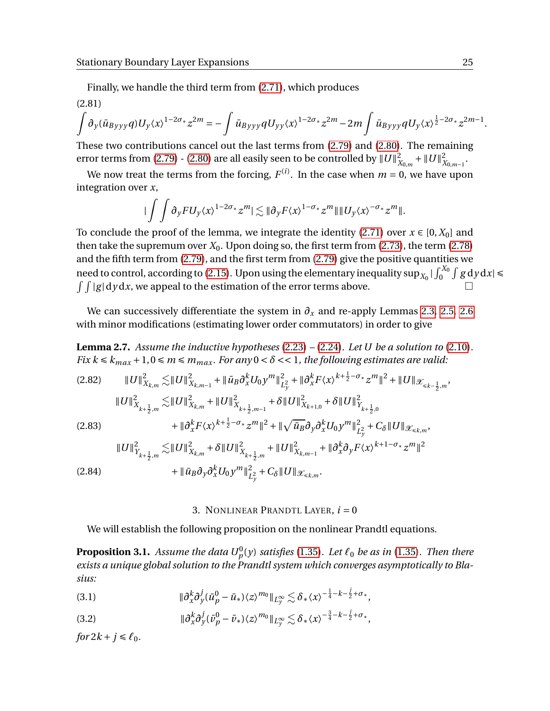Finally, we handle the third term from [\(2.71\)](#page-22-1), which produces

(2.81)

$$
\int \partial_y (\bar u_{Byyy} q) U_y \langle x \rangle^{1-2\sigma_*} z^{2m} = -\int \bar u_{Byyy} q U_{yy} \langle x \rangle^{1-2\sigma_*} z^{2m} - 2m \int \bar u_{Byyy} q U_y \langle x \rangle^{\frac{1}{2}-2\sigma_*} z^{2m-1}.
$$

These two contributions cancel out the last terms from [\(2.79\)](#page-23-1) and [\(2.80\)](#page-23-2). The remaining error terms from [\(2.79\)](#page-23-1) - [\(2.80\)](#page-23-2) are all easily seen to be controlled by  $||U||^2$  $\frac{2}{X_{0,m}} + ||U||^2$ ∠<br>X<sub>0,*m*−1</sub>·

We now treat the terms from the forcing,  $F^{(i)}$ . In the case when  $m=0$ , we have upon integration over *x*,

$$
|\int \int \partial_y F U_y \langle x \rangle^{1-2\sigma_*} z^m| \lesssim \|\partial_y F \langle x \rangle^{1-\sigma_*} z^m\| \|U_y \langle x \rangle^{-\sigma_*} z^m\|.
$$

To conclude the proof of the lemma, we integrate the identity [\(2.71\)](#page-22-1) over  $x \in [0, X_0]$  and then take the supremum over  $X_0$ . Upon doing so, the first term from  $(2.73)$ , the term  $(2.78)$ and the fifth term from [\(2.79\)](#page-23-1), and the first term from [\(2.79\)](#page-23-1) give the positive quantities we need to control, according to [\(2.15\)](#page-14-2). Upon using the elementary inequality  $\sup_{X_0} |\int_0^{X_0} \int g \, \mathrm{d} y \, \mathrm{d} x|$  $\int \int |g| \, dy \, dx$ , we appeal to the estimation of the error terms above.

We can successively differentiate the system in  $\partial_x$  and re-apply Lemmas [2.3,](#page-16-0) [2.5,](#page-19-0) [2.6](#page-22-0) with minor modifications (estimating lower order commutators) in order to give

<span id="page-24-0"></span>**Lemma 2.7.** *Assume the inductive hypotheses* [\(2.23\)](#page-15-2) *–* [\(2.24\)](#page-15-3)*. Let U be a solution to* [\(2.10\)](#page-13-1)*. Fix*  $k \leq k_{max} + 1, 0 \leq m \leq m_{max}$ . For any  $0 < \delta << 1$ , the following estimates are valid:

<span id="page-24-2"></span>
$$
(2.82) \qquad ||U||_{X_{k,m}}^{2} \lesssim ||U||_{X_{k,m-1}}^{2} + ||\bar{u}_{B}\partial_{x}^{k}U_{0}y^{m}||_{L_{y}^{2}}^{2} + ||\partial_{x}^{k}F\langle x\rangle^{k+\frac{1}{2}-\sigma_{*}}z^{m}||^{2} + ||U||_{\mathcal{X}_{\leq k-\frac{1}{2},m}},
$$
  
\n
$$
||U||_{X_{k+\frac{1}{2},m}}^{2} \lesssim ||U||_{X_{k,m}}^{2} + ||U||_{X_{k+\frac{1}{2},m-1}}^{2} + \delta ||U||_{X_{k+1,0}}^{2} + \delta ||U||_{Y_{k+\frac{1}{2},0}}^{2}
$$
  
\n
$$
(2.83) \qquad + ||\partial_{x}^{k}F\langle x\rangle^{k+\frac{1}{2}-\sigma_{*}}z^{m}||^{2} + ||\sqrt{\bar{u}_{B}}\partial_{y}\partial_{x}^{k}U_{0}y^{m}||_{L_{y}^{2}}^{2} + C_{\delta}||U||_{\mathcal{X}_{\leq k,m}},
$$
  
\n
$$
||U||_{Y_{k+\frac{1}{2},m}}^{2} \lesssim ||U||_{X_{k,m}}^{2} + \delta ||U||_{X_{k+\frac{1}{2},m}}^{2} + ||U||_{X_{k,m-1}}^{2} + ||\partial_{x}^{k}\partial_{y}F\langle x\rangle^{k+1-\sigma_{*}}z^{m}||^{2}
$$
  
\n
$$
(2.84) \qquad + ||\bar{u}_{B}\partial_{y}\partial_{x}^{k}U_{0}y^{m}||_{L_{y}^{2}}^{2} + C_{\delta}||U||_{\mathcal{X}_{\leq k,m}}^{2}.
$$

## 3. NONLINEAR PRANDTL LAYER,  $i = 0$

<span id="page-24-3"></span><span id="page-24-1"></span>We will establish the following proposition on the nonlinear Prandtl equations.

<span id="page-24-4"></span>**Proposition 3.1.** Assume the data  $U_p^0(y)$  satisfies [\(1.35\)](#page-7-1). Let  $\ell_0$  be as in (1.35). Then there *exists a unique global solution to the Prandtl system which converges asymptotically to Blasius:*

<span id="page-24-5"></span>k*∂ k x∂ j y* (*u*¯ 0 *<sup>p</sup>* <sup>−</sup>*u*¯∗)〈*z*〉 *<sup>m</sup>*<sup>0</sup> k*L*<sup>∞</sup> *<sup>y</sup>* . *<sup>δ</sup>*∗〈*x*〉 − 1 4 −*k*− *j* 2 +*σ*<sup>∗</sup> ,(3.1)

<span id="page-24-6"></span>(3.2) 
$$
\|\partial_x^k \partial_y^j (\bar{v}_p^0 - \bar{v}_*) \langle z \rangle^{m_0}\|_{L_y^{\infty}} \lesssim \delta_* \langle x \rangle^{-\frac{3}{4} - k - \frac{j}{2} + \sigma_*},
$$

*for*  $2k + j \leq \ell_0$ *.*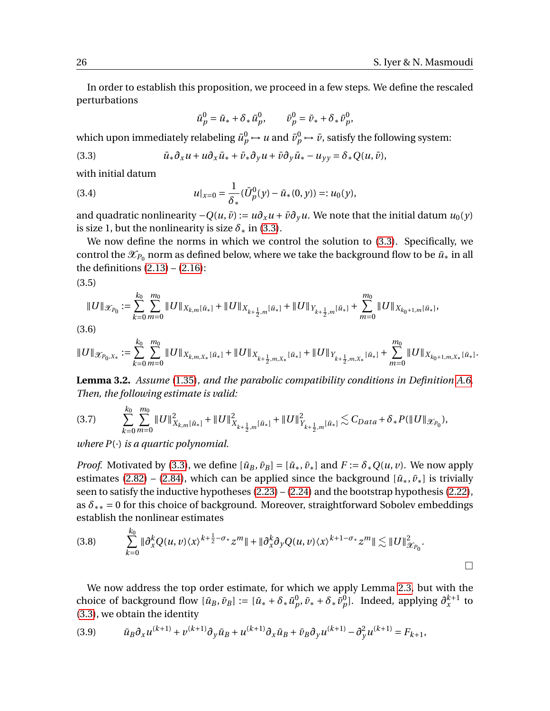In order to establish this proposition, we proceed in a few steps. We define the rescaled perturbations

$$
\bar{u}_p^0 = \bar{u}_* + \delta_* \tilde{u}_p^0, \qquad \bar{v}_p^0 = \bar{v}_* + \delta_* \tilde{v}_p^0,
$$

which upon immediately relabeling  $\tilde{u}_p^0 \mapsto u$  and  $\tilde{v}_p^0 \mapsto \tilde{v}$ , satisfy the following system:

<span id="page-25-0"></span>(3.3) 
$$
\bar{u}_*\partial_x u + u\partial_x \bar{u}_* + \bar{v}_*\partial_y u + \bar{v}\partial_y \bar{u}_* - u_{yy} = \delta_* Q(u, \bar{v}),
$$

with initial datum

(3.4) 
$$
u|_{x=0} = \frac{1}{\delta_*} (\bar{U}_p^0(y) - \bar{u}_*(0, y)) =: u_0(y),
$$

and quadratic nonlinearity  $-Q(u, \bar{v}) := u\partial_x u + \bar{v}\partial_y u$ . We note that the initial datum  $u_0(y)$ is size 1, but the nonlinearity is size  $\delta_*$  in [\(3.3\)](#page-25-0).

We now define the norms in which we control the solution to [\(3.3\)](#page-25-0). Specifically, we control the  $\mathscr{X}_{P_0}$  norm as defined below, where we take the background flow to be  $\bar{u}_*$  in all the definitions  $(2.13) - (2.16)$  $(2.13) - (2.16)$  $(2.13) - (2.16)$ :

<span id="page-25-3"></span>(3.5)

$$
||U||_{\mathcal{X}_{P_0}} := \sum_{k=0}^{k_0} \sum_{m=0}^{m_0} ||U||_{X_{k,m}[\bar{u}_*]} + ||U||_{X_{k+\frac{1}{2},m}[\bar{u}_*]} + ||U||_{Y_{k+\frac{1}{2},m}[\bar{u}_*]} + \sum_{m=0}^{m_0} ||U||_{X_{k_0+1,m}[\bar{u}_*]},
$$

(3.6)

$$
\|U\|_{\mathscr X_{P_0,X_*}}:=\sum_{k=0}^{k_0}\sum_{m=0}^{m_0}\|U\|_{X_{k,m,X_*}[\bar u_*]}+\|U\|_{X_{k+\frac{1}{2},m,X_*}[\bar u_*]}+\|U\|_{Y_{k+\frac{1}{2},m,X_*}[\bar u_*]}+\sum_{m=0}^{m_0}\|U\|_{X_{k_0+1,m,X_*}[\bar u_*]}.
$$

**Lemma 3.2.** *Assume* [\(1.35\)](#page-7-1)*, and the parabolic compatibility conditions in Definition [A.6.](#page-43-2) Then, the following estimate is valid:*

<span id="page-25-2"></span>
$$
(3.7) \qquad \sum_{k=0}^{k_0} \sum_{m=0}^{m_0} \|U\|_{X_{k,m}[\bar{u}_*]}^2 + \|U\|_{X_{k+\frac{1}{2},m}[\bar{u}_*]}^2 + \|U\|_{Y_{k+\frac{1}{2},m}[\bar{u}_*]}^2 \lesssim C_{Data} + \delta_* P(\|U\|_{\mathcal{X}_{P_0}}),
$$

*where P*(·) *is a quartic polynomial.*

*Proof.* Motivated by [\(3.3\)](#page-25-0), we define  $[\bar{u}_B, \bar{v}_B] = [\bar{u}_*, \bar{v}_*]$  and  $F := \delta_* Q(u, v)$ . We now apply estimates [\(2.82\)](#page-24-2) – [\(2.84\)](#page-24-3), which can be applied since the background  $[\bar{u}_*, \bar{v}_*]$  is trivially seen to satisfy the inductive hypotheses  $(2.23) - (2.24)$  $(2.23) - (2.24)$  $(2.23) - (2.24)$  and the bootstrap hypothesis  $(2.22)$ , as  $\delta_{**} = 0$  for this choice of background. Moreover, straightforward Sobolev embeddings establish the nonlinear estimates

$$
(3.8) \qquad \sum_{k=0}^{k_0} \|\partial_x^k Q(u,v)\langle x\rangle^{k+\frac{1}{2}-\sigma_*} z^m\| + \|\partial_x^k \partial_y Q(u,v)\langle x\rangle^{k+1-\sigma_*} z^m\| \lesssim \|U\|_{\mathcal{X}_{P_0}}^2.
$$

We now address the top order estimate, for which we apply Lemma [2.3,](#page-16-0) but with the choice of background flow  $[\bar{u}_B, \bar{v}_B] := [\bar{u}_* + \delta_* \tilde{u}_p^0, \bar{v}_* + \delta_* \tilde{v}_p^0].$  Indeed, applying  $\partial_x^{k+1}$  to [\(3.3\)](#page-25-0), we obtain the identity

<span id="page-25-1"></span>(3.9) 
$$
\bar{u}_B \partial_x u^{(k+1)} + v^{(k+1)} \partial_y \bar{u}_B + u^{(k+1)} \partial_x \bar{u}_B + \bar{v}_B \partial_y u^{(k+1)} - \partial_y^2 u^{(k+1)} = F_{k+1},
$$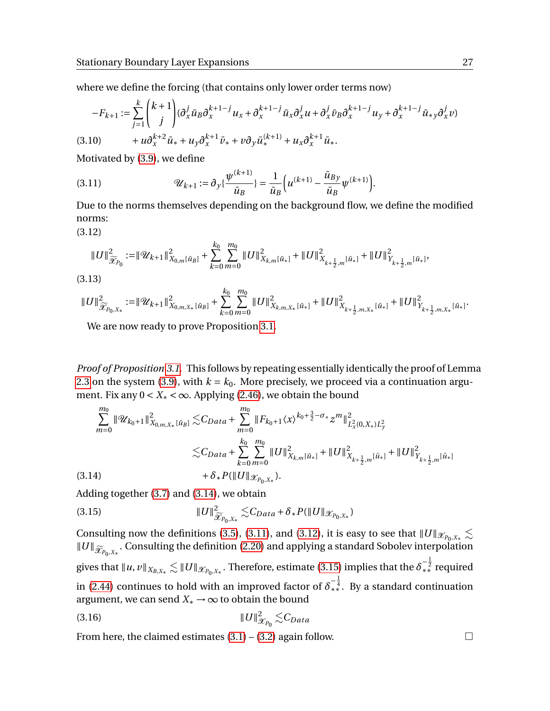where we define the forcing (that contains only lower order terms now)

$$
-F_{k+1} := \sum_{j=1}^{k} {k+1 \choose j} (\partial_x^j \bar{u}_B \partial_x^{k+1-j} u_x + \partial_x^{k+1-j} \bar{u}_x \partial_x^j u + \partial_x^j \bar{v}_B \partial_x^{k+1-j} u_y + \partial_x^{k+1-j} \bar{u}_{*y} \partial_x^j v) (3.10) \qquad \qquad + u \partial_x^{k+2} \bar{u}_* + u_y \partial_x^{k+1} \bar{v}_* + v \partial_y \bar{u}_*^{(k+1)} + u_x \partial_x^{k+1} \bar{u}_*.
$$

Motivated by [\(3.9\)](#page-25-1), we define

<span id="page-26-1"></span>(3.11) 
$$
\mathscr{U}_{k+1} := \partial_y \{ \frac{\psi^{(k+1)}}{\bar{u}_B} \} = \frac{1}{\bar{u}_B} \Big( u^{(k+1)} - \frac{\bar{u}_{By}}{\bar{u}_B} \psi^{(k+1)} \Big).
$$

Due to the norms themselves depending on the background flow, we define the modified norms:

<span id="page-26-2"></span>(3.12)

$$
||U||_{\widetilde{\mathcal{X}}_{P_0}}^2 := ||\mathcal{U}_{k+1}||_{X_{0,m}[\bar{u}_B]}^2 + \sum_{k=0}^{k_0} \sum_{m=0}^{m_0} ||U||_{X_{k,m}[\bar{u}_*]}^2 + ||U||_{X_{k+\frac{1}{2},m}[\bar{u}_*]}^2 + ||U||_{Y_{k+\frac{1}{2},m}[\bar{u}_*]}^2,
$$

(3.13)

$$
||U||_{\widetilde{\mathcal{X}}_{P_0,X_*}}^2:=||\mathcal{U}_{k+1}||_{X_{0,m,X_*}[\bar{u}_B]}^2+\sum_{k=0}^{k_0}\sum_{m=0}^{m_0}||U||_{X_{k,m,X_*}[\bar{u}_*]}^2+||U||_{X_{k+\frac{1}{2},m,X_*}[\bar{u}_*]}^2+||U||_{Y_{k+\frac{1}{2},m,X_*}[\bar{u}_*]}^2.
$$

We are now ready to prove Proposition [3.1.](#page-24-4)

*Proof of Proposition [3.1.](#page-24-4)* This follows by repeating essentially identically the proof of Lemma [2.3](#page-16-0) on the system [\(3.9\)](#page-25-1), with  $k = k_0$ . More precisely, we proceed via a continuation argument. Fix any  $0 < X_* < \infty$ . Applying [\(2.46\)](#page-18-0), we obtain the bound

$$
\sum_{m=0}^{m_0} \|\mathcal{U}_{k_0+1}\|_{X_{0,m,X_*}[\bar{u}_B]}^2 \lesssim C_{Data} + \sum_{m=0}^{m_0} \|F_{k_0+1}\langle x\rangle^{k_0+\frac{3}{2}-\sigma_*} z^m\|_{L_x^2(0,X_*)L_y^2}^2
$$
  

$$
\lesssim C_{Data} + \sum_{k=0}^{k_0} \sum_{m=0}^{m_0} \|U\|_{X_{k,m}[\bar{u}_*]}^2 + \|U\|_{X_{k+\frac{1}{2},m}[\bar{u}_*]}^2 + \|U\|_{Y_{k+\frac{1}{2},m}[\bar{u}_*]}^2
$$
  
(3.14) 
$$
+ \delta_* P(\|U\|_{\mathcal{X}_{P_0,X_*}}).
$$

<span id="page-26-0"></span>Adding together [\(3.7\)](#page-25-2) and [\(3.14\)](#page-26-0), we obtain

<span id="page-26-3"></span>(3.15) 
$$
||U||_{\widetilde{\mathscr{X}}_{P_0,X_*}}^2 \lesssim C_{Data} + \delta_* P(||U||_{\mathscr{X}_{P_0,X_*}})
$$

Consulting now the definitions [\(3.5\)](#page-25-3), [\(3.11\)](#page-26-1), and [\(3.12\)](#page-26-2), it is easy to see that  $||U||_{\mathscr{X}_{P_0,X_*}} \lesssim$ *|| U* ||  $\widetilde{\mathcal{X}}_{P_0, X_*}$  . Consulting the definition [\(2.20\)](#page-14-3) and applying a standard Sobolev interpolation gives that  $\|u,v\|_{X_{B,X_*}}\lesssim \|U\|_{\mathscr{X}_{P_0,X_*}}.$  Therefore, estimate [\(3.15\)](#page-26-3) implies that the  $\delta_{**}^{-\frac{1}{2}}$  required in [\(2.44\)](#page-18-1) continues to hold with an improved factor of  $\delta_{**}^{-\frac{1}{4}}$ . By a standard continuation argument, we can send  $X_* \to \infty$  to obtain the bound

$$
||U||^2_{\mathscr{X}_{P_0}} \lesssim C_{Data}
$$

From here, the claimed estimates  $(3.1) - (3.2)$  $(3.1) - (3.2)$  $(3.1) - (3.2)$  again follow.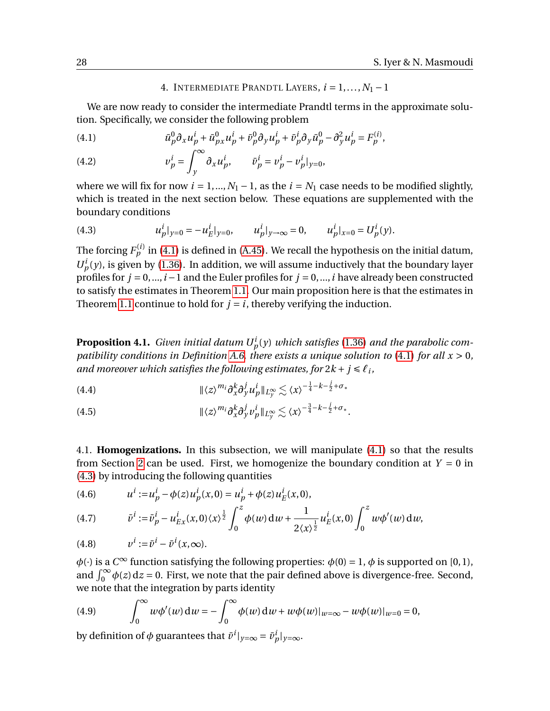## 4. INTERMEDIATE PRANDTL LAYERS,  $i = 1, ..., N_1 - 1$

<span id="page-27-0"></span>We are now ready to consider the intermediate Prandtl terms in the approximate solution. Specifically, we consider the following problem

<span id="page-27-1"></span>(4.1) 
$$
\bar{u}_p^0 \partial_x u_p^i + \bar{u}_{p}^0 u_p^i + \bar{v}_p^0 \partial_y u_p^i + \bar{v}_p^i \partial_y \bar{u}_p^0 - \partial_y^2 u_p^i = F_p^{(i)},
$$

(4.2) 
$$
v_p^i = \int_y^\infty \partial_x u_p^i, \qquad \bar{v}_p^i = v_p^i - v_p^i|_{y=0},
$$

where we will fix for now  $i = 1, ..., N_1 - 1$ , as the  $i = N_1$  case needs to be modified slightly, which is treated in the next section below. These equations are supplemented with the boundary conditions

<span id="page-27-2"></span>(4.3) 
$$
u_p^i|_{y=0} = -u_E^i|_{y=0}, \qquad u_p^i|_{y\to\infty} = 0, \qquad u_p^i|_{x=0} = U_p^i(y).
$$

The forcing  $F^{(i)}_p$  in [\(4.1\)](#page-27-1) is defined in [\(A.45\)](#page-42-2). We recall the hypothesis on the initial datum,  $U_p^i(y)$ , is given by [\(1.36\)](#page-7-6). In addition, we will assume inductively that the boundary layer profiles for  $j = 0, \ldots, i-1$  and the Euler profiles for  $j = 0, \ldots, i$  have already been constructed to satisfy the estimates in Theorem [1.1.](#page-7-0) Our main proposition here is that the estimates in Theorem [1.1](#page-7-0) continue to hold for  $j = i$ , thereby verifying the induction.

<span id="page-27-4"></span>**Proposition 4.1.** *Given initial datum*  $U_p^i(y)$  *which satisfies* [\(1.36\)](#page-7-6) *and the parabolic compatibility conditions in Definition [A.6,](#page-43-2) there exists a unique solution to* [\(4.1\)](#page-27-1) *for all x* > 0*, and moreover which satisfies the following estimates, for*  $2k + j \leq \ell_i$ ,

<span id="page-27-6"></span> $\| \langle z \rangle^{m_i} \partial_x^k \partial_y^j u_p^i \|_{L_y^{\infty}} \lesssim \langle x \rangle^{-\frac{1}{4} - k - \frac{j}{2} + \sigma_*}$ (4.4)

<span id="page-27-7"></span>(4.5)  $\|\langle z \rangle^{m_i} \partial_x^k \partial_y^j v_p^i\|_{L_y^{\infty}} \lesssim \langle x \rangle^{-\frac{3}{4} - k - \frac{j}{2} + \sigma_*}.$ 

4.1. **Homogenizations.** In this subsection, we will manipulate [\(4.1\)](#page-27-1) so that the results from Section [2](#page-12-0) can be used. First, we homogenize the boundary condition at  $Y = 0$  in [\(4.3\)](#page-27-2) by introducing the following quantities

<span id="page-27-3"></span>(4.6) 
$$
u^{i} := u_{p}^{i} - \phi(z)u_{p}^{i}(x,0) = u_{p}^{i} + \phi(z)u_{E}^{i}(x,0),
$$

<span id="page-27-5"></span>(4.7) 
$$
\bar{v}^{i} := \bar{v}_{p}^{i} - u_{Ex}^{i}(x,0)\langle x\rangle^{\frac{1}{2}}\int_{0}^{z}\phi(w)\,dw + \frac{1}{2\langle x\rangle^{\frac{1}{2}}}u_{E}^{i}(x,0)\int_{0}^{z}w\phi'(w)\,dw,
$$

(4.8) 
$$
v^{i} := \bar{v}^{i} - \bar{v}^{i}(x, \infty).
$$

 $\phi(\cdot)$  is a  $C^{\infty}$  function satisfying the following properties:  $\phi(0) = 1$ ,  $\phi$  is supported on [0, 1], and  $\int_0^\infty \phi(z) dz = 0$ . First, we note that the pair defined above is divergence-free. Second, we note that the integration by parts identity

(4.9) 
$$
\int_0^\infty w \phi'(w) dw = - \int_0^\infty \phi(w) dw + w \phi(w)|_{w=\infty} - w \phi(w)|_{w=0} = 0,
$$

by definition of  $\phi$  guarantees that  $\bar{v}^i|_{y=\infty} = \bar{v}^i_p|_{y=\infty}$ .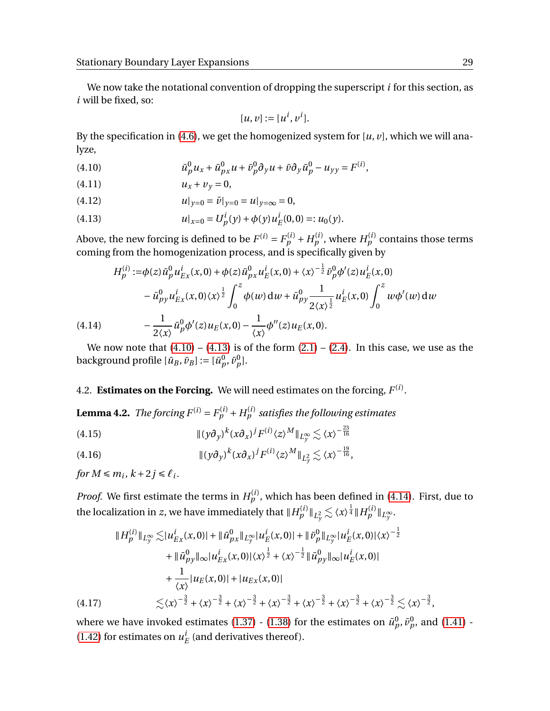We now take the notational convention of dropping the superscript *i* for this section, as *i* will be fixed, so:

$$
[u, v] := [u^i, v^i].
$$

By the specification in [\(4.6\)](#page-27-3), we get the homogenized system for [*u*, *v*], which we will analyze,

<span id="page-28-2"></span>(4.10) 
$$
\bar{u}_p^0 u_x + \bar{u}_{px}^0 u + \bar{v}_p^0 \partial_y u + \bar{v} \partial_y \bar{u}_p^0 - u_{yy} = F^{(i)},
$$

 $u_x + v_y = 0,$ 

(4.12) 
$$
u|_{y=0} = \bar{v}|_{y=0} = u|_{y=\infty} = 0,
$$

<span id="page-28-3"></span>(4.13) 
$$
u|_{x=0} = U_p^i(y) + \phi(y)u_E^i(0,0) =: u_0(y).
$$

Above, the new forcing is defined to be  $F^{(i)} = F_p^{(i)} + H_p^{(i)}$ , where  $H_p^{(i)}$  contains those terms coming from the homogenization process, and is specifically given by

$$
H_{p}^{(i)} := \phi(z) \bar{u}_{p}^{0} u_{Ex}^{i}(x,0) + \phi(z) \bar{u}_{px}^{0} u_{E}^{i}(x,0) + \langle x \rangle^{-\frac{1}{2}} \bar{v}_{p}^{0} \phi'(z) u_{E}^{i}(x,0)
$$

$$
- \bar{u}_{py}^{0} u_{Ex}^{i}(x,0) \langle x \rangle^{\frac{1}{2}} \int_{0}^{z} \phi(w) dw + \bar{u}_{py}^{0} \frac{1}{2 \langle x \rangle^{\frac{1}{2}}} u_{E}^{i}(x,0) \int_{0}^{z} w \phi'(w) dw
$$

$$
(4.14) \qquad - \frac{1}{2 \langle x \rangle} \bar{u}_{p}^{0} \phi'(z) u_{E}(x,0) - \frac{1}{\langle x \rangle} \phi''(z) u_{E}(x,0).
$$

<span id="page-28-4"></span>We now note that  $(4.10) - (4.13)$  $(4.10) - (4.13)$  $(4.10) - (4.13)$  is of the form  $(2.1) - (2.4)$  $(2.1) - (2.4)$  $(2.1) - (2.4)$ . In this case, we use as the background profile  $[\bar{u}_B, \bar{v}_B] := [\bar{u}_p^0, \bar{v}_p^0].$ 

# 4.2. **Estimates on the Forcing.** We will need estimates on the forcing,  $F^{(i)}$ .

**Lemma 4.2.** *The forcing F*<sup>(i)</sup> =  $F_p^{(i)}$  +  $H_p^{(i)}$  *satisfies the following estimates* 

<span id="page-28-0"></span>
$$
||(y\partial_y)^k(x\partial_x)^jF^{(i)}(z)^M||_{L_y^{\infty}} \lesssim \langle x \rangle^{-\frac{23}{16}}
$$

<span id="page-28-1"></span>(4.16) 
$$
\| (y\partial_y)^k (x\partial_x)^j F^{(i)} \langle z \rangle^M \|_{L_y^2} \lesssim \langle x \rangle^{-\frac{19}{16}},
$$

*for*  $M \le m_i$ ,  $k+2j \le \ell_i$ .

*Proof.* We first estimate the terms in  $H_p^{(i)}$ , which has been defined in [\(4.14\)](#page-28-4). First, due to the localization in *z*, we have immediately that  $\|H^{(i)}_p\|_{L^2_{\mathcal{Y}}}\lesssim \langle x\rangle^{\frac{1}{4}} \|H^{(i)}_p\|_{L^{\infty}_{\mathcal{Y}}}.$ 

$$
\|H_p^{(i)}\|_{L_y^{\infty}} \lesssim |u_{Ex}^i(x,0)| + \| \bar{u}_{px}^0 \|_{L_y^{\infty}} |u_E^i(x,0)| + \| \bar{v}_p^0 \|_{L_y^{\infty}} |u_E^i(x,0)| \langle x \rangle^{-\frac{1}{2}} + \| \bar{u}_{py}^0 \|_{\infty} |u_{Ex}^i(x,0)| \langle x \rangle^{\frac{1}{2}} + \langle x \rangle^{-\frac{1}{2}} \| \bar{u}_{py}^0 \|_{\infty} |u_E^i(x,0)| + \frac{1}{\langle x \rangle} |u_E(x,0)| + |u_{Ex}(x,0)| (\textbf{4.17}) \lesssim \langle x \rangle^{-\frac{3}{2}} + \langle x \rangle^{-\frac{3}{2}} + \langle x \rangle^{-\frac{3}{2}} + \langle x \rangle^{-\frac{3}{2}} + \langle x \rangle^{-\frac{3}{2}} + \langle x \rangle^{-\frac{3}{2}} + \langle x \rangle^{-\frac{3}{2}} \lesssim \langle x \rangle^{-\frac{3}{2}},
$$

where we have invoked estimates [\(1.37\)](#page-7-3) - [\(1.38\)](#page-7-4) for the estimates on  $\bar{u}_p^0$ ,  $\bar{v}_p^0$ , and [\(1.41\)](#page-8-1) - $(1.42)$  for estimates on  $u_i^i$  $E$ <sup>l</sup> (and derivatives thereof).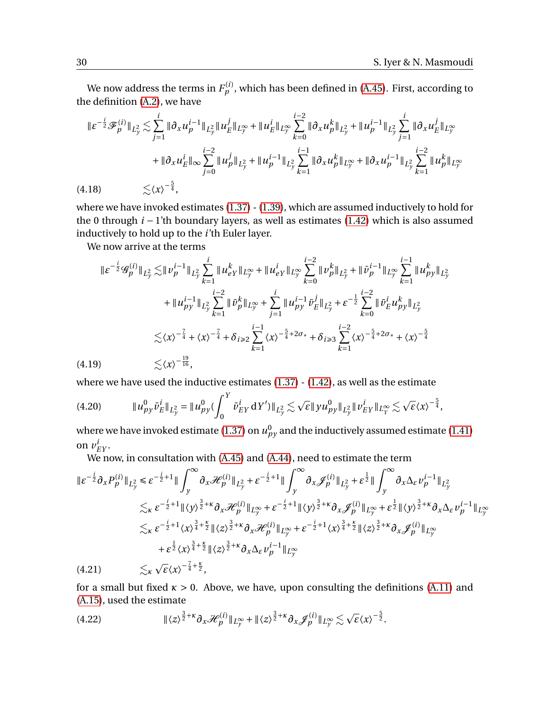We now address the terms in  $F^{(i)}_p$ , which has been defined in [\(A.45\)](#page-42-2). First, according to the definition [\(A.2\)](#page-36-2), we have

$$
\begin{split} \|\varepsilon^{-\frac{i}{2}}\mathcal{F}_{p}^{(i)}\|_{L_{y}^{2}} &\lesssim \sum_{j=1}^{i} \|\partial_{x}u_{p}^{i-1}\|_{L_{y}^{2}} \|u_{E}^{j}\|_{L_{y}^{\infty}} + \|u_{E}^{i}\|_{L_{y}^{\infty}} \sum_{k=0}^{i-2} \|\partial_{x}u_{p}^{k}\|_{L_{y}^{2}} + \|u_{p}^{i-1}\|_{L_{y}^{2}} \sum_{j=1}^{i} \|\partial_{x}u_{E}^{j}\|_{L_{y}^{\infty}} \\ &+ \|\partial_{x}u_{E}^{i}\|_{\infty} \sum_{j=0}^{i-2} \|u_{p}^{j}\|_{L_{y}^{2}} + \|u_{p}^{i-1}\|_{L_{y}^{2}} \sum_{k=1}^{i-1} \|\partial_{x}u_{p}^{k}\|_{L_{y}^{\infty}} + \|\partial_{x}u_{p}^{i-1}\|_{L_{y}^{2}} \sum_{k=1}^{i-2} \|u_{p}^{k}\|_{L_{y}^{\infty}} \\ (4.18) \qquad &\lesssim \langle x \rangle^{-\frac{5}{4}}, \end{split}
$$

where we have invoked estimates [\(1.37\)](#page-7-3) - [\(1.39\)](#page-7-5), which are assumed inductively to hold for the 0 through *i* − 1'th boundary layers, as well as estimates [\(1.42\)](#page-8-0) which is also assumed inductively to hold up to the *i*'th Euler layer.

We now arrive at the terms

$$
\begin{split} \|\varepsilon^{-\frac{i}{2}} \mathcal{G}_{p}^{(i)}\|_{L_{y}^{2}} \lesssim & \|v_{p}^{i-1}\|_{L_{y}^{2}} \sum_{k=1}^{i} \|u_{eY}^{k}\|_{L_{y}^{\infty}} + \|u_{eY}^{i}\|_{L_{y}^{\infty}} \sum_{k=0}^{i-2} \|v_{p}^{k}\|_{L_{y}^{2}} + \|\bar{v}_{p}^{i-1}\|_{L_{y}^{\infty}} \sum_{k=1}^{i-1} \|u_{pY}^{k}\|_{L_{y}^{2}} \\ &+ \|u_{pY}^{i-1}\|_{L_{y}^{2}} \sum_{k=1}^{i-2} \|\bar{v}_{p}^{k}\|_{L_{y}^{\infty}} + \sum_{j=1}^{i} \|u_{pY}^{i-1}\bar{v}_{p}^{j}\|_{L_{y}^{2}} + \varepsilon^{-\frac{1}{2}} \sum_{k=0}^{i-2} \|\bar{v}_{E}^{i} u_{pY}^{k}\|_{L_{y}^{2}} \\ \lesssim & \langle x \rangle^{-\frac{7}{4}} + \langle x \rangle^{-\frac{7}{4}} + \delta_{i \geqslant 2} \sum_{k=1}^{i-1} \langle x \rangle^{-\frac{5}{4}+2\sigma_{*}} + \delta_{i \geqslant 3} \sum_{k=1}^{i-2} \langle x \rangle^{-\frac{5}{4}+2\sigma_{*}} + \langle x \rangle^{-\frac{5}{4}} \\ (4.19) \lesssim & \langle x \rangle^{-\frac{19}{16}}, \end{split}
$$

where we have used the inductive estimates  $(1.37)$  -  $(1.42)$ , as well as the estimate

k*u* 0 *py v*¯ *i E* k*L* 2 *y* = k*u* 0 *py* ( ˆ *<sup>Y</sup>* 0 *v*¯ *i EY* d*Y* 0 )k*L* 2 *y* . *ε*k*yu*<sup>0</sup> *py*k*<sup>L</sup>* 2 *y* k*v i EY* <sup>k</sup>*L*<sup>∞</sup> *Y* . p *ε*〈*x*〉 − 5 <sup>4</sup> (4.20) ,

where we have invoked estimate [\(1.37\)](#page-7-3) on  $u_{py}^0$  and the inductively assumed estimate [\(1.41\)](#page-8-1) on  $v_{EY}^i$ .

We now, in consultation with  $(A.45)$  and  $(A.44)$ , need to estimate the term

$$
\begin{split}\n\|\varepsilon^{-\frac{i}{2}}\partial_{x}P_{p}^{(i)}\|_{L_{y}^{2}} &\leq \varepsilon^{-\frac{i}{2}+1} \|\int_{y}^{\infty} \partial_{x} \mathcal{H}_{p}^{(i)}\|_{L_{y}^{2}} + \varepsilon^{-\frac{i}{2}+1} \|\int_{y}^{\infty} \partial_{x} \mathcal{J}_{p}^{(i)}\|_{L_{y}^{2}} + \varepsilon^{\frac{1}{2}} \|\int_{y}^{\infty} \partial_{x} \Delta_{\varepsilon} v_{p}^{i-1}\|_{L_{y}^{2}} \\
&\leq_{\kappa} \varepsilon^{-\frac{i}{2}+1} \|\langle y \rangle^{\frac{3}{2}+\kappa} \partial_{x} \mathcal{H}_{p}^{(i)}\|_{L_{y}^{\infty}} + \varepsilon^{-\frac{i}{2}+1} \|\langle y \rangle^{\frac{3}{2}+\kappa} \partial_{x} \mathcal{J}_{p}^{(i)}\|_{L_{y}^{\infty}} + \varepsilon^{\frac{1}{2}} \|\langle y \rangle^{\frac{3}{2}+\kappa} \partial_{x} \Delta_{\varepsilon} v_{p}^{i-1}\|_{L_{y}^{\infty}} \\
&\leq_{\kappa} \varepsilon^{-\frac{i}{2}+1} \langle x \rangle^{\frac{3}{4}+\frac{\kappa}{2}} \|\langle z \rangle^{\frac{3}{2}+\kappa} \partial_{x} \mathcal{H}_{p}^{(i)}\|_{L_{y}^{\infty}} + \varepsilon^{-\frac{i}{2}+1} \langle x \rangle^{\frac{3}{4}+\frac{\kappa}{2}} \|\langle z \rangle^{\frac{3}{2}+\kappa} \partial_{x} \mathcal{J}_{p}^{(i)}\|_{L_{y}^{\infty}} \\
&\quad + \varepsilon^{\frac{1}{2}} \langle x \rangle^{\frac{3}{4}+\frac{\kappa}{2}} \|\langle z \rangle^{\frac{3}{2}+\kappa} \partial_{x} \Delta_{\varepsilon} v_{p}^{i-1}\|_{L_{y}^{\infty}} \\
&\leq_{\kappa} \sqrt{\varepsilon} \langle x \rangle^{-\frac{7}{4}+\frac{\kappa}{2}},\n\end{split}
$$
\n(4.21)

for a small but fixed  $\kappa > 0$ . Above, we have, upon consulting the definitions [\(A.11\)](#page-38-0) and [\(A.15\)](#page-38-1), used the estimate

(4.22) 
$$
\|\langle z\rangle^{\frac{3}{2}+\kappa}\partial_x\mathcal{H}_p^{(i)}\|_{L_y^{\infty}}+\|\langle z\rangle^{\frac{3}{2}+\kappa}\partial_x\mathcal{J}_p^{(i)}\|_{L_y^{\infty}}\lesssim \sqrt{\varepsilon}\langle x\rangle^{-\frac{5}{2}}.
$$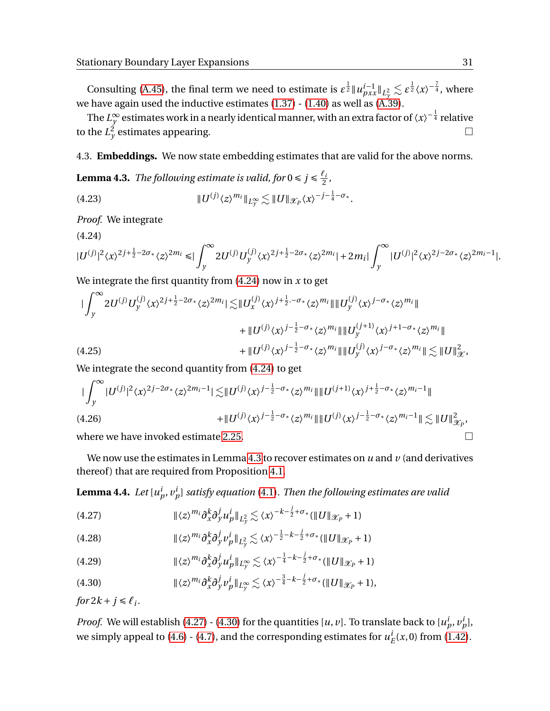Consulting [\(A.45\)](#page-42-2), the final term we need to estimate is  $\varepsilon^{\frac{1}{2}} \|u^{i-1}_{pxx}\|_{L^2_\gamma} \lesssim \varepsilon^{\frac{1}{2}} \langle x \rangle^{-\frac{7}{4}},$  where we have again used the inductive estimates  $(1.37)$  -  $(1.40)$  as well as  $(A.39)$ .

The  $L^{\infty}_{\nu}$  $_{y}^{\infty}$  estimates work in a nearly identical manner, with an extra factor of  $\left\langle x\right\rangle ^{-\frac{1}{4}}$  relative to the  $L_y^2$  estimates appearing.

4.3. **Embeddings.** We now state embedding estimates that are valid for the above norms.

<span id="page-30-2"></span>**Lemma 4.3.** *The following estimate is valid, for*  $0 \le j \le \frac{\ell_i}{2}$  $\frac{i}{2}$ ,

<span id="page-30-0"></span>k*U* (*j*) 〈*z*〉 *<sup>m</sup><sup>i</sup>* k*L*<sup>∞</sup> *<sup>y</sup>* . <sup>k</sup>*U*kX*<sup>P</sup>* 〈*x*〉 −*j*− 1 4 −*σ*<sup>∗</sup> .(4.23)

<span id="page-30-1"></span>*Proof.* We integrate

$$
(4.24)
$$

$$
|U^{(j)}|^2\langle x\rangle^{2j+\frac{1}{2}-2\sigma_*}\langle z\rangle^{2m_i}\leq |\int_y^\infty 2U^{(j)}U^{(j)}_y\langle x\rangle^{2j+\frac{1}{2}-2\sigma_*}\langle z\rangle^{2m_i}|+2m_i|\int_y^\infty |U^{(j)}|^2\langle x\rangle^{2j-2\sigma_*}\langle z\rangle^{2m_i-1}|.
$$

We integrate the first quantity from [\(4.24\)](#page-30-1) now in *x* to get

$$
\| \int_{y}^{\infty} 2U^{(j)} U_{y}^{(j)} \langle x \rangle^{2j+\frac{1}{2}-2\sigma_{*}} \langle z \rangle^{2m_{i}} \| \lesssim \| U_{x}^{(j)} \langle x \rangle^{j+\frac{1}{2}-\sigma_{*}} \langle z \rangle^{m_{i}} \| \| U_{y}^{(j)} \langle x \rangle^{j-\sigma_{*}} \langle z \rangle^{m_{i}} \| + \| U^{(j)} \langle x \rangle^{j-\frac{1}{2}-\sigma_{*}} \langle z \rangle^{m_{i}} \| \| U_{y}^{(j+1)} \langle x \rangle^{j+1-\sigma_{*}} \langle z \rangle^{m_{i}} \| + \| U^{(j)} \langle x \rangle^{j-\frac{1}{2}-\sigma_{*}} \langle z \rangle^{m_{i}} \| \| U_{y}^{(j)} \langle x \rangle^{j-\sigma_{*}} \langle z \rangle^{m_{i}} \| \lesssim \| U \|_{\mathcal{X}}^{2},
$$

We integrate the second quantity from [\(4.24\)](#page-30-1) to get

$$
\| \int_{y}^{\infty} |U^{(j)}|^{2} \langle x \rangle^{2j-2\sigma_{*}} \langle z \rangle^{2m_{i}-1} |\lesssim ||U^{(j)} \langle x \rangle^{j-\frac{1}{2}-\sigma_{*}} \langle z \rangle^{m_{i}} \| \| U^{(j+1)} \langle x \rangle^{j+\frac{1}{2}-\sigma_{*}} \langle z \rangle^{m_{i}-1} \|
$$
\n(4.26)\n
$$
+ \| U^{(j)} \langle x \rangle^{j-\frac{1}{2}-\sigma_{*}} \langle z \rangle^{m_{i}} \| \| U^{(j)} \langle x \rangle^{j-\frac{1}{2}-\sigma_{*}} \langle z \rangle^{m_{i}-1} \| \lesssim \| U \|_{\mathcal{X}_{P}}^{2},
$$
\nwhere we have integral as times to 2.27.

where we have invoked estimate [2.25.](#page-15-0)  $\hfill\square$ 

We now use the estimates in Lemma [4.3](#page-30-2) to recover estimates on *u* and *v* (and derivatives thereof) that are required from Proposition [4.1.](#page-27-4)

<span id="page-30-7"></span> ${\bf Lemma \ 4.4.}\,\,Let\,[u^i_p,v^i_p]\, satisfy\, equation\,(4.1).$  ${\bf Lemma \ 4.4.}\,\,Let\,[u^i_p,v^i_p]\, satisfy\, equation\,(4.1).$  ${\bf Lemma \ 4.4.}\,\,Let\,[u^i_p,v^i_p]\, satisfy\, equation\,(4.1).$   $Then\,the\,following\,estimates\,are\,valid$ 

<span id="page-30-3"></span>
$$
(4.27) \t\t\t\t\t\|\langle z \rangle^{m_i} \partial_x^k \partial_y^j u_p^i\|_{L^2_y} \lesssim \langle x \rangle^{-k-\frac{j}{2}+\sigma_*} (\|U\|_{\mathscr{X}_P} + 1)
$$

<span id="page-30-6"></span>(4.28) 
$$
\|\langle z \rangle^{m_i} \partial_x^k \partial_y^j v_p^i\|_{L_y^2} \lesssim \langle x \rangle^{-\frac{1}{2} - k - \frac{j}{2} + \sigma_*} (\|U\|_{\mathcal{X}_P} + 1)
$$

<span id="page-30-5"></span>
$$
(4.29) \t\t\t\t\t\|\langle z \rangle^{m_i} \partial_x^k \partial_y^j u_p^i\|_{L_y^{\infty}} \lesssim \langle x \rangle^{-\frac{1}{4} - k - \frac{j}{2} + \sigma_*} (\|U\|_{\mathscr{X}_P} + 1)
$$

<span id="page-30-4"></span>
$$
(4.30) \t\t\t ||\langle z \rangle^{m_i} \partial_x^k \partial_y^j \nu_p^i||_{L_y^{\infty}} \lesssim \langle x \rangle^{-\frac{3}{4} - k - \frac{j}{2} + \sigma_*} (\|U\|_{\mathcal{X}_P} + 1),
$$

*for*  $2k + j \leq \ell_i$ .

*Proof.* We will establish [\(4.27\)](#page-30-3) - [\(4.30\)](#page-30-4) for the quantities [*u*, *v*]. To translate back to [ $u_p^i$ ,  $v_p^i$ ], we simply appeal to [\(4.6\)](#page-27-3) - [\(4.7\)](#page-27-5), and the corresponding estimates for  $u^i_j$  $E^l(x,0)$  from [\(1.42\)](#page-8-0).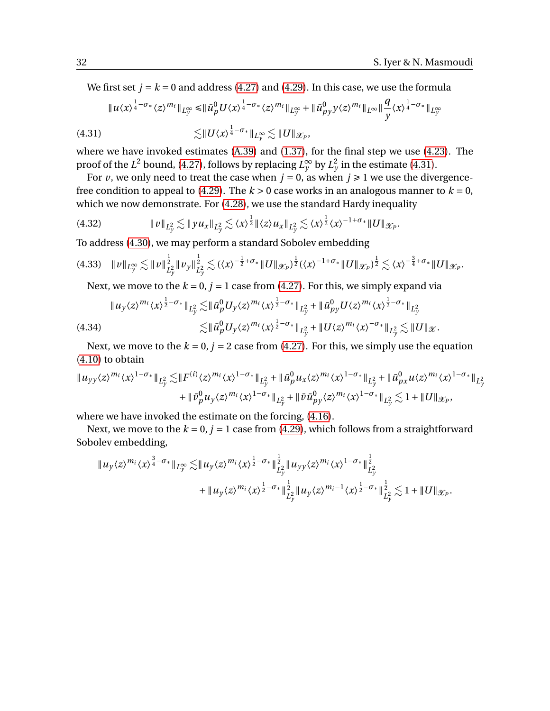We first set  $j = k = 0$  and address [\(4.27\)](#page-30-3) and [\(4.29\)](#page-30-5). In this case, we use the formula

$$
\|u\langle x\rangle^{\frac{1}{4}-\sigma_*}\langle z\rangle^{m_i}\|_{L_y^{\infty}}\leq \|\bar{u}_p^0 U\langle x\rangle^{\frac{1}{4}-\sigma_*}\langle z\rangle^{m_i}\|_{L_y^{\infty}}+\|\bar{u}_{py}^0 y\langle z\rangle^{m_i}\|_{L^{\infty}}\|\frac{q}{y}\langle x\rangle^{\frac{1}{4}-\sigma_*}\|_{L_y^{\infty}}
$$

<span id="page-31-0"></span>
$$
\lesssim ||U\langle x\rangle^{\frac{1}{4}-\sigma_*}\|_{L_y^{\infty}} \lesssim ||U\|_{\mathscr{X}_P},
$$

where we have invoked estimates [\(A.39\)](#page-41-3) and [\(1.37\)](#page-7-3), for the final step we use [\(4.23\)](#page-30-0). The proof of the *L*<sup>2</sup> bound, [\(4.27\)](#page-30-3), follows by replacing  $L_y^{\infty}$  by  $L_y^2$  in the estimate [\(4.31\)](#page-31-0).

For *v*, we only need to treat the case when  $j = 0$ , as when  $j \ge 1$  we use the divergence-free condition to appeal to [\(4.29\)](#page-30-5). The  $k > 0$  case works in an analogous manner to  $k = 0$ , which we now demonstrate. For  $(4.28)$ , we use the standard Hardy inequality

<sup>k</sup>*v*k*<sup>L</sup>* 2 *y* . <sup>k</sup>*yu<sup>x</sup>* <sup>k</sup>*<sup>L</sup>* 2 *y* . 〈*x*〉 1 <sup>2</sup> k〈*z*〉*u<sup>x</sup>* <sup>k</sup>*<sup>L</sup>* 2 *y* . 〈*x*〉 1 <sup>2</sup> 〈*x*〉 <sup>−</sup>1+*σ*∗k*U*kX*<sup>P</sup>* (4.32) .

To address [\(4.30\)](#page-30-4), we may perform a standard Sobolev embedding

$$
(4.33)\quad \|v\|_{L_y^{\infty}} \lesssim \|v\|_{L_y^2}^{\frac{1}{2}} \|v_y\|_{L_y^2}^{\frac{1}{2}} \lesssim (\langle x \rangle^{-\frac{1}{2}+\sigma_*} \|U\|_{\mathscr{X}_P})^{\frac{1}{2}} (\langle x \rangle^{-1+\sigma_*} \|U\|_{\mathscr{X}_P})^{\frac{1}{2}} \lesssim \langle x \rangle^{-\frac{3}{4}+\sigma_*} \|U\|_{\mathscr{X}_P}.
$$

Next, we move to the  $k = 0$ ,  $j = 1$  case from [\(4.27\)](#page-30-3). For this, we simply expand via

$$
\|u_y \langle z \rangle^{m_i} \langle x \rangle^{\frac{1}{2}-\sigma_*} \|_{L^2_y} \lesssim \| \bar{u}_p^0 U_y \langle z \rangle^{m_i} \langle x \rangle^{\frac{1}{2}-\sigma_*} \|_{L^2_y} + \| \bar{u}_{py}^0 U \langle z \rangle^{m_i} \langle x \rangle^{\frac{1}{2}-\sigma_*} \|_{L^2_y}
$$
\n
$$
\lesssim \| \bar{u}_p^0 U_y \langle z \rangle^{m_i} \langle x \rangle^{\frac{1}{2}-\sigma_*} \|_{L^2_y} + \| U \langle z \rangle^{m_i} \langle x \rangle^{-\sigma_*} \|_{L^2_y} \lesssim \| U \|_{\mathcal{X}}.
$$

Next, we move to the  $k = 0$ ,  $j = 2$  case from [\(4.27\)](#page-30-3). For this, we simply use the equation [\(4.10\)](#page-28-2) to obtain

$$
\|u_{yy}\langle z\rangle^{m_i}\langle x\rangle^{1-\sigma_*}\|_{L^2_y} \lesssim \|F^{(i)}\langle z\rangle^{m_i}\langle x\rangle^{1-\sigma_*}\|_{L^2_y} + \|\bar{u}_p^0 u_x \langle z\rangle^{m_i}\langle x\rangle^{1-\sigma_*}\|_{L^2_y} + \|\bar{u}_{px}^0 u \langle z\rangle^{m_i}\langle x\rangle^{1-\sigma_*}\|_{L^2_y} + \|\bar{v}_p^0 u_y \langle z\rangle^{m_i}\langle x\rangle^{1-\sigma_*}\|_{L^2_y} + \|\bar{v}\bar{u}_{py}^0 \langle z\rangle^{m_i}\langle x\rangle^{1-\sigma_*}\|_{L^2_y} \lesssim 1 + \|U\|_{\mathcal{X}_P},
$$

where we have invoked the estimate on the forcing, [\(4.16\)](#page-28-1).

Next, we move to the  $k = 0$ ,  $j = 1$  case from [\(4.29\)](#page-30-5), which follows from a straightforward Sobolev embedding,

$$
\|u_y \langle z \rangle^{m_i} \langle x \rangle^{\frac{3}{4}-\sigma_*} \|_{L_y^{\infty}} \lesssim \|u_y \langle z \rangle^{m_i} \langle x \rangle^{\frac{1}{2}-\sigma_*} \|_{L_y^2}^{\frac{1}{2}} \|u_{yy} \langle z \rangle^{m_i} \langle x \rangle^{1-\sigma_*} \|_{L_y^2}^{\frac{1}{2}} + \|u_y \langle z \rangle^{m_i} \langle x \rangle^{\frac{1}{2}-\sigma_*} \|_{L_y^2}^{\frac{1}{2}} \|u_y \langle z \rangle^{m_i-1} \langle x \rangle^{\frac{1}{2}-\sigma_*} \|_{L_y^2}^{\frac{1}{2}} \lesssim 1 + \|U\|_{\mathcal{X}_P}.
$$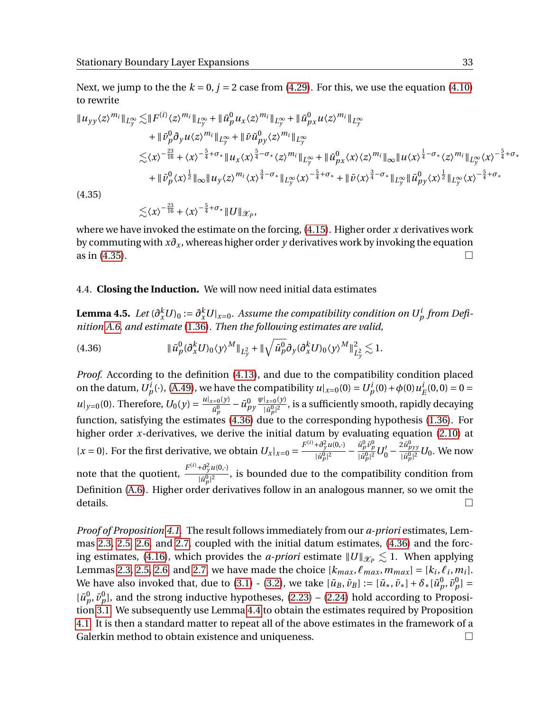Next, we jump to the the  $k = 0$ ,  $j = 2$  case from [\(4.29\)](#page-30-5). For this, we use the equation [\(4.10\)](#page-28-2) to rewrite

$$
\|u_{yy}\langle z\rangle^{m_{i}}\|_{L_{y}^{\infty}} \lesssim \|F^{(i)}\langle z\rangle^{m_{i}}\|_{L_{y}^{\infty}} + \| \bar{u}_{p}^{0} u_{x} \langle z\rangle^{m_{i}}\|_{L_{y}^{\infty}} + \| \bar{u}_{px}^{0} u_{\langle z\rangle^{m_{i}}}\|_{L_{y}^{\infty}} \n+ \| \bar{v}_{p}^{0} \partial_{y} u \langle z\rangle^{m_{i}}\|_{L_{y}^{\infty}} + \| \bar{v} \bar{u}_{py}^{0} \langle z\rangle^{m_{i}}\|_{L_{y}^{\infty}} \n\lesssim \langle x\rangle^{-\frac{23}{16}} + \langle x\rangle^{-\frac{5}{4} + \sigma_{*}} \| u_{x} \langle x\rangle^{\frac{5}{4} - \sigma_{*}} \langle z\rangle^{m_{i}}\|_{L_{y}^{\infty}} + \| \bar{u}_{px}^{0} \langle x\rangle \langle z\rangle^{m_{i}}\|_{\infty} \| u \langle x\rangle^{\frac{1}{4} - \sigma_{*}} \langle z\rangle^{m_{i}}\|_{L_{y}^{\infty}} \langle x\rangle^{-\frac{5}{4} + \sigma_{*}} \n+ \| \bar{v}_{p}^{0} \langle x\rangle^{\frac{1}{2}} \|_{\infty} \| u_{y} \langle z\rangle^{m_{i}} \langle x\rangle^{\frac{3}{4} - \sigma_{*}} \|_{L_{y}^{\infty}} \langle x\rangle^{-\frac{5}{4} + \sigma_{*}} + \| \bar{v} \langle x\rangle^{\frac{3}{4} - \sigma_{*}} \|_{L_{y}^{\infty}} \| \bar{u}_{py}^{0} \langle x\rangle^{\frac{1}{2}} \|_{L_{y}^{\infty}} \langle x\rangle^{-\frac{5}{4} + \sigma_{*}} \n(4.35)
$$

<span id="page-32-0"></span>

 $\lesssim$  $\langle x\rangle^{-\frac{23}{16}} + \langle x\rangle^{-\frac{5}{4}+\sigma_{*}}$  ||  $U$  ||  $\mathscr{X}_{P}$ ,

where we have invoked the estimate on the forcing, [\(4.15\)](#page-28-0). Higher order *x* derivatives work by commuting with *x∂<sup>x</sup>* , whereas higher order *y* derivatives work by invoking the equation as in [\(4.35\)](#page-32-0).

## 4.4. **Closing the Induction.** We will now need initial data estimates

Lemma 4.5. Let  $(\partial_x^k U)_0 := \partial_x^k U|_{x=0}$ . Assume the compatibility condition on  $U_p^i$  from Defi*nition [A.6,](#page-43-2) and estimate* [\(1.36\)](#page-7-6)*. Then the following estimates are valid,*

<span id="page-32-1"></span>(4.36) 
$$
\|\bar{u}_p^0(\partial_x^k U)_0 \langle y \rangle^M\|_{L_y^2} + \|\sqrt{\bar{u}_p^0} \partial_y(\partial_x^k U)_0 \langle y \rangle^M\|_{L_y^2}^2 \lesssim 1.
$$

*Proof.* According to the definition [\(4.13\)](#page-28-3), and due to the compatibility condition placed on the datum,  $U_p^i(\cdot)$ , [\(A.49\)](#page-42-4), we have the compatibility  $u|_{x=0}(0) = U_p^i(0) + \phi(0)u_p^i$  $E^i(E(0,0)) = 0 = 0$  $u|_{y=0}(0)$ . Therefore,  $U_0(y) = \frac{u|_{x=0}(y)}{v^0}$  $\frac{\bar{u}^{(0)}_p}{\bar{u}^0_p}-\bar{u}^0_{py}$ *ψ*|*x*=0(*y*)  $\frac{|x=0\backslash y|}{|\bar{u}^0_p|^2}$ , is a sufficiently smooth, rapidly decaying function, satisfying the estimates [\(4.36\)](#page-32-1) due to the corresponding hypothesis [\(1.36\)](#page-7-6). For higher order *x*-derivatives, we derive the initial datum by evaluating equation [\(2.10\)](#page-13-1) at  ${x = 0}$ . For the first derivative, we obtain  $U_x|_{x=0} = \frac{F^{(i)} + \frac{\partial^2 y}{\partial t^0} u(0, \cdot)}{|t^0|^2}$  $\frac{(\vec{a}^0_j u(0,\cdot))}{|\vec{a}^0_p|^2} - \frac{\vec{u}^0_p \vec{v}^0_p}{|\vec{u}^0_p|^2} U^{\prime}_0 - \frac{2\vec{u}^0_{pyy}}{|\vec{u}^0_p|^2} U_0.$  We now note that the quotient,  $\frac{F^{(i)} + \partial_y^2 u(0, \cdot)}{F^{(i)} + \partial_y^2 u(0, \cdot)}$  $\frac{p_{\varphi}(\mathbf{x}, \mathbf{y})}{|\vec{a}_{p}^{0}|^{2}}$ , is bounded due to the compatibility condition from Definition [\(A.6\)](#page-43-2). Higher order derivatives follow in an analogous manner, so we omit the  $\Box$  details.

*Proof of Proposition [4.1.](#page-27-4)* The result follows immediately from our *a-priori* estimates, Lemmas [2.3,](#page-16-0) [2.5,](#page-19-0) [2.6,](#page-22-0) and [2.7,](#page-24-0) coupled with the initial datum estimates, [\(4.36\)](#page-32-1) and the forc-ing estimates, [\(4.16\)](#page-28-1), which provides the *a-priori* estimate  $\|U\|_{\mathcal{X}_P} \lesssim 1$ . When applying Lemmas [2.3,](#page-16-0) [2.5,](#page-19-0) [2.6,](#page-22-0) and [2.7,](#page-24-0) we have made the choice  $[k_{max}, \ell_{max}, m_{max}] = [k_i, \ell_i, m_i].$ We have also invoked that, due to [\(3.1\)](#page-24-5) - [\(3.2\)](#page-24-6), we take  $[\bar{u}_B, \bar{v}_B] := [\bar{u}_*, \bar{v}_*] + \delta_*[\tilde{u}_p^0, \tilde{v}_p^0] =$  $[\bar{u}_p^0, \bar{v}_p^0]$ , and the strong inductive hypotheses, [\(2.23\)](#page-15-2) – [\(2.24\)](#page-15-3) hold according to Proposition [3.1.](#page-24-4) We subsequently use Lemma [4.4](#page-30-7) to obtain the estimates required by Proposition [4.1.](#page-27-4) It is then a standard matter to repeat all of the above estimates in the framework of a Galerkin method to obtain existence and uniqueness.  $\qquad \qquad \Box$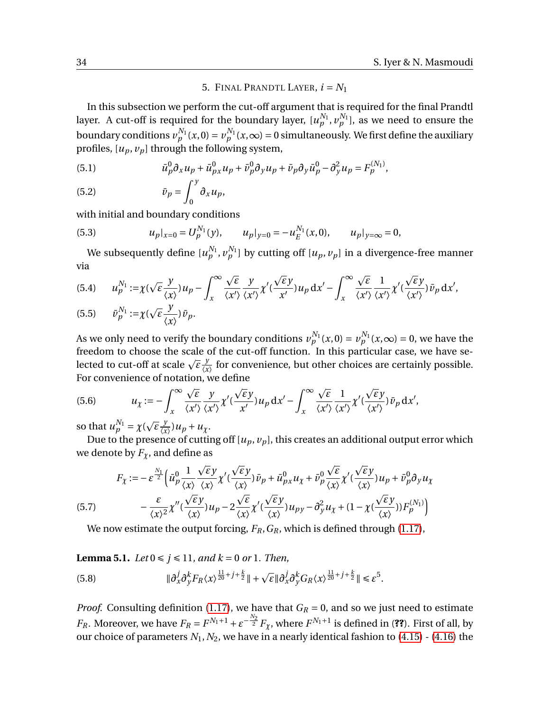## 5. FINAL PRANDTL LAYER,  $i = N_1$

<span id="page-33-0"></span>In this subsection we perform the cut-off argument that is required for the final Prandtl layer. A cut-off is required for the boundary layer,  $[u_p^{N_1}, v_p^{N_1}],$  as we need to ensure the boundary conditions  $v^{N_1}_p(x,0) = v^{N_1}_p(x,\infty) = 0$  simultaneously. We first define the auxiliary profiles,  $[u_p, v_p]$  through the following system,

(5.1) 
$$
\bar{u}_p^0 \partial_x u_p + \bar{u}_{px}^0 u_p + \bar{v}_p^0 \partial_y u_p + \bar{v}_p \partial_y \bar{u}_p^0 - \partial_y^2 u_p = F_p^{(N_1)},
$$

$$
(5.2) \t\t\t \bar{v}_p = \int_0^{\cdot} \partial_x u_p,
$$

with initial and boundary conditions

(5.3) 
$$
u_p|_{x=0} = U_p^{N_1}(y), \qquad u_p|_{y=0} = -u_E^{N_1}(x,0), \qquad u_p|_{y=\infty} = 0,
$$

We subsequently define  $[u_p^{N_1}, v_p^{N_1}]$  by cutting off  $[u_p, v_p]$  in a divergence-free manner via

(5.4) 
$$
u_p^{N_1} := \chi(\sqrt{\varepsilon} \frac{y}{\langle x \rangle}) u_p - \int_x^{\infty} \frac{\sqrt{\varepsilon} y}{\langle x' \rangle} \frac{y}{\langle x' \rangle} \frac{\langle x \rangle}{\langle x' \rangle} u_p \, dx' - \int_x^{\infty} \frac{\sqrt{\varepsilon} y}{\langle x' \rangle} \frac{1}{\langle x' \rangle} \frac{\langle x \rangle}{\langle x' \rangle} \tilde{v}_p \, dx',
$$
  
(5.5) 
$$
\bar{v}_p^{N_1} := \chi(\sqrt{\varepsilon} \frac{y}{\langle x \rangle}) \bar{v}_p.
$$

As we only need to verify the boundary conditions  $v_p^{N_1}(x,0) = v_p^{N_1}(x,\infty) = 0$ , we have the freedom to choose the scale of the cut-off function. In this particular case, we have se*lected to cut-off at scale*  $\sqrt{\varepsilon} \frac{y}{\sqrt{y}}$  $\frac{y}{\langle x \rangle}$  for convenience, but other choices are certainly possible. For convenience of notation, we define p p

(5.6) 
$$
u_{\chi} := -\int_{x}^{\infty} \frac{\sqrt{\varepsilon} y}{\langle x' \rangle \langle x' \rangle} \chi'(\frac{\sqrt{\varepsilon} y}{x'}) u_p \, dx' - \int_{x}^{\infty} \frac{\sqrt{\varepsilon} y}{\langle x' \rangle \langle x' \rangle} \chi'(\frac{\sqrt{\varepsilon} y}{\langle x' \rangle}) \bar{v}_p \, dx',
$$

so that  $u_p^{N_1} = \chi$  ( *ε y*  $\frac{y}{\langle x \rangle}$ )  $u_p + u_\chi$ .

Due to the presence of cutting off  $[u_p, v_p]$ , this creates an additional output error which we denote by  $F_\chi$ , and define as

<span id="page-33-1"></span>(5.7) 
$$
F_{\chi} := -\varepsilon^{\frac{N_1}{2}} \Big( \bar{u}_p^0 \frac{1}{\langle x \rangle} \frac{\sqrt{\varepsilon} y}{\langle x \rangle} \chi'(\frac{\sqrt{\varepsilon} y}{\langle x \rangle}) \bar{v}_p + \bar{u}_{px}^0 u_{\chi} + \bar{v}_p^0 \frac{\sqrt{\varepsilon} y}{\langle x \rangle} \chi'(\frac{\sqrt{\varepsilon} y}{\langle x \rangle}) u_p + \bar{v}_p^0 \partial_y u_{\chi} - \frac{\varepsilon}{\langle x \rangle^2} \chi''(\frac{\sqrt{\varepsilon} y}{\langle x \rangle}) u_p - 2 \frac{\sqrt{\varepsilon} y}{\langle x \rangle} \chi'(\frac{\sqrt{\varepsilon} y}{\langle x \rangle}) u_{py} - \partial_y^2 u_{\chi} + (1 - \chi(\frac{\sqrt{\varepsilon} y}{\langle x \rangle})) F_p^{(N_1)} \Big)
$$

We now estimate the output forcing, *FR*,*GR*, which is defined through [\(1.17\)](#page-3-0),

<span id="page-33-3"></span>**Lemma 5.1.** *Let*  $0 \le j \le 11$ *, and k* = 0 *or* 1*. Then,* 

<span id="page-33-2"></span>(5.8) 
$$
\|\partial_x^j \partial_y^k F_R \langle x \rangle^{\frac{11}{20} + j + \frac{k}{2}} \| + \sqrt{\varepsilon} \|\partial_x^j \partial_y^k G_R \langle x \rangle^{\frac{11}{20} + j + \frac{k}{2}} \| \leq \varepsilon^5.
$$

*Proof.* Consulting definition [\(1.17\)](#page-3-0), we have that  $G_R = 0$ , and so we just need to estimate *F*<sub>*R*</sub>. Moreover, we have  $F_R = F^{N_1+1} + \varepsilon^{-\frac{N_2}{2}} F_\chi$ , where  $F^{N_1+1}$  is defined in (??). First of all, by our choice of parameters  $N_1$ ,  $N_2$ , we have in a nearly identical fashion to [\(4.15\)](#page-28-0) - [\(4.16\)](#page-28-1) the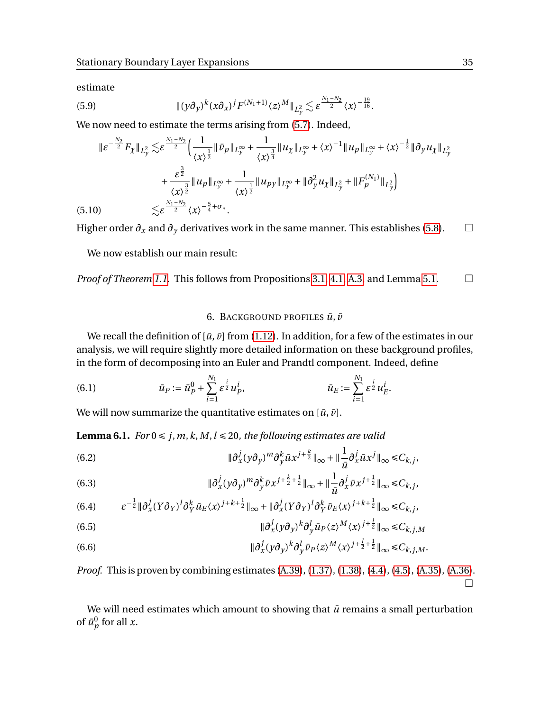estimate

(5.9) 
$$
\|(\gamma \partial_{\gamma})^{k} (x \partial_{x})^{j} F^{(N_{1}+1)} \langle z \rangle^{M} \|_{L_{\gamma}^{2}} \lesssim \varepsilon^{\frac{N_{1}-N_{2}}{2}} \langle x \rangle^{-\frac{19}{16}}.
$$

We now need to estimate the terms arising from [\(5.7\)](#page-33-1). Indeed,

$$
\|\varepsilon^{-\frac{N_2}{2}}F_{\chi}\|_{L_y^2} \lesssim \varepsilon^{\frac{N_1-N_2}{2}} \Big(\frac{1}{\langle x \rangle^{\frac{1}{2}}}\|\bar{v}_p\|_{L_y^{\infty}} + \frac{1}{\langle x \rangle^{\frac{3}{4}}}\|u_\chi\|_{L_y^{\infty}} + \langle x \rangle^{-1}\|u_p\|_{L_y^{\infty}} + \langle x \rangle^{-\frac{1}{2}}\|\partial_y u_\chi\|_{L_y^2} + \frac{\varepsilon^{\frac{3}{2}}}{\langle x \rangle^{\frac{3}{2}}}\|u_p\|_{L_y^{\infty}} + \frac{1}{\langle x \rangle^{\frac{1}{2}}}\|u_{py}\|_{L_y^{\infty}} + \|\partial_y^2 u_\chi\|_{L_y^2} + \|F_p^{(N_1)}\|_{L_y^2}\Big) (5.10) \lesssim \varepsilon^{\frac{N_1-N_2}{2}}\langle x \rangle^{-\frac{5}{4}+\sigma_*}.
$$

Higher order  $\partial_x$  and  $\partial_y$  derivatives work in the same manner. This establishes [\(5.8\)](#page-33-2).  $\Box$ 

We now establish our main result:

*Proof of Theorem [1.1.](#page-7-0)* This follows from Propositions [3.1,](#page-24-4) [4.1,](#page-27-4) [A.3,](#page-41-4) and Lemma [5.1.](#page-33-3)

## 6. BACKGROUND PROFILES  $\bar{u}$ ,  $\bar{v}$

<span id="page-34-1"></span>We recall the definition of  $[\bar{u}, \bar{v}]$  from [\(1.12\)](#page-2-0). In addition, for a few of the estimates in our analysis, we will require slightly more detailed information on these background profiles, in the form of decomposing into an Euler and Prandtl component. Indeed, define

(6.1) 
$$
\bar{u}_P := \bar{u}_P^0 + \sum_{i=1}^{N_1} \varepsilon^{\frac{i}{2}} u_P^i, \qquad \bar{u}_E := \sum_{i=1}^{N_1} \varepsilon^{\frac{i}{2}} u_E^i.
$$

We will now summarize the quantitative estimates on  $[\bar{u}, \bar{v}]$ .

<span id="page-34-0"></span>**Lemma 6.1.** *For*  $0 \le j, m, k, M, l \le 20$ *, the following estimates are valid* 

<span id="page-34-2"></span>(6.2) 
$$
\|\partial_x^j (y \partial_y)^m \partial_y^k \bar{u} x^{j+\frac{k}{2}}\|_\infty + \|\frac{1}{\bar{u}} \partial_x^j \bar{u} x^j\|_\infty \leq C_{k,j},
$$

(6.3) 
$$
\|\partial_x^j (y \partial_y)^m \partial_y^k \bar{\nu} x^{j + \frac{k}{2} + \frac{1}{2}}\|_{\infty} + \|\frac{1}{\bar{\mu}} \partial_x^j \bar{\nu} x^{j + \frac{1}{2}}\|_{\infty} \leq C_{k,j},
$$

$$
(6.4) \qquad \varepsilon^{-\frac{1}{2}} \|\partial_x^j (Y\partial_Y)^l \partial_Y^k \bar{u}_E \langle x \rangle^{j+k+\frac{1}{2}} \|_\infty + \|\partial_x^j (Y\partial_Y)^l \partial_Y^k \bar{v}_E \langle x \rangle^{j+k+\frac{1}{2}} \|_\infty \leq C_{k,j},
$$

(6.5) 
$$
\|\partial_x^j (y \partial_y)^k \partial_y^l \bar{u}_P \langle z \rangle^M \langle x \rangle^{j+\frac{1}{2}}\|_\infty \leq C_{k,j,M}
$$

<span id="page-34-3"></span>(6.6) 
$$
\|\partial_x^j (y\partial_y)^k \partial_y^l \bar{\nu}_P \langle z \rangle^M \langle x \rangle^{j+\frac{1}{2}+\frac{1}{2}} \|_\infty \leq C_{k,j,M}.
$$

*Proof.* This is proven by combining estimates [\(A.39\)](#page-41-3), [\(1.37\)](#page-7-3), [\(1.38\)](#page-7-4), [\(4.4\)](#page-27-6), [\(4.5\)](#page-27-7), [\(A.35\)](#page-41-5), [\(A.36\)](#page-41-6).  $\Box$ 

We will need estimates which amount to showing that  $\bar{u}$  remains a small perturbation of  $\bar{u}_p^0$  for all *x*.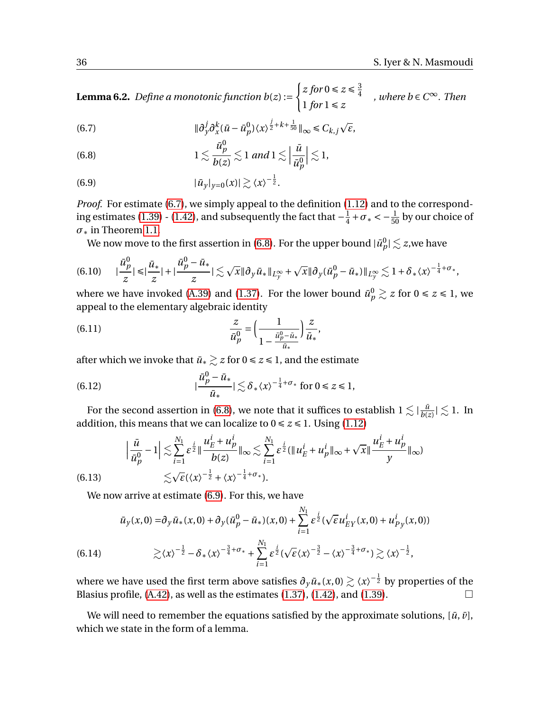**Lemma 6.2.** *Define a monotonic function b*(*z*) :=  $\int z \, \text{for } 0 \leq z \leq \frac{3}{4}$ 4  $1$  *for*  $1 \le z$ *, where b* ∈*C* <sup>∞</sup>*. Then*

<span id="page-35-0"></span>(6.7) 
$$
\|\partial_y^j \partial_x^k (\bar{u} - \bar{u}_p^0) \langle x \rangle^{\frac{j}{2} + k + \frac{1}{50}}\|_{\infty} \leq C_{k,j} \sqrt{\varepsilon},
$$

<span id="page-35-1"></span>(6.8) 
$$
1 \lesssim \frac{\bar{u}_p^0}{b(z)} \lesssim 1 \text{ and } 1 \lesssim \left| \frac{\bar{u}}{\bar{u}_p^0} \right| \lesssim 1,
$$

<span id="page-35-2"></span>
$$
(6.9) \t\t\t |\bar{u}_y|_{y=0}(x)| \gtrsim \langle x \rangle^{-\frac{1}{2}}.
$$

*Proof.* For estimate [\(6.7\)](#page-35-0), we simply appeal to the definition [\(1.12\)](#page-2-0) and to the correspond-ing estimates [\(1.39\)](#page-7-5) - [\(1.42\)](#page-8-0), and subsequently the fact that  $-\frac{1}{4}$  $\frac{1}{4} + \sigma_* < -\frac{1}{50}$  by our choice of *σ*∗ in Theorem [1.1.](#page-7-0)

We now move to the first assertion in [\(6.8\)](#page-35-1). For the upper bound  $|\bar{u}^0_p| \lesssim z,$ we have

$$
(6.10) \qquad |\frac{\bar{u}_p^0}{z}| \leq |\frac{\bar{u}_*}{z}| + |\frac{\bar{u}_p^0 - \bar{u}_*}{z}| \lesssim \sqrt{x} \|\partial_y \bar{u}_*\|_{L_y^{\infty}} + \sqrt{x} \|\partial_y (\bar{u}_p^0 - \bar{u}_*)\|_{L_y^{\infty}} \lesssim 1 + \delta_* \langle x \rangle^{-\frac{1}{4} + \sigma_*},
$$

where we have invoked [\(A.39\)](#page-41-3) and [\(1.37\)](#page-7-3). For the lower bound  $\bar{u}_p^0 \gtrsim z$  for  $0 \le z \le 1$ , we appeal to the elementary algebraic identity

(6.11) 
$$
\frac{z}{\bar{u}_p^0} = \left(\frac{1}{1 - \frac{\bar{u}_p^0 - \bar{u}_*}{\bar{u}_*}}\right) \frac{z}{\bar{u}_*},
$$

after which we invoke that  $\bar{u}_∗ \gtrsim z$  for  $0 ≤ z ≤ 1$ , and the estimate

(6.12) 
$$
|\frac{\bar{u}_p^0 - \bar{u}_*}{\bar{u}_*}| \lesssim \delta_* \langle x \rangle^{-\frac{1}{4} + \sigma_*} \text{ for } 0 \le z \le 1,
$$

For the second assertion in [\(6.8\)](#page-35-1), we note that it suffices to establish  $1 \lesssim |\frac{\bar{u}}{h}$  $\frac{\bar{u}}{b(z)} \mid \lesssim 1$ . In addition, this means that we can localize to  $0 \le z \le 1$ . Using [\(1.12\)](#page-2-0)

$$
\left|\frac{\bar{u}}{\bar{u}_p^0} - 1\right| \lesssim \sum_{i=1}^{N_1} \varepsilon^{\frac{i}{2}} \| \frac{u_E^i + u_p^i}{b(z)} \|_{\infty} \lesssim \sum_{i=1}^{N_1} \varepsilon^{\frac{i}{2}} (\| u_E^i + u_p^i \|_{\infty} + \sqrt{x} \| \frac{u_E^i + u_p^i}{y} \|_{\infty})
$$
\n(6.13)\n
$$
\lesssim \sqrt{\varepsilon} (\langle x \rangle^{-\frac{1}{2}} + \langle x \rangle^{-\frac{1}{4} + \sigma_*}).
$$

We now arrive at estimate [\(6.9\)](#page-35-2). For this, we have

$$
\bar{u}_y(x,0) = \partial_y \bar{u}_*(x,0) + \partial_y (\bar{u}_p^0 - \bar{u}_*)(x,0) + \sum_{i=1}^{N_1} \varepsilon^{\frac{i}{2}} (\sqrt{\varepsilon} u_{EY}^i(x,0) + u_{Py}^i(x,0))
$$
\n
$$
\geq \langle x \rangle^{-\frac{1}{2}} - \delta_*(x)^{-\frac{3}{4} + \sigma_*} + \sum_{i=1}^{N_1} \varepsilon^{\frac{i}{2}} (\sqrt{\varepsilon} \langle x \rangle^{-\frac{3}{2}} - \langle x \rangle^{-\frac{3}{4} + \sigma_*}) \geq \langle x \rangle^{-\frac{1}{2}},
$$

where we have used the first term above satisfies  $\partial_y \bar{u}_*(x,0) \gtrsim \langle x \rangle^{-\frac{1}{2}}$  by properties of the Blasius profile,  $(A.42)$ , as well as the estimates  $(1.37)$ ,  $(1.42)$ , and  $(1.39)$ .

We will need to remember the equations satisfied by the approximate solutions,  $[\bar{u}, \bar{v}]$ , which we state in the form of a lemma.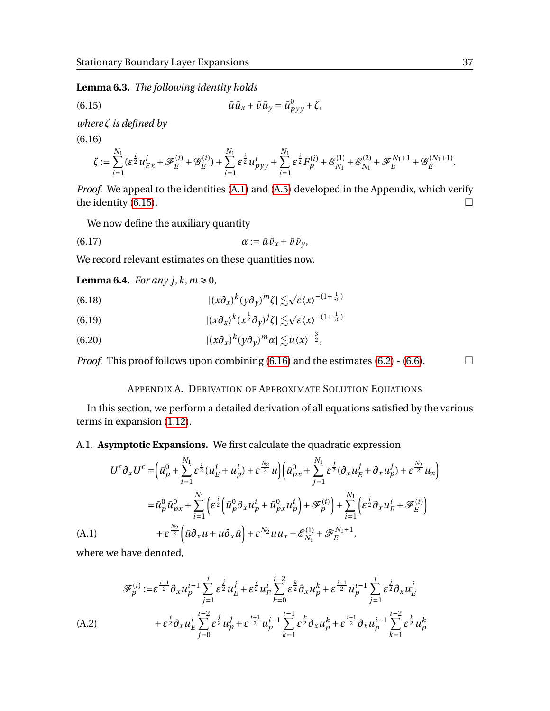**Lemma 6.3.** *The following identity holds*

<span id="page-36-4"></span>(6.15) 
$$
\bar{u}\bar{u}_x + \bar{v}\bar{u}_y = \bar{u}_{pyy}^0 + \zeta,
$$

<span id="page-36-5"></span>*where ζ is defined by*

(6.16)

$$
\zeta := \sum_{i=1}^{N_1} (\varepsilon^{\frac{i}{2}} u_{Ex}^i + \mathscr{F}_E^{(i)} + \mathscr{G}_E^{(i)}) + \sum_{i=1}^{N_1} \varepsilon^{\frac{i}{2}} u_{pyy}^i + \sum_{i=1}^{N_1} \varepsilon^{\frac{i}{2}} F_p^{(i)} + \mathscr{E}_{N_1}^{(1)} + \mathscr{E}_{N_1}^{(2)} + \mathscr{F}_E^{N_1+1} + \mathscr{G}_E^{(N_1+1)}.
$$

*Proof.* We appeal to the identities [\(A.1\)](#page-36-3) and [\(A.5\)](#page-37-0) developed in the Appendix, which verify the identity [\(6.15\)](#page-36-4).  $\Box$ 

We now define the auxiliary quantity

$$
\alpha := \bar{u}\bar{v}_x + \bar{v}\bar{v}_y,
$$

We record relevant estimates on these quantities now.

<span id="page-36-1"></span>**Lemma 6.4.** *For any*  $j, k, m \ge 0$ *,* 

(6.18) 
$$
|(x\partial_x)^k (y\partial_y)^m \zeta| \lesssim \sqrt{\varepsilon} \langle x \rangle^{-(1+\frac{1}{50})}
$$

(6.19) 
$$
|(x\partial_x)^k(x^{\frac{1}{2}}\partial_y)^j\zeta|\lesssim \sqrt{\varepsilon}\langle x\rangle^{-(1+\frac{1}{50})}
$$

(6.20) 
$$
|(x\partial_x)^k (y\partial_y)^m \alpha| \lesssim \bar{u} \langle x \rangle^{-\frac{3}{2}},
$$

*Proof.* This proof follows upon combining  $(6.16)$  and the estimates  $(6.2)$  -  $(6.6)$ .

## APPENDIX A. DERIVATION OF APPROXIMATE SOLUTION EQUATIONS

<span id="page-36-0"></span>In this section, we perform a detailed derivation of all equations satisfied by the various terms in expansion [\(1.12\)](#page-2-0).

## A.1. **Asymptotic Expansions.** We first calculate the quadratic expression

$$
U^{\varepsilon} \partial_x U^{\varepsilon} = \left( \bar{u}_p^0 + \sum_{i=1}^{N_1} \varepsilon^{\frac{i}{2}} (u_E^i + u_p^i) + \varepsilon^{\frac{N_2}{2}} u \right) \left( \bar{u}_{px}^0 + \sum_{j=1}^{N_1} \varepsilon^{\frac{j}{2}} (\partial_x u_E^j + \partial_x u_p^j) + \varepsilon^{\frac{N_2}{2}} u_x \right)
$$
  
\n
$$
= \bar{u}_p^0 \bar{u}_{px}^0 + \sum_{i=1}^{N_1} \left( \varepsilon^{\frac{i}{2}} \left( \bar{u}_p^0 \partial_x u_p^i + \bar{u}_{px}^0 u_p^i \right) + \mathcal{F}_p^{(i)} \right) + \sum_{i=1}^{N_1} \left( \varepsilon^{\frac{i}{2}} \partial_x u_E^i + \mathcal{F}_E^{(i)} \right)
$$
  
\n(A.1) 
$$
+ \varepsilon^{\frac{N_2}{2}} \left( \bar{u} \partial_x u + u \partial_x \bar{u} \right) + \varepsilon^{N_2} u u_x + \mathcal{E}_{N_1}^{(1)} + \mathcal{F}_E^{N_1+1},
$$

<span id="page-36-3"></span>where we have denoted,

<span id="page-36-2"></span>
$$
\mathcal{F}_p^{(i)} := \varepsilon^{\frac{i-1}{2}} \partial_x u_p^{i-1} \sum_{j=1}^i \varepsilon^{\frac{j}{2}} u_E^j + \varepsilon^{\frac{i}{2}} u_E^i \sum_{k=0}^{i-2} \varepsilon^{\frac{k}{2}} \partial_x u_p^k + \varepsilon^{\frac{i-1}{2}} u_p^{i-1} \sum_{j=1}^i \varepsilon^{\frac{j}{2}} \partial_x u_E^j
$$
\n(A.2) 
$$
+ \varepsilon^{\frac{i}{2}} \partial_x u_E^i \sum_{j=0}^{i-2} \varepsilon^{\frac{j}{2}} u_p^j + \varepsilon^{\frac{i-1}{2}} u_p^{i-1} \sum_{k=1}^{i-1} \varepsilon^{\frac{k}{2}} \partial_x u_p^k + \varepsilon^{\frac{i-1}{2}} \partial_x u_p^{i-1} \sum_{k=1}^{i-2} \varepsilon^{\frac{k}{2}} u_p^k
$$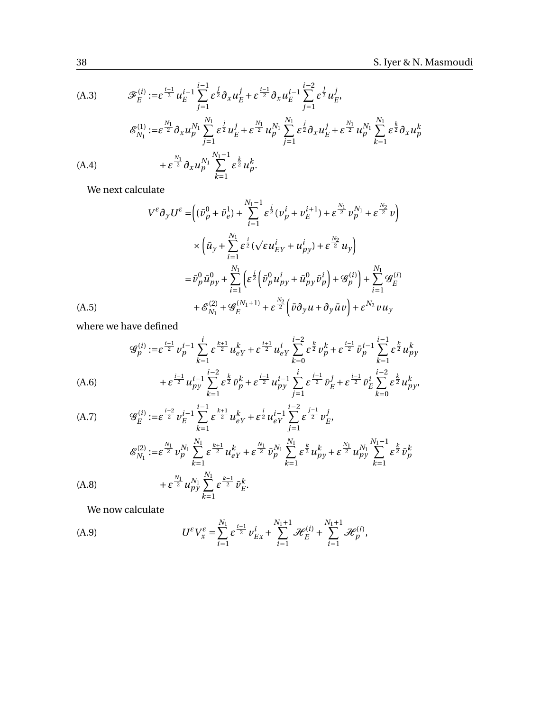(A.3) 
$$
\mathcal{F}_E^{(i)} := \varepsilon^{\frac{i-1}{2}} u_E^{i-1} \sum_{j=1}^{i-1} \varepsilon^{\frac{j}{2}} \partial_x u_E^j + \varepsilon^{\frac{i-1}{2}} \partial_x u_E^{i-1} \sum_{j=1}^{i-2} \varepsilon^{\frac{j}{2}} u_E^j,
$$
  
\n
$$
\mathcal{E}_{N_1}^{(1)} := \varepsilon^{\frac{N_1}{2}} \partial_x u_p^{N_1} \sum_{j=1}^{N_1} \varepsilon^{\frac{j}{2}} u_E^j + \varepsilon^{\frac{N_1}{2}} u_p^{N_1} \sum_{j=1}^{N_1} \varepsilon^{\frac{j}{2}} \partial_x u_E^j + \varepsilon^{\frac{N_1}{2}} u_p^{N_1} \sum_{k=1}^{N_1} \varepsilon^{\frac{k}{2}} \partial_x u_p^k
$$
  
\n(A.4) 
$$
+ \varepsilon^{\frac{N_1}{2}} \partial_x u_p^{N_1} \sum_{k=1}^{N_1 - 1} \varepsilon^{\frac{k}{2}} u_p^k.
$$

We next calculate

$$
V^{\varepsilon} \partial_y U^{\varepsilon} = \left( (\bar{\nu}_p^0 + \bar{\nu}_e^1) + \sum_{i=1}^{N_1 - 1} \varepsilon^{\frac{i}{2}} (\nu_p^i + \nu_E^{i+1}) + \varepsilon^{\frac{N_1}{2}} \nu_p^{N_1} + \varepsilon^{\frac{N_2}{2}} \nu \right)
$$
  

$$
\times \left( \bar{u}_y + \sum_{i=1}^{N_1} \varepsilon^{\frac{i}{2}} (\sqrt{\varepsilon} u_{EY}^i + u_{py}^i) + \varepsilon^{\frac{N_2}{2}} u_y \right)
$$
  

$$
= \bar{\nu}_p^0 \bar{u}_{py}^0 + \sum_{i=1}^{N_1} \left( \varepsilon^{\frac{i}{2}} \left( \bar{\nu}_p^0 u_{py}^i + \bar{u}_{py}^0 \bar{\nu}_p^i \right) + \mathcal{G}_p^{(i)} \right) + \sum_{i=1}^{N_1} \mathcal{G}_E^{(i)}
$$
  
(A.5) 
$$
+ \mathcal{E}_{N_1}^{(2)} + \mathcal{G}_E^{(N_1 + 1)} + \varepsilon^{\frac{N_2}{2}} \left( \bar{\nu} \partial_y u + \partial_y \bar{u} v \right) + \varepsilon^{N_2} v u_y
$$

<span id="page-37-0"></span>where we have defined

$$
\mathcal{G}_{p}^{(i)} := \varepsilon^{\frac{i-1}{2}} v_{p}^{i-1} \sum_{k=1}^{i} \varepsilon^{\frac{k+1}{2}} u_{eY}^{k} + \varepsilon^{\frac{i+1}{2}} u_{eY}^{i} \sum_{k=0}^{i-2} \varepsilon^{\frac{k}{2}} v_{p}^{k} + \varepsilon^{\frac{i-1}{2}} \bar{v}_{p}^{i-1} \sum_{k=1}^{i-1} \varepsilon^{\frac{k}{2}} u_{py}^{k}
$$
\n
$$
+ \varepsilon^{\frac{i-1}{2}} u_{py}^{i-1} \sum_{k=1}^{i-2} \varepsilon^{\frac{k}{2}} \bar{v}_{p}^{k} + \varepsilon^{\frac{i-1}{2}} u_{py}^{i-1} \sum_{j=1}^{i} \varepsilon^{\frac{j-1}{2}} \bar{v}_{E}^{j} + \varepsilon^{\frac{i-1}{2}} \bar{v}_{E}^{i} \sum_{k=0}^{i-2} \varepsilon^{\frac{k}{2}} u_{py}^{k},
$$
\n(A.6)

(A.7) 
$$
\mathcal{G}_{E}^{(i)} := \varepsilon^{\frac{i-2}{2}} v_{E}^{i-1} \sum_{k=1}^{i-1} \varepsilon^{\frac{k+1}{2}} u_{eY}^{k} + \varepsilon^{\frac{i}{2}} u_{eY}^{i-1} \sum_{j=1}^{i-2} \varepsilon^{\frac{j-1}{2}} v_{E}^{j},
$$

$$
\mathcal{E}_{N_{1}}^{(2)} := \varepsilon^{\frac{N_{1}}{2}} v_{p}^{N_{1}} \sum_{k=1}^{N_{1}} \varepsilon^{\frac{k+1}{2}} u_{eY}^{k} + \varepsilon^{\frac{N_{1}}{2}} \bar{v}_{p}^{N_{1}} \sum_{k=1}^{N_{1}} \varepsilon^{\frac{k}{2}} u_{py}^{k} + \varepsilon^{\frac{N_{1}}{2}} u_{py}^{N_{1}} \sum_{k=1}^{N_{1}-1} \varepsilon^{\frac{k}{2}} \bar{v}_{p}^{k}
$$
  
(A.8) 
$$
+ \varepsilon^{\frac{N_{1}}{2}} u_{py}^{N_{1}} \sum_{k=1}^{N_{1}} \varepsilon^{\frac{k-1}{2}} \bar{v}_{E}^{k}.
$$

We now calculate

<span id="page-37-1"></span>(A.9) 
$$
U^{\varepsilon}V_{x}^{\varepsilon} = \sum_{i=1}^{N_{1}} \varepsilon^{\frac{i-1}{2}} v_{Ex}^{i} + \sum_{i=1}^{N_{1}+1} \mathcal{H}_{E}^{(i)} + \sum_{i=1}^{N_{1}+1} \mathcal{H}_{p}^{(i)},
$$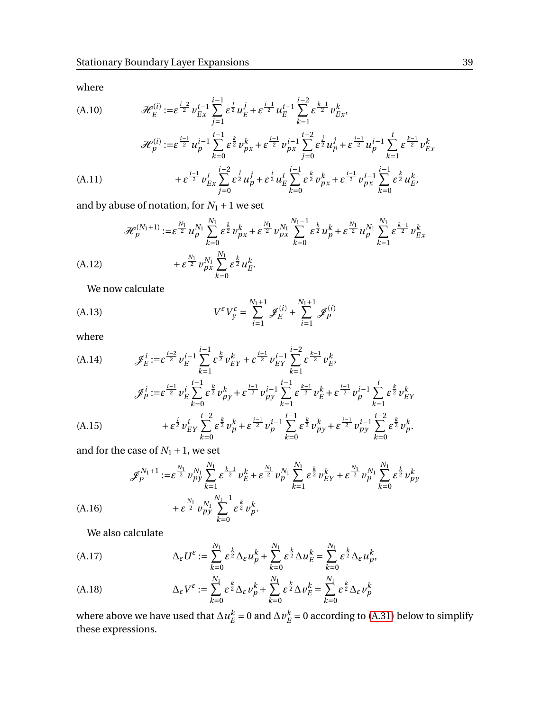where

(A.10)

\n
$$
\mathcal{H}_{E}^{(i)} := \varepsilon^{\frac{i-2}{2}} v_{Ex}^{i-1} \sum_{j=1}^{i-1} \varepsilon^{\frac{j}{2}} u_{E}^{j} + \varepsilon^{\frac{i-1}{2}} u_{E}^{i-1} \sum_{k=1}^{i-2} \varepsilon^{\frac{k-1}{2}} v_{Ex}^{k},
$$
\n
$$
\mathcal{H}_{p}^{(i)} := \varepsilon^{\frac{i-1}{2}} u_{p}^{i-1} \sum_{k=0}^{i-1} \varepsilon^{\frac{k}{2}} v_{px}^{k} + \varepsilon^{\frac{i-1}{2}} v_{px}^{i-1} \sum_{j=0}^{i-2} \varepsilon^{\frac{j}{2}} u_{p}^{j} + \varepsilon^{\frac{i-1}{2}} u_{p}^{i-1} \sum_{k=1}^{i} \varepsilon^{\frac{k-1}{2}} v_{Ex}^{k}
$$
\n
$$
(A.11)
$$
\n
$$
+ \varepsilon^{\frac{i-1}{2}} v_{Ex}^{i} \sum_{j=0}^{i-2} \varepsilon^{\frac{j}{2}} u_{p}^{j} + \varepsilon^{\frac{j}{2}} u_{E}^{i} \sum_{k=0}^{i-1} \varepsilon^{\frac{k}{2}} v_{px}^{k} + \varepsilon^{\frac{i-1}{2}} v_{px}^{i-1} \sum_{k=0}^{i-1} \varepsilon^{\frac{k}{2}} u_{E}^{k},
$$

<span id="page-38-0"></span>and by abuse of notation, for  $N_1 + 1$  we set

$$
\mathcal{H}_{p}^{(N_{1}+1)} := \varepsilon^{\frac{N_{1}}{2}} u_{p}^{N_{1}} \sum_{k=0}^{N_{1}} \varepsilon^{\frac{k}{2}} v_{px}^{k} + \varepsilon^{\frac{N_{1}}{2}} v_{px}^{N_{1}} \sum_{k=0}^{N_{1}-1} \varepsilon^{\frac{k}{2}} u_{p}^{k} + \varepsilon^{\frac{N_{1}}{2}} u_{p}^{N_{1}} \sum_{k=1}^{N_{1}} \varepsilon^{\frac{k-1}{2}} v_{Ex}^{k}
$$
\n(A.12) 
$$
+ \varepsilon^{\frac{N_{1}}{2}} v_{px}^{N_{1}} \sum_{k=0}^{N_{1}} \varepsilon^{\frac{k}{2}} u_{E}^{k}.
$$

We now calculate

<span id="page-38-3"></span>(A.13) 
$$
V^{\varepsilon} V_y^{\varepsilon} = \sum_{i=1}^{N_1+1} \mathcal{J}_E^{(i)} + \sum_{i=1}^{N_1+1} \mathcal{J}_P^{(i)}
$$

where

(A.14)

\n
$$
\mathcal{J}_E^i := \varepsilon^{\frac{i-2}{2}} v_E^{i-1} \sum_{k=1}^{i-1} \varepsilon^{\frac{k}{2}} v_{EY}^k + \varepsilon^{\frac{i-1}{2}} v_{EY}^{i-1} \sum_{k=1}^{i-2} \varepsilon^{\frac{k-1}{2}} v_E^k,
$$
\n
$$
\mathcal{J}_P^i := \varepsilon^{\frac{i-1}{2}} v_E^i \sum_{k=0}^{i-1} \varepsilon^{\frac{k}{2}} v_{py}^k + \varepsilon^{\frac{i-1}{2}} v_{py}^{i-1} \sum_{k=1}^{i-1} \varepsilon^{\frac{k-1}{2}} v_E^k + \varepsilon^{\frac{i-1}{2}} v_p^{i-1} \sum_{k=1}^i \varepsilon^{\frac{k}{2}} v_{EY}^k
$$
\n
$$
+ \varepsilon^{\frac{i}{2}} v_{EY}^i \sum_{k=0}^{i-2} \varepsilon^{\frac{k}{2}} v_p^k + \varepsilon^{\frac{i-1}{2}} v_p^{i-1} \sum_{k=0}^{i-1} \varepsilon^{\frac{k}{2}} v_{py}^k + \varepsilon^{\frac{i-1}{2}} v_{py}^{i-1} \sum_{k=0}^{i-2} \varepsilon^{\frac{k}{2}} v_p^k.
$$

<span id="page-38-1"></span>and for the case of  $N_1 + 1$ , we set

$$
\mathscr{J}_{p}^{N_{1}+1} := \varepsilon^{\frac{N_{1}}{2}} \nu_{py}^{N_{1}} \sum_{k=1}^{N_{1}} \varepsilon^{\frac{k-1}{2}} \nu_{E}^{k} + \varepsilon^{\frac{N_{1}}{2}} \nu_{p}^{N_{1}} \sum_{k=1}^{N_{1}} \varepsilon^{\frac{k}{2}} \nu_{EY}^{k} + \varepsilon^{\frac{N_{1}}{2}} \nu_{p}^{N_{1}} \sum_{k=0}^{N_{1}} \varepsilon^{\frac{k}{2}} \nu_{py}^{k}
$$
\n(A.16) 
$$
+ \varepsilon^{\frac{N_{1}}{2}} \nu_{py}^{N_{1}} \sum_{k=0}^{N_{1}-1} \varepsilon^{\frac{k}{2}} \nu_{p}^{k}.
$$

We also calculate

<span id="page-38-2"></span>(A.17) 
$$
\Delta_{\varepsilon}U^{\varepsilon} := \sum_{k=0}^{N_1} \varepsilon^{\frac{k}{2}} \Delta_{\varepsilon} u_p^k + \sum_{k=0}^{N_1} \varepsilon^{\frac{k}{2}} \Delta u_E^k = \sum_{k=0}^{N_1} \varepsilon^{\frac{k}{2}} \Delta_{\varepsilon} u_p^k,
$$

<span id="page-38-4"></span>(A.18) 
$$
\Delta_{\varepsilon} V^{\varepsilon} := \sum_{k=0}^{N_1} \varepsilon^{\frac{k}{2}} \Delta_{\varepsilon} v_p^k + \sum_{k=0}^{N_1} \varepsilon^{\frac{k}{2}} \Delta v_E^k = \sum_{k=0}^{N_1} \varepsilon^{\frac{k}{2}} \Delta_{\varepsilon} v_p^k
$$

where above we have used that  $\Delta u^k_{\mu\nu}$  $E_E^k = 0$  and  $\Delta v_E^k$  $E/E = 0$  according to [\(A.31\)](#page-40-1) below to simplify these expressions.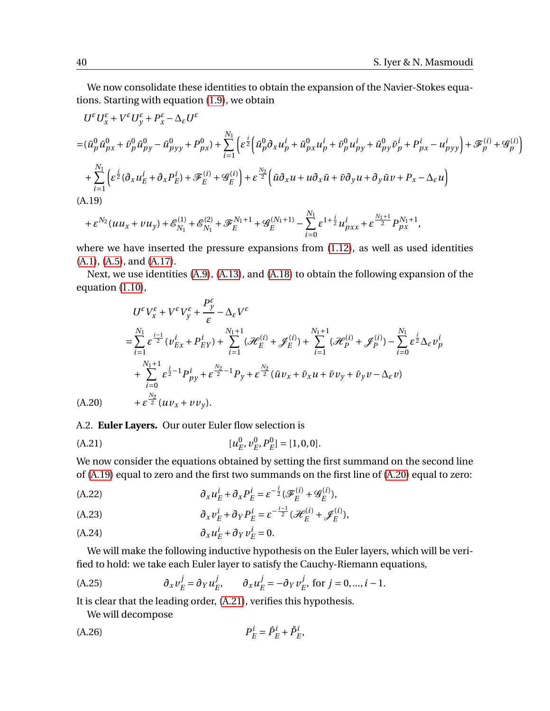We now consolidate these identities to obtain the expansion of the Navier-Stokes equations. Starting with equation [\(1.9\)](#page-1-2), we obtain

$$
U^{\varepsilon}U_{x}^{\varepsilon} + V^{\varepsilon}U_{y}^{\varepsilon} + P_{x}^{\varepsilon} - \Delta_{\varepsilon}U^{\varepsilon}
$$
  
=  $(\bar{u}_{p}^{0}\bar{u}_{px}^{0} + \bar{v}_{p}^{0}\bar{u}_{py}^{0} - \bar{u}_{pyy}^{0} + P_{px}^{0}) + \sum_{i=1}^{N_{1}} \left( \varepsilon^{\frac{i}{2}} \left( \bar{u}_{p}^{0} \partial_{x} u_{p}^{i} + \bar{u}_{px}^{0} u_{p}^{i} + \bar{v}_{p}^{0} u_{py}^{i} + \bar{u}_{py}^{0} \bar{v}_{p}^{i} + P_{px}^{i} - u_{pyy}^{i} \right) + \mathcal{F}_{p}^{(i)} + \mathcal{G}_{p}^{(i)} \right)$   
+  $\sum_{i=1}^{N_{1}} \left( \varepsilon^{\frac{i}{2}} (\partial_{x} u_{E}^{i} + \partial_{x} P_{E}^{i}) + \mathcal{F}_{E}^{(i)} + \mathcal{G}_{E}^{(i)} \right) + \varepsilon^{\frac{N_{2}}{2}} \left( \bar{u} \partial_{x} u + u \partial_{x} \bar{u} + \bar{v} \partial_{y} u + \partial_{y} \bar{u} v + P_{x} - \Delta_{\varepsilon} u \right)$   
(A.19)  
(A.19)

<span id="page-39-0"></span>
$$
+\varepsilon^{N_2}(u u_x + v u_y) + \mathcal{E}_{N_1}^{(1)} + \mathcal{E}_{N_1}^{(2)} + \mathcal{F}_E^{N_1+1} + \mathcal{G}_E^{(N_1+1)} - \sum_{i=0}^{N_1} \varepsilon^{1+\frac{i}{2}} u_{pxx}^i + \varepsilon^{\frac{N_1+1}{2}} P_{px}^{N_1+1},
$$

where we have inserted the pressure expansions from [\(1.12\)](#page-2-0), as well as used identities [\(A.1\)](#page-36-3), [\(A.5\)](#page-37-0), and [\(A.17\)](#page-38-2).

Next, we use identities [\(A.9\)](#page-37-1), [\(A.13\)](#page-38-3), and [\(A.18\)](#page-38-4) to obtain the following expansion of the equation [\(1.10\)](#page-1-4),

$$
U^{\varepsilon}V_{x}^{\varepsilon} + V^{\varepsilon}V_{y}^{\varepsilon} + \frac{P_{y}^{\varepsilon}}{\varepsilon} - \Delta_{\varepsilon}V^{\varepsilon}
$$
\n
$$
= \sum_{i=1}^{N_{1}} \varepsilon^{\frac{i-1}{2}} (\nu_{Ex}^{i} + P_{EY}^{i}) + \sum_{i=1}^{N_{1}+1} (\mathcal{H}_{E}^{(i)} + \mathcal{J}_{E}^{(i)}) + \sum_{i=1}^{N_{1}+1} (\mathcal{H}_{P}^{(i)} + \mathcal{J}_{P}^{(i)}) - \sum_{i=0}^{N_{1}} \varepsilon^{\frac{i}{2}} \Delta_{\varepsilon} \nu_{p}^{i}
$$
\n
$$
+ \sum_{i=0}^{N_{1}+1} \varepsilon^{\frac{i}{2}-1} P_{py}^{i} + \varepsilon^{\frac{N_{2}}{2}-1} P_{y} + \varepsilon^{\frac{N_{2}}{2}} (\bar{u}v_{x} + \bar{v}_{x}u + \bar{v}v_{y} + \bar{v}_{y}v - \Delta_{\varepsilon} v)
$$
\n(A.20)  $+ \varepsilon^{\frac{N_{2}}{2}} (uv_{x} + vv_{y}).$ 

<span id="page-39-1"></span>A.2. **Euler Layers.** Our outer Euler flow selection is

<span id="page-39-2"></span>(A.21) 
$$
[u_E^0, v_E^0, P_E^0] = [1, 0, 0].
$$

We now consider the equations obtained by setting the first summand on the second line of [\(A.19\)](#page-39-0) equal to zero and the first two summands on the first line of [\(A.20\)](#page-39-1) equal to zero:

<span id="page-39-4"></span>
$$
(A.22) \t\t\t \partial_x u_E^i + \partial_x P_E^i = \varepsilon^{-\frac{i}{2}} (\mathcal{F}_E^{(i)} + \mathcal{G}_E^{(i)}),
$$

(A.23) 
$$
\partial_x v_E^i + \partial_Y P_E^i = \varepsilon^{-\frac{i-1}{2}} (\mathcal{H}_E^{(i)} + \mathcal{J}_E^{(i)}),
$$

$$
(A.24) \t\t\t \partial_x u_E^i + \partial_Y v_E^i = 0.
$$

We will make the following inductive hypothesis on the Euler layers, which will be verified to hold: we take each Euler layer to satisfy the Cauchy-Riemann equations,

<span id="page-39-3"></span>(A.25) 
$$
\partial_x v_E^j = \partial_Y u_E^j, \qquad \partial_x u_E^j = -\partial_Y v_E^j, \text{ for } j = 0, ..., i - 1.
$$

It is clear that the leading order, [\(A.21\)](#page-39-2), verifies this hypothesis.

We will decompose

(A.26) 
$$
P_E^i = \hat{P}_E^i + \hat{P}_E^i,
$$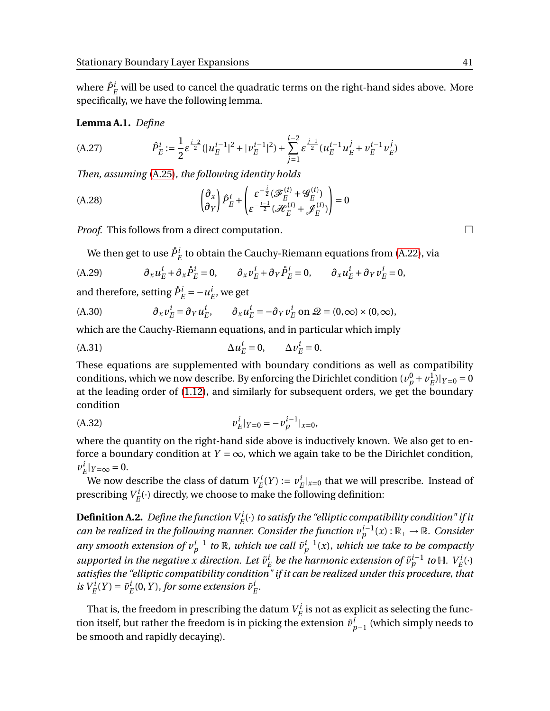where  $\hat{P}^i_E$  will be used to cancel the quadratic terms on the right-hand sides above. More specifically, we have the following lemma.

**Lemma A.1.** *Define*

(A.27) 
$$
\hat{P}_E^i := \frac{1}{2} \varepsilon^{\frac{i-2}{2}} (|u_E^{i-1}|^2 + |v_E^{i-1}|^2) + \sum_{j=1}^{i-2} \varepsilon^{\frac{j-1}{2}} (u_E^{i-1} u_E^j + v_E^{i-1} v_E^j)
$$

*Then, assuming* [\(A.25\)](#page-39-3)*, the following identity holds*

(A.28) 
$$
\begin{pmatrix} \partial_x \\ \partial_y \end{pmatrix} \hat{P}_E^i + \begin{pmatrix} \varepsilon^{-\frac{i}{2}} (\mathcal{F}_E^{(i)} + \mathcal{G}_E^{(i)}) \\ \varepsilon^{-\frac{i-1}{2}} (\mathcal{H}_E^{(i)} + \mathcal{J}_E^{(i)}) \end{pmatrix} = 0
$$

*Proof.* This follows from a direct computation.

We then get to use  $\mathring{P}_E^i$  to obtain the Cauchy-Riemann equations from [\(A.22\)](#page-39-4), via

(A.29) 
$$
\partial_x u_E^i + \partial_x \mathring{P}_E^i = 0, \qquad \partial_x v_E^i + \partial_Y \mathring{P}_E^i = 0, \qquad \partial_x u_E^i + \partial_Y v_E^i = 0,
$$

and therefore, setting  $\mathring{P}_E^i = -u_I^i$  $E^l$ , we get

<span id="page-40-2"></span>(A.30) 
$$
\partial_x v_E^i = \partial_Y u_E^i, \qquad \partial_x u_E^i = -\partial_Y v_E^i \text{ on } \mathcal{Q} = (0, \infty) \times (0, \infty),
$$

which are the Cauchy-Riemann equations, and in particular which imply

<span id="page-40-1"></span>
$$
\Delta u_E^i = 0, \qquad \Delta v_E^i = 0.
$$

These equations are supplemented with boundary conditions as well as compatibility conditions, which we now describe. By enforcing the Dirichlet condition  $(v_p^0 + v_E^1)$  $(E^1|Y=0=0$ at the leading order of [\(1.12\)](#page-2-0), and similarly for subsequent orders, we get the boundary condition

$$
(A.32) \t\t\t v_E^i|_{Y=0} = -v_p^{i-1}|_{x=0},
$$

where the quantity on the right-hand side above is inductively known. We also get to enforce a boundary condition at  $Y = \infty$ , which we again take to be the Dirichlet condition,  $v^i_{l}$  $E^i|_{Y=\infty} = 0.$ 

We now describe the class of datum  $V_F^i$  $E^i(Y) := v^i$  $E^i|x=0$  that we will prescribe. Instead of prescribing  $V_F^i$  $E^{i}_{E}(\cdot)$  directly, we choose to make the following definition:

<span id="page-40-0"></span> ${\bf Definition \,A.2.}$  *Define the function*  $V_E^i(\cdot)$  *to satisfy the "elliptic compatibility condition" if it can be realized in the following manner. Consider the function*  $v_p^{i-1}(x)$  :  $\mathbb{R}_+ \to \mathbb{R}$ *. Consider any smooth extension of*  $v_p^{i-1}$  to  $\mathbb R$ *, which we call*  $\tilde{v}_p^{i-1}(x)$ *, which we take to be compactly* supported in the negative x direction. Let  $\tilde{v}_1^i$  $\frac{i}{E}$  *be the harmonic extension of*  $\tilde{\nu}_p^{i-1}$  *to*  $\mathbb{H}$ *.*  $V_E^i(\cdot)$ *satisfies the "elliptic compatibility condition" if it can be realized under this procedure, that*  $iS V_E^i(Y) = \tilde{v}_E^i$  $E^i_E(0,Y)$  , for some extension  $\tilde{\nu}^i_I$ *E .*

That is, the freedom in prescribing the datum  $V_F^i$  $E^{\prime}$  is not as explicit as selecting the function itself, but rather the freedom is in picking the extension  $\tilde{v}_{p-1}^i$  (which simply needs to be smooth and rapidly decaying).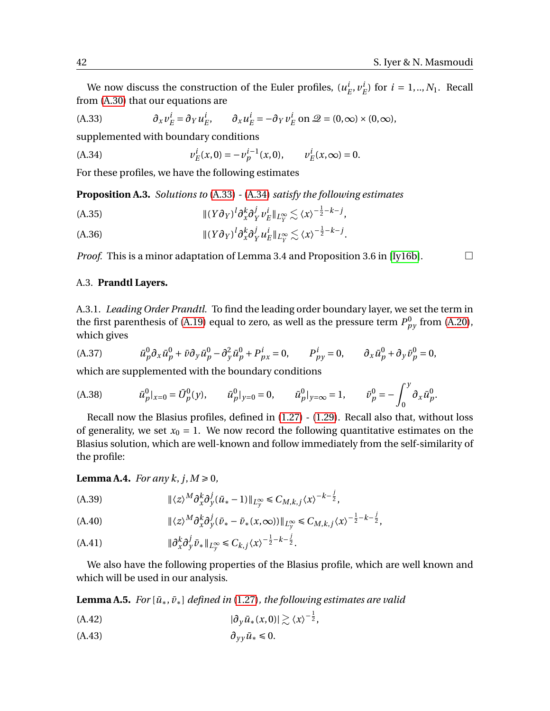We now discuss the construction of the Euler profiles,  $(u_i^j)$  $_{E}^{i},\nu_{I}^{i}$  $^{i}_{E}$  for  $i = 1, ..., N_1$ . Recall from [\(A.30\)](#page-40-2) that our equations are

<span id="page-41-8"></span>(A.33) 
$$
\partial_x v_E^i = \partial_Y u_E^i, \qquad \partial_x u_E^i = -\partial_Y v_E^i \text{ on } \mathcal{Q} = (0, \infty) \times (0, \infty),
$$

supplemented with boundary conditions

<span id="page-41-9"></span>(A.34) 
$$
v_E^i(x,0) = -v_p^{i-1}(x,0), \qquad v_E^i(x,\infty) = 0.
$$

For these profiles, we have the following estimates

<span id="page-41-4"></span>**Proposition A.3.** *Solutions to* [\(A.33\)](#page-41-8) *-* [\(A.34\)](#page-41-9) *satisfy the following estimates*

- <span id="page-41-5"></span> $\| (Y \partial_Y)^l \partial_x^k \partial_Y^j$  $\frac{j}{Y}v^i_I$ (A.35)  $\| (Y \partial_Y)^l \partial_x^k \partial_Y^j v_E^i \|_{L^\infty_Y} \lesssim \langle x \rangle^{-\frac{1}{2} - k - j},$
- <span id="page-41-6"></span> $\| (Y \partial_Y)^l \partial_x^k \partial_Y^j$  $\frac{j}{Y}$  $u^i_I$ (A.36)  $\|(Y\partial_Y)^l \partial_x^k \partial_Y^j u_E^i\|_{L^\infty_Y} \lesssim \langle x \rangle^{-\frac{1}{2} - k - j}.$

*Proof.* This is a minor adaptation of Lemma 3.4 and Proposition 3.6 in [\[Iy16b\]](#page-45-20).  $\Box$ 

A.3. **Prandtl Layers.**

A.3.1. *Leading Order Prandtl.* To find the leading order boundary layer, we set the term in the first parenthesis of [\(A.19\)](#page-39-0) equal to zero, as well as the pressure term  $P_{py}^0$  from [\(A.20\)](#page-39-1), which gives

<span id="page-41-0"></span>(A.37) 
$$
\bar{u}_p^0 \partial_x \bar{u}_p^0 + \bar{\nu} \partial_y \bar{u}_p^0 - \partial_y^2 \bar{u}_p^0 + P_{px}^i = 0, \qquad P_{py}^i = 0, \qquad \partial_x \bar{u}_p^0 + \partial_y \bar{v}_p^0 = 0,
$$

which are supplemented with the boundary conditions

<span id="page-41-1"></span>(A.38) 
$$
\bar{u}_p^0|_{x=0} = \bar{U}_p^0(y), \qquad \bar{u}_p^0|_{y=0} = 0, \qquad \bar{u}_p^0|_{y=\infty} = 1, \qquad \bar{v}_p^0 = -\int_0^y \partial_x \bar{u}_p^0.
$$

Recall now the Blasius profiles, defined in [\(1.27\)](#page-6-0) - [\(1.29\)](#page-6-1). Recall also that, without loss of generality, we set  $x_0 = 1$ . We now record the following quantitative estimates on the Blasius solution, which are well-known and follow immediately from the self-similarity of the profile:

## **Lemma A.4.** *For any k*,  $j, M \ge 0$ *,*

<span id="page-41-3"></span>(A.39) 
$$
\|\langle z \rangle^M \partial_x^k \partial_y^j (\bar{u}_* - 1) \|_{L_y^{\infty}} \leq C_{M,k,j} \langle x \rangle^{-k - \frac{j}{2}},
$$

<span id="page-41-2"></span>(A.40) 
$$
\|\langle z \rangle^M \partial_x^k \partial_y^j (\bar{\nu}_* - \bar{\nu}_*(x,\infty))\|_{L_y^{\infty}} \leq C_{M,k,j} \langle x \rangle^{-\frac{1}{2} - k - \frac{j}{2}},
$$

(A.41) 
$$
\|\partial_x^k \partial_y^j \bar{v}_*\|_{L_y^\infty} \leq C_{k,j} \langle x \rangle^{-\frac{1}{2} - k - \frac{j}{2}}.
$$

We also have the following properties of the Blasius profile, which are well known and which will be used in our analysis.

**Lemma A.5.** *For*  $[\bar{u}_*, \bar{v}_*]$  *defined in* [\(1.27\)](#page-6-0)*, the following estimates are valid* 

<span id="page-41-7"></span>
$$
|\partial_y \bar{u}_*(x,0)| \gtrsim \langle x \rangle^{-\frac{1}{2}},
$$

$$
(A.43) \t\t \t\t \partial_{yy}\bar{u}_* \leq 0.
$$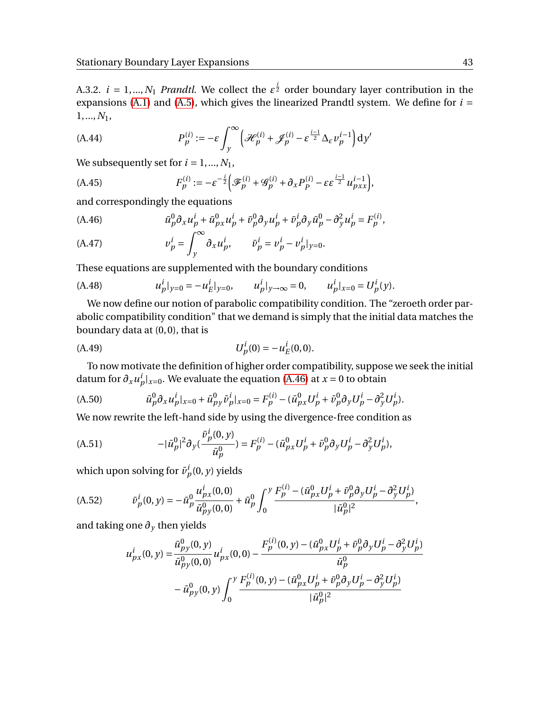A.3.2.  $i = 1, ..., N_1$  *Prandtl*. We collect the  $\varepsilon^{\frac{i}{2}}$  order boundary layer contribution in the expansions [\(A.1\)](#page-36-3) and [\(A.5\)](#page-37-0), which gives the linearized Prandtl system. We define for  $i =$ 1,...,*N*1,

<span id="page-42-3"></span>(A.44) 
$$
P_p^{(i)} := -\varepsilon \int_y^{\infty} \left( \mathcal{H}_p^{(i)} + \mathcal{J}_p^{(i)} - \varepsilon^{\frac{i-1}{2}} \Delta_{\varepsilon} v_p^{i-1} \right) dy'
$$

We subsequently set for  $i = 1, ..., N_1$ ,

<span id="page-42-2"></span>(A.45) 
$$
F_p^{(i)} := -\varepsilon^{-\frac{i}{2}} \Big( \mathcal{F}_p^{(i)} + \mathcal{G}_p^{(i)} + \partial_x P_p^{(i)} - \varepsilon \varepsilon^{\frac{i-1}{2}} u_{pxx}^{i-1} \Big),
$$

and correspondingly the equations

<span id="page-42-0"></span>(A.46) 
$$
\bar{u}_p^0 \partial_x u_p^i + \bar{u}_{px}^0 u_p^i + \bar{v}_p^0 \partial_y u_p^i + \bar{v}_p^i \partial_y \bar{u}_p^0 - \partial_y^2 u_p^i = F_p^{(i)},
$$

(A.47) 
$$
v_p^i = \int_y^\infty \partial_x u_p^i, \qquad \bar{v}_p^i = v_p^i - v_p^i|_{y=0}.
$$

These equations are supplemented with the boundary conditions

<span id="page-42-1"></span>(A.48) 
$$
u_p^i|_{y=0} = -u_E^i|_{y=0}, \qquad u_p^i|_{y\to\infty} = 0, \qquad u_p^i|_{x=0} = U_p^i(y).
$$

We now define our notion of parabolic compatibility condition. The "zeroeth order parabolic compatibility condition" that we demand is simply that the initial data matches the boundary data at  $(0, 0)$ , that is

<span id="page-42-4"></span>(A.49) 
$$
U_p^i(0) = -u_E^i(0,0).
$$

To now motivate the definition of higher order compatibility, suppose we seek the initial datum for  $\partial_x u^i_p|_{x=0}$ . We evaluate the equation [\(A.46\)](#page-42-0) at  $x=0$  to obtain

(A.50) 
$$
\bar{u}_p^0 \partial_x u_p^i|_{x=0} + \bar{u}_{py}^0 \bar{v}_p^i|_{x=0} = F_p^{(i)} - (\bar{u}_{px}^0 U_p^i + \bar{v}_p^0 \partial_y U_p^i - \partial_y^2 U_p^i).
$$

We now rewrite the left-hand side by using the divergence-free condition as

(A.51) 
$$
-|\bar{u}_p^0|^2 \partial_y (\frac{\bar{v}_p^i(0, y)}{\bar{u}_p^0}) = F_p^{(i)} - (\bar{u}_{px}^0 U_p^i + \bar{v}_p^0 \partial_y U_p^i - \partial_y^2 U_p^i),
$$

which upon solving for  $\bar{v}^i_p(0, y)$  yields

(A.52) 
$$
\bar{v}_p^i(0, y) = -\bar{u}_p^0 \frac{u_{px}^i(0, 0)}{\bar{u}_{py}^0(0, 0)} + \bar{u}_p^0 \int_0^y \frac{F_p^{(i)} - (\bar{u}_{px}^0 U_p^i + \bar{v}_p^0 \partial_y U_p^i - \partial_y^2 U_p^i)}{|\bar{u}_p^0|^2},
$$

and taking one  $\partial_y$  then yields

$$
u_{px}^{i}(0, y) = \frac{\bar{u}_{py}^{0}(0, y)}{\bar{u}_{py}^{0}(0, 0)} u_{px}^{i}(0, 0) - \frac{F_{p}^{(i)}(0, y) - (\bar{u}_{px}^{0}U_{p}^{i} + \bar{v}_{p}^{0}\partial_{y}U_{p}^{i} - \partial_{y}^{2}U_{p}^{i})}{\bar{u}_{p}^{0}} - \bar{u}_{py}^{0}(0, y) \int_{0}^{y} \frac{F_{p}^{(i)}(0, y) - (\bar{u}_{px}^{0}U_{p}^{i} + \bar{v}_{p}^{0}\partial_{y}U_{p}^{i} - \partial_{y}^{2}U_{p}^{i})}{|\bar{u}_{p}^{0}|^{2}}
$$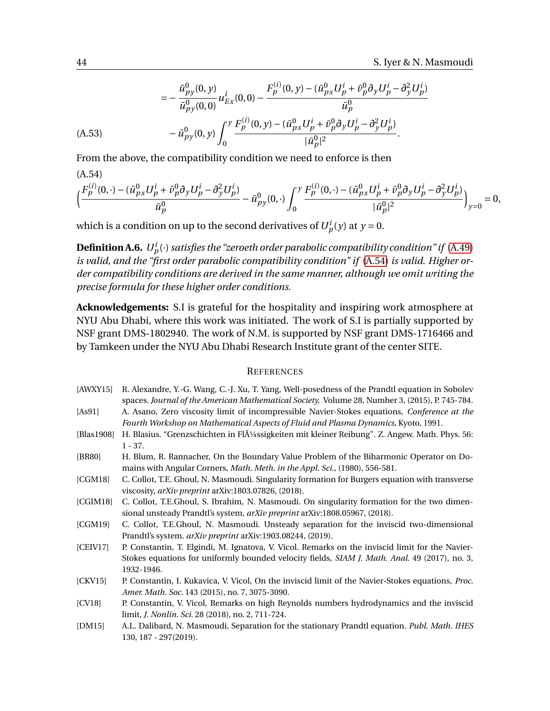$$
= -\frac{\bar{u}_{py}^{0}(0, y)}{\bar{u}_{py}^{0}(0, 0)} u_{Ex}^{i}(0, 0) - \frac{F_{p}^{(i)}(0, y) - (\bar{u}_{px}^{0}U_{p}^{i} + \bar{v}_{p}^{0}\partial_{y}U_{p}^{i} - \partial_{y}^{2}U_{p}^{i})}{\bar{u}_{p}^{0}}
$$
\n(A.53)\n
$$
- \bar{u}_{py}^{0}(0, y) \int_{0}^{y} \frac{F_{p}^{(i)}(0, y) - (\bar{u}_{px}^{0}U_{p}^{i} + \bar{v}_{p}^{0}\partial_{y}U_{p}^{i} - \partial_{y}^{2}U_{p}^{i})}{|\bar{u}_{p}^{0}|^{2}}.
$$

<span id="page-43-11"></span>From the above, the compatibility condition we need to enforce is then

(A.54)

$$
\Big(\frac{F_p^{(i)}(0,\cdot)-(\bar{u}_{px}^0U_p^i+\bar{v}_p^0\partial_yU_p^i-\partial_y^2U_p^i)}{\bar{u}_p^0}-\bar{u}_{py}^0(0,\cdot)\int_0^y\frac{F_p^{(i)}(0,\cdot)-(\bar{u}_{px}^0U_p^i+\bar{v}_p^0\partial_yU_p^i-\partial_y^2U_p^i)}{|\bar{u}_p^0|^2}\Big)_{y=0}=0,
$$

which is a condition on up to the second derivatives of  $U_p^i(y)$  at  $y = 0$ .

<span id="page-43-2"></span>**Definition A.6.**  $U_p^i(\cdot)$  satisfies the "zeroeth order parabolic compatibility condition" if [\(A.49\)](#page-42-4) *is valid, and the "first order parabolic compatibility condition" if* [\(A.54\)](#page-43-11) *is valid. Higher order compatibility conditions are derived in the same manner, although we omit writing the precise formula for these higher order conditions.*

**Acknowledgements:** S.I is grateful for the hospitality and inspiring work atmosphere at NYU Abu Dhabi, where this work was initiated. The work of S.I is partially supported by NSF grant DMS-1802940. The work of N.M. is supported by NSF grant DMS-1716466 and by Tamkeen under the NYU Abu Dhabi Research Institute grant of the center SITE.

#### **REFERENCES**

- <span id="page-43-7"></span>[AWXY15] R. Alexandre, Y.-G. Wang, C.-J. Xu, T. Yang, Well-posedness of the Prandtl equation in Sobolev spaces. *Journal of the American Mathematical Society,* Volume 28, Number 3, (2015), P. 745-784. [As91] A. Asano, Zero viscosity limit of incompressible Navier-Stokes equations, *Conference at the*
- <span id="page-43-3"></span>*Fourth Workshop on Mathematical Aspects of Fluid and Plasma Dynamics,* Kyoto, 1991.
- <span id="page-43-0"></span>[Blas1908] H. Blasius. "Grenzschichten in Fl $\tilde{A}$ 1/4ssigkeiten mit kleiner Reibung". Z. Angew. Math. Phys. 56: 1 - 37.
- [BR80] H. Blum, R. Rannacher, On the Boundary Value Problem of the Biharmonic Operator on Domains with Angular Corners, *Math. Meth. in the Appl. Sci.*, (1980), 556-581.
- <span id="page-43-8"></span>[CGM18] C. Collot, T.E. Ghoul, N. Masmoudi. Singularity formation for Burgers equation with transverse viscosity, *arXiv preprint* arXiv:1803.07826, (2018).
- <span id="page-43-9"></span>[CGIM18] C. Collot, T.E.Ghoul, S. Ibrahim, N. Masmoudi. On singularity formation for the two dimensional unsteady Prandtl's system, *arXiv preprint* arXiv:1808.05967, (2018).
- <span id="page-43-10"></span>[CGM19] C. Collot, T.E.Ghoul, N. Masmoudi. Unsteady separation for the inviscid two-dimensional Prandtl's system. *arXiv preprint* arXiv:1903.08244, (2019).
- <span id="page-43-4"></span>[CEIV17] P. Constantin, T. Elgindi, M. Ignatova, V. Vicol. Remarks on the inviscid limit for the Navier-Stokes equations for uniformly bounded velocity fields, *SIAM J. Math. Anal.* 49 (2017), no. 3, 1932-1946.
- <span id="page-43-5"></span>[CKV15] P. Constantin, I. Kukavica, V. Vicol, On the inviscid limit of the Navier-Stokes equations, *Proc. Amer. Math. Soc.* 143 (2015), no. 7, 3075-3090.
- <span id="page-43-6"></span>[CV18] P. Constantin, V. Vicol, Remarks on high Reynolds numbers hydrodynamics and the inviscid limit, *J. Nonlin. Sci.* 28 (2018), no. 2, 711-724.
- <span id="page-43-1"></span>[DM15] A.L. Dalibard, N. Masmoudi, Separation for the stationary Prandtl equation. *Publ. Math. IHES* 130, 187 - 297(2019).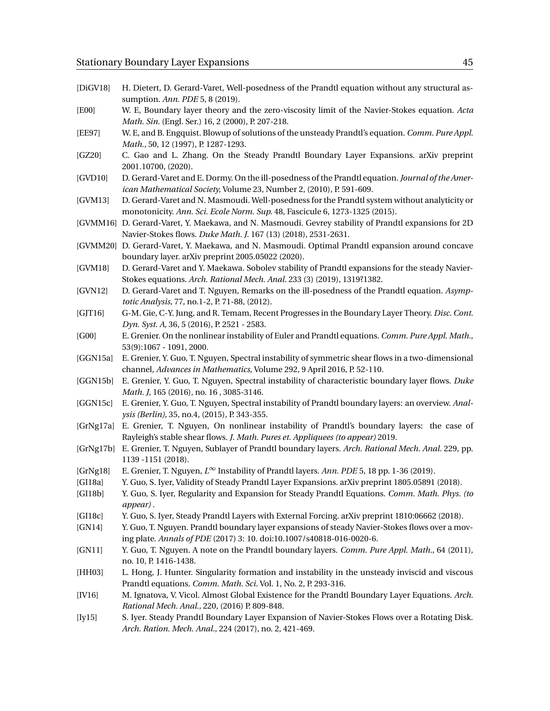- <span id="page-44-17"></span>[DiGV18] H. Dietert, D. Gerard-Varet, Well-posedness of the Prandtl equation without any structural assumption. *Ann. PDE* 5, 8 (2019).
- <span id="page-44-24"></span>[E00] W. E, Boundary layer theory and the zero-viscosity limit of the Navier-Stokes equation. *Acta Math. Sin.* (Engl. Ser.) 16, 2 (2000), P. 207-218.
- <span id="page-44-22"></span>[EE97] W. E, and B. Engquist. Blowup of solutions of the unsteady Prandtl's equation. *Comm. Pure Appl. Math.,* 50, 12 (1997), P. 1287-1293.
- <span id="page-44-4"></span>[GZ20] C. Gao and L. Zhang. On the Steady Prandtl Boundary Layer Expansions. arXiv preprint 2001.10700, (2020).
- <span id="page-44-20"></span>[GVD10] D. Gerard-Varet and E. Dormy. On the ill-posedness of the Prandtl equation. *Journal of the American Mathematical Society,* Volume 23, Number 2, (2010), P. 591-609.
- <span id="page-44-18"></span>[GVM13] D. Gerard-Varet and N. Masmoudi. Well-posedness for the Prandtl system without analyticity or monotonicity. *Ann. Sci. Ecole Norm. Sup.* 48, Fascicule 6, 1273-1325 (2015).
- <span id="page-44-7"></span>[GVMM16] D. Gerard-Varet, Y. Maekawa, and N. Masmoudi. Gevrey stability of Prandtl expansions for 2D Navier-Stokes flows. *Duke Math. J.* 167 (13) (2018), 2531-2631.
- <span id="page-44-8"></span>[GVMM20] D. Gerard-Varet, Y. Maekawa, and N. Masmoudi. Optimal Prandtl expansion around concave boundary layer. arXiv preprint 2005.05022 (2020).
- <span id="page-44-2"></span>[GVM18] D. Gerard-Varet and Y. Maekawa. Sobolev stability of Prandtl expansions for the steady Navier-Stokes equations. *Arch. Rational Mech. Anal.* 233 (3) (2019), 1319?1382.
- <span id="page-44-21"></span>[GVN12] D. Gerard-Varet and T. Nguyen, Remarks on the ill-posedness of the Prandtl equation. *Asymptotic Analysis,* 77, no.1-2, P. 71-88, (2012).
- <span id="page-44-25"></span>[GJT16] G-M. Gie, C-Y. Jung, and R. Temam, Recent Progresses in the Boundary Layer Theory. *Disc. Cont. Dyn. Syst. A,* 36, 5 (2016), P. 2521 - 2583.
- <span id="page-44-9"></span>[G00] E. Grenier. On the nonlinear instability of Euler and Prandtl equations. *Comm. Pure Appl. Math.*, 53(9):1067 - 1091, 2000.
- <span id="page-44-10"></span>[GGN15a] E. Grenier, Y. Guo, T. Nguyen, Spectral instability of symmetric shear flows in a two-dimensional channel, *Advances in Mathematics*, Volume 292, 9 April 2016, P. 52-110.
- <span id="page-44-11"></span>[GGN15b] E. Grenier, Y. Guo, T. Nguyen, Spectral instability of characteristic boundary layer flows. *Duke Math. J*, 165 (2016), no. 16 , 3085-3146.
- <span id="page-44-12"></span>[GGN15c] E. Grenier, Y. Guo, T. Nguyen, Spectral instability of Prandtl boundary layers: an overview. *Analysis (Berlin),* 35, no.4, (2015), P. 343-355.
- <span id="page-44-14"></span>[GrNg17a] E. Grenier, T. Nguyen, On nonlinear instability of Prandtl's boundary layers: the case of Rayleigh's stable shear flows. *J. Math. Pures et. Appliquees (to appear)* 2019.
- <span id="page-44-15"></span>[GrNg17b] E. Grenier, T. Nguyen, Sublayer of Prandtl boundary layers. *Arch. Rational Mech. Anal.* 229, pp. 1139 -1151 (2018).
- <span id="page-44-16"></span>[GrNg18] E. Grenier, T. Nguyen, *L* <sup>∞</sup> Instability of Prandtl layers. *Ann. PDE* 5, 18 pp. 1-36 (2019).
- <span id="page-44-1"></span>[GI18a] Y. Guo, S. Iyer, Validity of Steady Prandtl Layer Expansions. arXiv preprint 1805.05891 (2018).
- <span id="page-44-0"></span>[GI18b] Y. Guo, S. Iyer, Regularity and Expansion for Steady Prandtl Equations. *Comm. Math. Phys. (to appear)* .
- <span id="page-44-3"></span>[GI18c] Y. Guo, S. Iyer, Steady Prandtl Layers with External Forcing. arXiv preprint 1810:06662 (2018).
- <span id="page-44-5"></span>[GN14] Y. Guo, T. Nguyen. Prandtl boundary layer expansions of steady Navier-Stokes flows over a moving plate. *Annals of PDE* (2017) 3: 10. doi:10.1007/s40818-016-0020-6.
- <span id="page-44-13"></span>[GN11] Y. Guo, T. Nguyen. A note on the Prandtl boundary layers. *Comm. Pure Appl. Math.,* 64 (2011), no. 10, P. 1416-1438.
- <span id="page-44-23"></span>[HH03] L. Hong, J. Hunter. Singularity formation and instability in the unsteady inviscid and viscous Prandtl equations. *Comm. Math. Sci.* Vol. 1, No. 2, P. 293-316.
- <span id="page-44-19"></span>[IV16] M. Ignatova, V. Vicol. Almost Global Existence for the Prandtl Boundary Layer Equations. *Arch. Rational Mech. Anal.,* 220, (2016) P. 809-848.
- <span id="page-44-6"></span>[Iy15] S. Iyer. Steady Prandtl Boundary Layer Expansion of Navier-Stokes Flows over a Rotating Disk. *Arch. Ration. Mech. Anal.*, 224 (2017), no. 2, 421-469.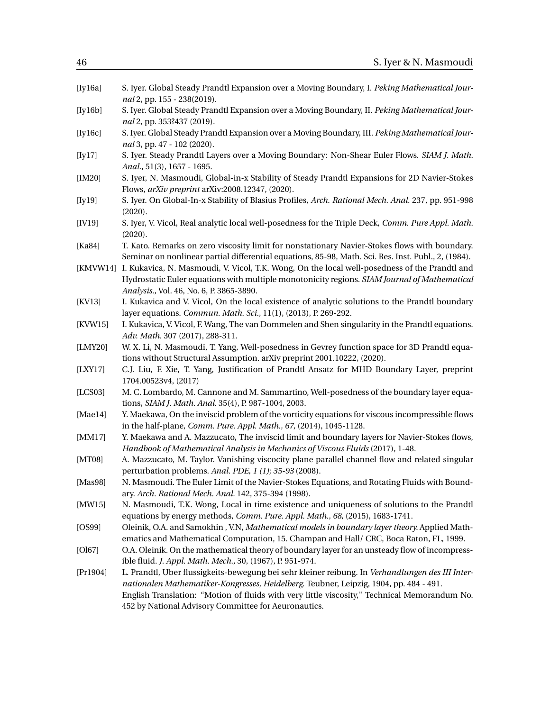<span id="page-45-20"></span><span id="page-45-19"></span><span id="page-45-18"></span><span id="page-45-17"></span><span id="page-45-16"></span><span id="page-45-15"></span><span id="page-45-14"></span><span id="page-45-13"></span><span id="page-45-12"></span><span id="page-45-11"></span><span id="page-45-10"></span><span id="page-45-9"></span><span id="page-45-8"></span><span id="page-45-7"></span><span id="page-45-6"></span><span id="page-45-5"></span><span id="page-45-4"></span><span id="page-45-3"></span><span id="page-45-2"></span><span id="page-45-1"></span><span id="page-45-0"></span>

| [Iy16a]    | S. Iyer. Global Steady Prandtl Expansion over a Moving Boundary, I. Peking Mathematical Jour-<br>nal 2, pp. 155 - 238(2019).                                                                                                                                                                                                                       |
|------------|----------------------------------------------------------------------------------------------------------------------------------------------------------------------------------------------------------------------------------------------------------------------------------------------------------------------------------------------------|
| [Iy16b]    | S. Iyer. Global Steady Prandtl Expansion over a Moving Boundary, II. Peking Mathematical Jour-<br>nal 2, pp. 353?437 (2019).                                                                                                                                                                                                                       |
| [Iy16c]    | S. Iyer. Global Steady Prandtl Expansion over a Moving Boundary, III. Peking Mathematical Jour-<br>nal 3, pp. 47 - 102 (2020).                                                                                                                                                                                                                     |
| [Iy17]     | S. Iyer. Steady Prandtl Layers over a Moving Boundary: Non-Shear Euler Flows. SIAM J. Math.<br>Anal., 51(3), 1657 - 1695.                                                                                                                                                                                                                          |
| [IM20]     | S. Iyer, N. Masmoudi, Global-in-x Stability of Steady Prandtl Expansions for 2D Navier-Stokes<br>Flows, arXiv preprint arXiv:2008.12347, (2020).                                                                                                                                                                                                   |
| [Iy19]     | S. Iyer. On Global-In-x Stability of Blasius Profiles, Arch. Rational Mech. Anal. 237, pp. 951-998<br>(2020).                                                                                                                                                                                                                                      |
| [IV19]     | S. Iyer, V. Vicol, Real analytic local well-posedness for the Triple Deck, Comm. Pure Appl. Math.<br>(2020).                                                                                                                                                                                                                                       |
| [ $Ka84$ ] | T. Kato. Remarks on zero viscosity limit for nonstationary Navier-Stokes flows with boundary.<br>Seminar on nonlinear partial differential equations, 85-98, Math. Sci. Res. Inst. Publ., 2, (1984).                                                                                                                                               |
|            | [KMVW14] I. Kukavica, N. Masmoudi, V. Vicol, T.K. Wong, On the local well-posedness of the Prandtl and<br>Hydrostatic Euler equations with multiple monotonicity regions. SIAM Journal of Mathematical<br>Analysis., Vol. 46, No. 6, P. 3865-3890.                                                                                                 |
| [KV13]     | I. Kukavica and V. Vicol, On the local existence of analytic solutions to the Prandtl boundary<br>layer equations. Commun. Math. Sci., 11(1), (2013), P. 269-292.                                                                                                                                                                                  |
| [KVW15]    | I. Kukavica, V. Vicol, F. Wang, The van Dommelen and Shen singularity in the Prandtl equations.<br>Adv. Math. 307 (2017), 288-311.                                                                                                                                                                                                                 |
| [LMY20]    | W. X. Li, N. Masmoudi, T. Yang, Well-posedness in Gevrey function space for 3D Prandtl equa-<br>tions without Structural Assumption. arXiv preprint 2001.10222, (2020).                                                                                                                                                                            |
| [LY17]     | C.J. Liu, F. Xie, T. Yang, Justification of Prandtl Ansatz for MHD Boundary Layer, preprint<br>1704.00523v4, (2017)                                                                                                                                                                                                                                |
| [LCS03]    | M. C. Lombardo, M. Cannone and M. Sammartino, Well-posedness of the boundary layer equa-<br>tions, SIAM J. Math. Anal. 35(4), P. 987-1004, 2003.                                                                                                                                                                                                   |
| [Mael4]    | Y. Maekawa, On the inviscid problem of the vorticity equations for viscous incompressible flows<br>in the half-plane, Comm. Pure. Appl. Math., 67, (2014), 1045-1128.                                                                                                                                                                              |
| [MM17]     | Y. Maekawa and A. Mazzucato, The inviscid limit and boundary layers for Navier-Stokes flows,<br>Handbook of Mathematical Analysis in Mechanics of Viscous Fluids (2017), 1-48.                                                                                                                                                                     |
| [MT08]     | A. Mazzucato, M. Taylor. Vanishing viscocity plane parallel channel flow and related singular<br>perturbation problems. Anal. PDE, 1 (1); 35-93 (2008).                                                                                                                                                                                            |
| [Mas98]    | N. Masmoudi. The Euler Limit of the Navier-Stokes Equations, and Rotating Fluids with Bound-<br>ary. Arch. Rational Mech. Anal. 142, 375-394 (1998).                                                                                                                                                                                               |
| [MW15]     | N. Masmoudi, T.K. Wong, Local in time existence and uniqueness of solutions to the Prandtl<br>equations by energy methods, Comm. Pure. Appl. Math., 68, (2015), 1683-1741.                                                                                                                                                                         |
| [OS99]     | Oleinik, O.A. and Samokhin, V.N, Mathematical models in boundary layer theory. Applied Math-<br>ematics and Mathematical Computation, 15. Champan and Hall/ CRC, Boca Raton, FL, 1999.                                                                                                                                                             |
| [O167]     | O.A. Oleinik. On the mathematical theory of boundary layer for an unsteady flow of incompress-<br>ible fluid. J. Appl. Math. Mech., 30, (1967), P. 951-974.                                                                                                                                                                                        |
| [Pr1904]   | L. Prandtl, Uber flussigkeits-bewegung bei sehr kleiner reibung. In Verhandlungen des III Inter-<br>nationalen Mathematiker-Kongresses, Heidelberg. Teubner, Leipzig, 1904, pp. 484 - 491.<br>English Translation: "Motion of fluids with very little viscosity," Technical Memorandum No.<br>452 by National Advisory Committee for Aeuronautics. |